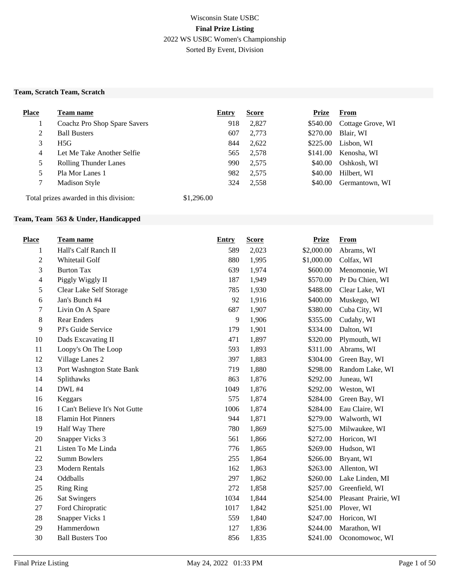## Wisconsin State USBC **Final Prize Listing** 2022 WS USBC Women's Championship Sorted By Event, Division

#### **Team, Scratch Team, Scratch**

| <b>Place</b> | <b>Team name</b>                       | Entry      | <b>Score</b> | <b>Prize</b> | <b>From</b>       |
|--------------|----------------------------------------|------------|--------------|--------------|-------------------|
|              | Coachz Pro Shop Spare Savers           | 918        | 2,827        | \$540.00     | Cottage Grove, WI |
| 2            | <b>Ball Busters</b>                    | 607        | 2,773        | \$270.00     | Blair, WI         |
| 3            | H5G                                    | 844        | 2,622        | \$225.00     | Lisbon, WI        |
| 4            | Let Me Take Another Selfie             | 565        | 2,578        | \$141.00     | Kenosha, WI       |
| 5            | <b>Rolling Thunder Lanes</b>           | 990        | 2,575        | \$40.00      | Oshkosh, WI       |
| 5            | Pla Mor Lanes 1                        | 982        | 2,575        | \$40.00      | Hilbert, WI       |
|              | <b>Madison Style</b>                   | 324        | 2,558        | \$40.00      | Germantown, WI    |
|              | Total prizes awarded in this division: | \$1,296.00 |              |              |                   |

#### **Team, Team 563 & Under, Handicapped**

| <b>Place</b>             | Team name                      | <b>Entry</b> | <b>Score</b> | <b>Prize</b> | <b>From</b>          |
|--------------------------|--------------------------------|--------------|--------------|--------------|----------------------|
| 1                        | Hall's Calf Ranch II           | 589          | 2,023        | \$2,000.00   | Abrams, WI           |
| $\mathbf{2}$             | Whitetail Golf                 | 880          | 1,995        | \$1,000.00   | Colfax, WI           |
| 3                        | <b>Burton Tax</b>              | 639          | 1,974        | \$600.00     | Menomonie, WI        |
| $\overline{\mathcal{A}}$ | Piggly Wiggly II               | 187          | 1,949        | \$570.00     | Pr Du Chien, WI      |
| 5                        | Clear Lake Self Storage        | 785          | 1,930        | \$488.00     | Clear Lake, WI       |
| 6                        | Jan's Bunch #4                 | 92           | 1,916        | \$400.00     | Muskego, WI          |
| 7                        | Livin On A Spare               | 687          | 1,907        | \$380.00     | Cuba City, WI        |
| $8\,$                    | <b>Rear Enders</b>             | 9            | 1,906        | \$355.00     | Cudahy, WI           |
| 9                        | PJ's Guide Service             | 179          | 1,901        | \$334.00     | Dalton, WI           |
| 10                       | Dads Excavating II             | 471          | 1,897        | \$320.00     | Plymouth, WI         |
| 11                       | Loopy's On The Loop            | 593          | 1,893        | \$311.00     | Abrams, WI           |
| 12                       | Village Lanes 2                | 397          | 1,883        | \$304.00     | Green Bay, WI        |
| 13                       | Port Washngton State Bank      | 719          | 1,880        | \$298.00     | Random Lake, WI      |
| 14                       | Splithawks                     | 863          | 1,876        | \$292.00     | Juneau, WI           |
| 14                       | <b>DWL #4</b>                  | 1049         | 1,876        | \$292.00     | Weston, WI           |
| 16                       | Keggars                        | 575          | 1,874        | \$284.00     | Green Bay, WI        |
| 16                       | I Can't Believe It's Not Gutte | 1006         | 1,874        | \$284.00     | Eau Claire, WI       |
| 18                       | <b>Flamin Hot Pinners</b>      | 944          | 1,871        | \$279.00     | Walworth, WI         |
| 19                       | Half Way There                 | 780          | 1,869        | \$275.00     | Milwaukee, WI        |
| 20                       | Snapper Vicks 3                | 561          | 1,866        | \$272.00     | Horicon, WI          |
| 21                       | Listen To Me Linda             | 776          | 1,865        | \$269.00     | Hudson, WI           |
| 22                       | <b>Summ Bowlers</b>            | 255          | 1,864        | \$266.00     | Bryant, WI           |
| 23                       | <b>Modern Rentals</b>          | 162          | 1,863        | \$263.00     | Allenton, WI         |
| 24                       | Oddballs                       | 297          | 1,862        | \$260.00     | Lake Linden, MI      |
| 25                       | <b>Ring Ring</b>               | 272          | 1,858        | \$257.00     | Greenfield, WI       |
| 26                       | <b>Sat Swingers</b>            | 1034         | 1,844        | \$254.00     | Pleasant Prairie, WI |
| 27                       | Ford Chiropratic               | 1017         | 1,842        | \$251.00     | Plover, WI           |
| 28                       | Snapper Vicks 1                | 559          | 1,840        | \$247.00     | Horicon, WI          |
| 29                       | Hammerdown                     | 127          | 1,836        | \$244.00     | Marathon, WI         |
| 30                       | <b>Ball Busters Too</b>        | 856          | 1,835        | \$241.00     | Oconomowoc, WI       |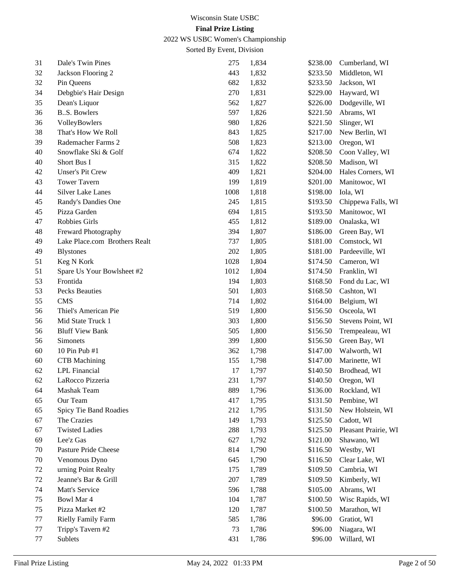2022 WS USBC Women's Championship

| 31 | Dale's Twin Pines             | 275  | 1,834 | \$238.00 | Cumberland, WI       |
|----|-------------------------------|------|-------|----------|----------------------|
| 32 | Jackson Flooring 2            | 443  | 1,832 | \$233.50 | Middleton, WI        |
| 32 | Pin Queens                    | 682  | 1,832 | \$233.50 | Jackson, WI          |
| 34 | Debgbie's Hair Design         | 270  | 1,831 | \$229.00 | Hayward, WI          |
| 35 | Dean's Liquor                 | 562  | 1,827 | \$226.00 | Dodgeville, WI       |
| 36 | <b>B.S. Bowlers</b>           | 597  | 1,826 | \$221.50 | Abrams, WI           |
| 36 | VolleyBowlers                 | 980  | 1,826 | \$221.50 | Slinger, WI          |
| 38 | That's How We Roll            | 843  | 1,825 | \$217.00 | New Berlin, WI       |
| 39 | Rademacher Farms 2            | 508  | 1,823 | \$213.00 | Oregon, WI           |
| 40 | Snowflake Ski & Golf          | 674  | 1,822 | \$208.50 | Coon Valley, WI      |
| 40 | Short Bus I                   | 315  | 1,822 | \$208.50 | Madison, WI          |
| 42 | <b>Unser's Pit Crew</b>       | 409  | 1,821 | \$204.00 | Hales Corners, WI    |
| 43 | <b>Tower Tavern</b>           | 199  | 1,819 | \$201.00 | Manitowoc, WI        |
| 44 | <b>Silver Lake Lanes</b>      | 1008 | 1,818 | \$198.00 | Iola, WI             |
| 45 | Randy's Dandies One           | 245  | 1,815 | \$193.50 | Chippewa Falls, WI   |
| 45 | Pizza Garden                  | 694  | 1,815 | \$193.50 | Manitowoc, WI        |
| 47 | Robbies Girls                 | 455  | 1,812 | \$189.00 | Onalaska, WI         |
| 48 | Freward Photography           | 394  | 1,807 | \$186.00 | Green Bay, WI        |
| 49 | Lake Place.com Brothers Realt | 737  | 1,805 | \$181.00 | Comstock, WI         |
| 49 | <b>Blystones</b>              | 202  | 1,805 | \$181.00 | Pardeeville, WI      |
| 51 | Keg N Kork                    | 1028 | 1,804 | \$174.50 | Cameron, WI          |
| 51 | Spare Us Your Bowlsheet #2    | 1012 | 1,804 | \$174.50 | Franklin, WI         |
| 53 | Frontida                      | 194  | 1,803 | \$168.50 | Fond du Lac, WI      |
| 53 | Pecks Beauties                | 501  | 1,803 | \$168.50 | Cashton, WI          |
| 55 | <b>CMS</b>                    | 714  | 1,802 | \$164.00 | Belgium, WI          |
| 56 | Thiel's American Pie          | 519  | 1,800 | \$156.50 | Osceola, WI          |
| 56 | Mid State Truck 1             | 303  | 1,800 | \$156.50 | Stevens Point, WI    |
| 56 | <b>Bluff View Bank</b>        | 505  | 1,800 | \$156.50 | Trempealeau, WI      |
| 56 | Simonets                      | 399  | 1,800 | \$156.50 | Green Bay, WI        |
| 60 | 10 Pin Pub #1                 | 362  | 1,798 | \$147.00 | Walworth, WI         |
| 60 | <b>CTB</b> Machining          | 155  | 1,798 | \$147.00 | Marinette, WI        |
| 62 | LPL Financial                 | 17   | 1,797 | \$140.50 | Brodhead, WI         |
| 62 | LaRocco Pizzeria              | 231  | 1,797 | \$140.50 | Oregon, WI           |
| 64 | Mashak Team                   | 889  | 1,796 | \$136.00 | Rockland, WI         |
| 65 | Our Team                      | 417  | 1,795 | \$131.50 | Pembine, WI          |
| 65 | Spicy Tie Band Roadies        | 212  | 1,795 | \$131.50 | New Holstein, WI     |
| 67 | The Crazies                   | 149  | 1,793 | \$125.50 | Cadott, WI           |
| 67 | <b>Twisted Ladies</b>         | 288  | 1,793 | \$125.50 | Pleasant Prairie, WI |
| 69 | Lee'z Gas                     | 627  | 1,792 | \$121.00 | Shawano, WI          |
| 70 | Pasture Pride Cheese          | 814  | 1,790 | \$116.50 | Westby, WI           |
| 70 | Venomous Dyno                 | 645  | 1,790 | \$116.50 | Clear Lake, WI       |
| 72 | urning Point Realty           | 175  | 1,789 | \$109.50 | Cambria, WI          |
| 72 | Jeanne's Bar & Grill          | 207  | 1,789 | \$109.50 | Kimberly, WI         |
| 74 | Matt's Service                | 596  | 1,788 | \$105.00 | Abrams, WI           |
| 75 | Bowl Mar 4                    | 104  | 1,787 | \$100.50 | Wisc Rapids, WI      |
| 75 | Pizza Market #2               | 120  | 1,787 | \$100.50 | Marathon, WI         |
| 77 | Rielly Family Farm            | 585  | 1,786 | \$96.00  | Gratiot, WI          |
| 77 | Tripp's Tavern #2             | 73   | 1,786 | \$96.00  | Niagara, WI          |
| 77 | Sublets                       | 431  | 1,786 | \$96.00  | Willard, WI          |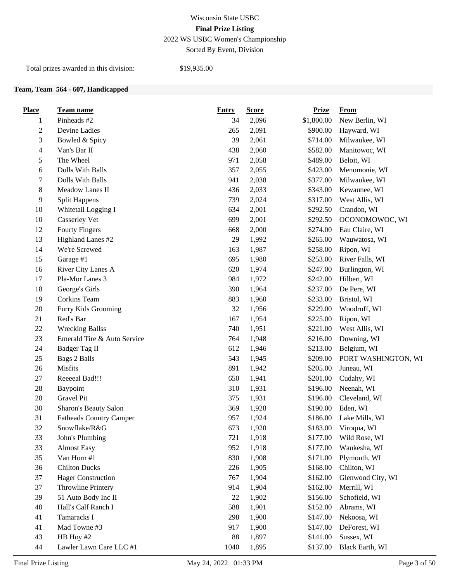# Wisconsin State USBC **Final Prize Listing** 2022 WS USBC Women's Championship

Sorted By Event, Division

Total prizes awarded in this division: \$19,935.00

#### **Team, Team 564 - 607, Handicapped**

| <b>Place</b>   | Team name                      | <b>Entry</b> | <b>Score</b> | <b>Prize</b> | <b>From</b>         |
|----------------|--------------------------------|--------------|--------------|--------------|---------------------|
| 1              | Pinheads #2                    | 34           | 2,096        | \$1,800.00   | New Berlin, WI      |
| $\overline{c}$ | Devine Ladies                  | 265          | 2,091        | \$900.00     | Hayward, WI         |
| 3              | Bowled & Spicy                 | 39           | 2,061        | \$714.00     | Milwaukee, WI       |
| $\overline{4}$ | Van's Bar II                   | 438          | 2,060        | \$582.00     | Manitowoc, WI       |
| 5              | The Wheel                      | 971          | 2,058        | \$489.00     | Beloit, WI          |
| 6              | Dolls With Balls               | 357          | 2,055        | \$423.00     | Menomonie, WI       |
| 7              | Dolls With Balls               | 941          | 2,038        | \$377.00     | Milwaukee, WI       |
| $\,8\,$        | Meadow Lanes II                | 436          | 2,033        | \$343.00     | Kewaunee, WI        |
| 9              | <b>Split Happens</b>           | 739          | 2,024        | \$317.00     | West Allis, WI      |
| 10             | Whitetail Logging I            | 634          | 2,001        | \$292.50     | Crandon, WI         |
| 10             | Casserley Vet                  | 699          | 2,001        | \$292.50     | OCONOMOWOC, WI      |
| 12             | <b>Fourty Fingers</b>          | 668          | 2,000        | \$274.00     | Eau Claire, WI      |
| 13             | Highland Lanes #2              | 29           | 1,992        | \$265.00     | Wauwatosa, WI       |
| 14             | We're Screwed                  | 163          | 1,987        | \$258.00     | Ripon, WI           |
| 15             | Garage #1                      | 695          | 1,980        | \$253.00     | River Falls, WI     |
| 16             | River City Lanes A             | 620          | 1,974        | \$247.00     | Burlington, WI      |
| 17             | Pla-Mor Lanes 3                | 984          | 1,972        | \$242.00     | Hilbert, WI         |
| 18             | George's Girls                 | 390          | 1,964        | \$237.00     | De Pere, WI         |
| 19             | Corkins Team                   | 883          | 1,960        | \$233.00     | Bristol, WI         |
| 20             | Furry Kids Grooming            | 32           | 1,956        | \$229.00     | Woodruff, WI        |
| 21             | Red's Bar                      | 167          | 1,954        | \$225.00     | Ripon, WI           |
| 22             | <b>Wrecking Ballss</b>         | 740          | 1,951        | \$221.00     | West Allis, WI      |
| 23             | Emerald Tire & Auto Service    | 764          | 1,948        | \$216.00     | Downing, WI         |
| 24             | Badger Tag II                  | 612          | 1,946        | \$213.00     | Belgium, WI         |
| 25             | <b>Bags 2 Balls</b>            | 543          | 1,945        | \$209.00     | PORT WASHINGTON, WI |
| 26             | Misfits                        | 891          | 1,942        | \$205.00     | Juneau, WI          |
| $27\,$         | Reeeeal Bad!!!                 | 650          | 1,941        | \$201.00     | Cudahy, WI          |
| 28             | Baypoint                       | 310          | 1,931        | \$196.00     | Neenah, WI          |
| $28\,$         | Gravel Pit                     | 375          | 1,931        | \$196.00     | Cleveland, WI       |
| 30             | Sharon's Beauty Salon          | 369          | 1,928        | \$190.00     | Eden, WI            |
| 31             | <b>Fatheads Country Camper</b> | 957          | 1,924        | \$186.00     | Lake Mills, WI      |
| 32             | Snowflake/R&G                  | 673          | 1,920        | \$183.00     | Viroqua, WI         |
| 33             | John's Plumbing                | 721          | 1,918        | \$177.00     | Wild Rose, WI       |
| 33             | <b>Almost Easy</b>             | 952          | 1,918        | \$177.00     | Waukesha, WI        |
| 35             | Van Horn #1                    | 830          | 1,908        | \$171.00     | Plymouth, WI        |
| 36             | <b>Chilton Ducks</b>           | 226          | 1,905        | \$168.00     | Chilton, WI         |
| 37             | <b>Hager Construction</b>      | 767          | 1,904        | \$162.00     | Glenwood City, WI   |
| 37             | Throwline Printery             | 914          | 1,904        | \$162.00     | Merrill, WI         |
| 39             | 51 Auto Body Inc II            | 22           | 1,902        | \$156.00     | Schofield, WI       |
| 40             | Hall's Calf Ranch I            | 588          | 1,901        | \$152.00     | Abrams, WI          |
| 41             | Tamaracks I                    | 298          | 1,900        | \$147.00     | Nekoosa, WI         |
| 41             | Mad Towne #3                   | 917          | 1,900        | \$147.00     | DeForest, WI        |
| 43             | HB Hoy #2                      | 88           | 1,897        | \$141.00     | Sussex, WI          |
| 44             | Lawler Lawn Care LLC #1        | 1040         | 1,895        | \$137.00     | Black Earth, WI     |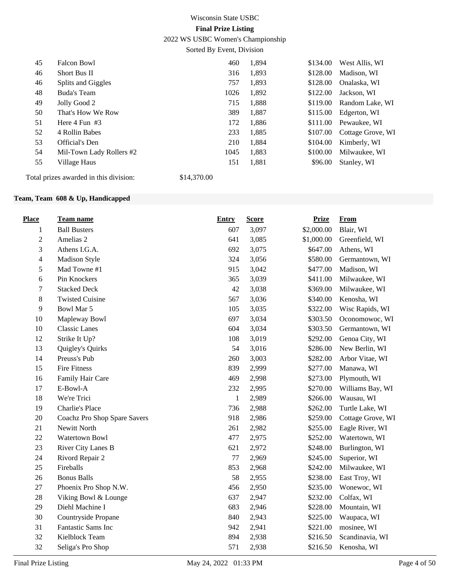2022 WS USBC Women's Championship

Sorted By Event, Division

| 45 | Falcon Bowl                          | 460  | 1,894 | \$134.00 | West Allis, WI        |
|----|--------------------------------------|------|-------|----------|-----------------------|
|    |                                      |      |       |          |                       |
| 46 | Short Bus II                         | 316  | 1,893 | \$128.00 | Madison, WI           |
| 46 | Splits and Giggles                   | 757  | 1,893 | \$128.00 | Onalaska, WI          |
| 48 | Buda's Team                          | 1026 | 1,892 | \$122.00 | Jackson, WI           |
| 49 | Jolly Good 2                         | 715  | 1,888 | \$119.00 | Random Lake, WI       |
| 50 | That's How We Row                    | 389  | 1,887 | \$115.00 | Edgerton, WI          |
| 51 | Here $4$ Fun $#3$                    | 172  | 1,886 |          | \$111.00 Pewaukee, WI |
| 52 | 4 Rollin Babes                       | 233  | 1,885 | \$107.00 | Cottage Grove, WI     |
| 53 | Official's Den                       | 210  | 1,884 | \$104.00 | Kimberly, WI          |
| 54 | Mil-Town Lady Rollers #2             | 1045 | 1.883 | \$100.00 | Milwaukee, WI         |
| 55 | Village Haus                         | 151  | 1,881 | \$96.00  | Stanley, WI           |
|    | .<br>$\lambda$ , $\lambda$ $\lambda$ |      |       |          |                       |

Total prizes awarded in this division: \$14,370.00

#### **Team, Team 608 & Up, Handicapped**

| <b>Place</b>   | <b>Team name</b>             | Entry | <b>Score</b> | <b>Prize</b> | <b>From</b>       |
|----------------|------------------------------|-------|--------------|--------------|-------------------|
| $\mathbf{1}$   | <b>Ball Busters</b>          | 607   | 3,097        | \$2,000.00   | Blair, WI         |
| $\sqrt{2}$     | Amelias 2                    | 641   | 3,085        | \$1,000.00   | Greenfield, WI    |
| $\mathfrak 3$  | Athens I.G.A.                | 692   | 3,075        | \$647.00     | Athens, WI        |
| $\overline{4}$ | Madison Style                | 324   | 3,056        | \$580.00     | Germantown, WI    |
| 5              | Mad Towne #1                 | 915   | 3,042        | \$477.00     | Madison, WI       |
| 6              | Pin Knockers                 | 365   | 3,039        | \$411.00     | Milwaukee, WI     |
| $\tau$         | <b>Stacked Deck</b>          | 42    | 3,038        | \$369.00     | Milwaukee, WI     |
| 8              | <b>Twisted Cuisine</b>       | 567   | 3,036        | \$340.00     | Kenosha, WI       |
| 9              | Bowl Mar 5                   | 105   | 3,035        | \$322.00     | Wisc Rapids, WI   |
| 10             | Mapleway Bowl                | 697   | 3,034        | \$303.50     | Oconomowoc, WI    |
| 10             | <b>Classic Lanes</b>         | 604   | 3,034        | \$303.50     | Germantown, WI    |
| 12             | Strike It Up?                | 108   | 3,019        | \$292.00     | Genoa City, WI    |
| 13             | Quigley's Quirks             | 54    | 3,016        | \$286.00     | New Berlin, WI    |
| 14             | Preuss's Pub                 | 260   | 3,003        | \$282.00     | Arbor Vitae, WI   |
| 15             | <b>Fire Fitness</b>          | 839   | 2,999        | \$277.00     | Manawa, WI        |
| 16             | Family Hair Care             | 469   | 2,998        | \$273.00     | Plymouth, WI      |
| 17             | E-Bowl-A                     | 232   | 2,995        | \$270.00     | Williams Bay, WI  |
| 18             | We're Trici                  | 1     | 2,989        | \$266.00     | Wausau, WI        |
| 19             | Charlie's Place              | 736   | 2,988        | \$262.00     | Turtle Lake, WI   |
| 20             | Coachz Pro Shop Spare Savers | 918   | 2,986        | \$259.00     | Cottage Grove, WI |
| 21             | Newitt North                 | 261   | 2,982        | \$255.00     | Eagle River, WI   |
| 22             | Watertown Bowl               | 477   | 2,975        | \$252.00     | Watertown, WI     |
| 23             | River City Lanes B           | 621   | 2,972        | \$248.00     | Burlington, WI    |
| 24             | Rivord Repair 2              | 77    | 2,969        | \$245.00     | Superior, WI      |
| 25             | Fireballs                    | 853   | 2,968        | \$242.00     | Milwaukee, WI     |
| 26             | <b>Bonus Balls</b>           | 58    | 2,955        | \$238.00     | East Troy, WI     |
| 27             | Phoenix Pro Shop N.W.        | 456   | 2,950        | \$235.00     | Wonewoc, WI       |
| 28             | Viking Bowl & Lounge         | 637   | 2,947        | \$232.00     | Colfax, WI        |
| 29             | Diehl Machine I              | 683   | 2,946        | \$228.00     | Mountain, WI      |
| 30             | Countryside Propane          | 840   | 2,943        | \$225.00     | Waupaca, WI       |
| 31             | Fantastic Sams Inc           | 942   | 2,941        | \$221.00     | mosinee, WI       |
| 32             | Kielblock Team               | 894   | 2,938        | \$216.50     | Scandinavia, WI   |
| 32             | Seliga's Pro Shop            | 571   | 2,938        | \$216.50     | Kenosha, WI       |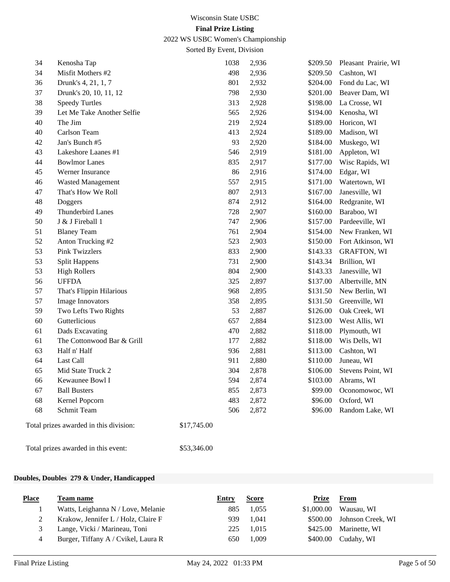2022 WS USBC Women's Championship

Sorted By Event, Division

| 34 | Kenosha Tap                            | 1038        | 2,936 | \$209.50 | Pleasant Prairie, WI |
|----|----------------------------------------|-------------|-------|----------|----------------------|
| 34 | Misfit Mothers #2                      | 498         | 2,936 | \$209.50 | Cashton, WI          |
| 36 | Drunk's 4, 21, 1, 7                    | 801         | 2,932 | \$204.00 | Fond du Lac, WI      |
| 37 | Drunk's 20, 10, 11, 12                 | 798         | 2,930 | \$201.00 | Beaver Dam, WI       |
| 38 | <b>Speedy Turtles</b>                  | 313         | 2,928 | \$198.00 | La Crosse, WI        |
| 39 | Let Me Take Another Selfie             | 565         | 2,926 | \$194.00 | Kenosha, WI          |
| 40 | The Jim                                | 219         | 2,924 | \$189.00 | Horicon, WI          |
| 40 | Carlson Team                           | 413         | 2,924 | \$189.00 | Madison, WI          |
| 42 | Jan's Bunch #5                         | 93          | 2,920 | \$184.00 | Muskego, WI          |
| 43 | Lakeshore Laanes #1                    | 546         | 2,919 | \$181.00 | Appleton, WI         |
| 44 | <b>Bowlmor Lanes</b>                   | 835         | 2,917 | \$177.00 | Wisc Rapids, WI      |
| 45 | Werner Insurance                       | 86          | 2,916 | \$174.00 | Edgar, WI            |
| 46 | <b>Wasted Management</b>               | 557         | 2,915 | \$171.00 | Watertown, WI        |
| 47 | That's How We Roll                     | 807         | 2,913 | \$167.00 | Janesville, WI       |
| 48 | Doggers                                | 874         | 2,912 | \$164.00 | Redgranite, WI       |
| 49 | <b>Thunderbird Lanes</b>               | 728         | 2,907 | \$160.00 | Baraboo, WI          |
| 50 | J & J Fireball 1                       | 747         | 2,906 | \$157.00 | Pardeeville, WI      |
| 51 | <b>Blaney Team</b>                     | 761         | 2,904 | \$154.00 | New Franken, WI      |
| 52 | Anton Trucking #2                      | 523         | 2,903 | \$150.00 | Fort Atkinson, WI    |
| 53 | <b>Pink Twizzlers</b>                  | 833         | 2,900 | \$143.33 | <b>GRAFTON, WI</b>   |
| 53 | <b>Split Happens</b>                   | 731         | 2,900 | \$143.34 | Brillion, WI         |
| 53 | <b>High Rollers</b>                    | 804         | 2,900 | \$143.33 | Janesville, WI       |
| 56 | <b>UFFDA</b>                           | 325         | 2,897 | \$137.00 | Albertville, MN      |
| 57 | That's Flippin Hilarious               | 968         | 2,895 | \$131.50 | New Berlin, WI       |
| 57 | Image Innovators                       | 358         | 2,895 | \$131.50 | Greenville, WI       |
| 59 | Two Lefts Two Rights                   | 53          | 2,887 | \$126.00 | Oak Creek, WI        |
| 60 | Gutterlicious                          | 657         | 2,884 | \$123.00 | West Allis, WI       |
| 61 | Dads Excavating                        | 470         | 2,882 | \$118.00 | Plymouth, WI         |
| 61 | The Cottonwood Bar & Grill             | 177         | 2,882 | \$118.00 | Wis Dells, WI        |
| 63 | Half n' Half                           | 936         | 2,881 | \$113.00 | Cashton, WI          |
| 64 | Last Call                              | 911         | 2,880 | \$110.00 | Juneau, WI           |
| 65 | Mid State Truck 2                      | 304         | 2,878 | \$106.00 | Stevens Point, WI    |
| 66 | Kewaunee Bowl I                        | 594         | 2,874 | \$103.00 | Abrams, WI           |
| 67 | <b>Ball Busters</b>                    | 855         | 2,873 | \$99.00  | Oconomowoc, WI       |
| 68 | Kernel Popcorn                         | 483         | 2,872 | \$96.00  | Oxford, WI           |
| 68 | Schmit Team                            | 506         | 2,872 | \$96.00  | Random Lake, WI      |
|    | Total prizes awarded in this division: | \$17,745.00 |       |          |                      |

Total prizes awarded in this event: \$53,346.00

#### **Doubles, Doubles 279 & Under, Handicapped**

| <b>Place</b> | Team name                           | Entry | <b>Score</b> | Prize      | From                       |
|--------------|-------------------------------------|-------|--------------|------------|----------------------------|
|              | Watts, Leighanna N / Love, Melanie  | 885   | 1.055        | \$1,000.00 | Wausau, WI                 |
|              | Krakow, Jennifer L / Holz, Claire F | 939   | 1.041        |            | \$500.00 Johnson Creek, WI |
|              | Lange, Vicki / Marineau, Toni       | 225.  | 1.015        |            | \$425.00 Marinette, WI     |
|              | Burger, Tiffany A / Cvikel, Laura R | 650   | 1.009        |            | $$400.00$ Cudahy, WI       |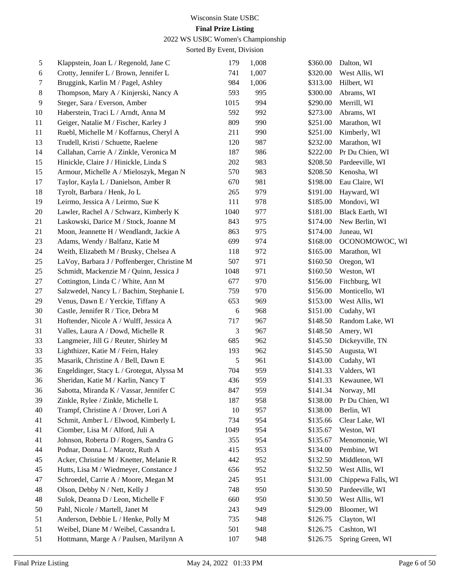## 2022 WS USBC Women's Championship

| 5  | Klappstein, Joan L / Regenold, Jane C        | 179  | 1,008 | \$360.00 | Dalton, WI             |
|----|----------------------------------------------|------|-------|----------|------------------------|
| 6  | Crotty, Jennifer L / Brown, Jennifer L       | 741  | 1,007 | \$320.00 | West Allis, WI         |
| 7  | Bruggink, Karlin M / Pagel, Ashley           | 984  | 1,006 | \$313.00 | Hilbert, WI            |
| 8  | Thompson, Mary A / Kinjerski, Nancy A        | 593  | 995   | \$300.00 | Abrams, WI             |
| 9  | Steger, Sara / Everson, Amber                | 1015 | 994   | \$290.00 | Merrill, WI            |
| 10 | Haberstein, Traci L / Arndt, Anna M          | 592  | 992   | \$273.00 | Abrams, WI             |
| 11 | Geiger, Natalie M / Fischer, Karley J        | 809  | 990   | \$251.00 | Marathon, WI           |
| 11 | Ruebl, Michelle M / Koffarnus, Cheryl A      | 211  | 990   | \$251.00 | Kimberly, WI           |
| 13 | Trudell, Kristi / Schuette, Raelene          | 120  | 987   | \$232.00 | Marathon, WI           |
| 14 | Callahan, Carrie A / Zinkle, Veronica M      | 187  | 986   | \$222.00 | Pr Du Chien, WI        |
| 15 | Hinickle, Claire J / Hinickle, Linda S       | 202  | 983   | \$208.50 | Pardeeville, WI        |
| 15 | Armour, Michelle A / Mieloszyk, Megan N      | 570  | 983   | \$208.50 | Kenosha, WI            |
| 17 | Taylor, Kayla L / Danielson, Amber R         | 670  | 981   | \$198.00 | Eau Claire, WI         |
| 18 | Tyrolt, Barbara / Henk, Jo L                 | 265  | 979   | \$191.00 | Hayward, WI            |
| 19 | Leirmo, Jessica A / Leirmo, Sue K            | 111  | 978   | \$185.00 | Mondovi, WI            |
| 20 | Lawler, Rachel A / Schwarz, Kimberly K       | 1040 | 977   | \$181.00 | <b>Black Earth, WI</b> |
| 21 | Laskowski, Darice M / Stock, Joanne M        | 843  | 975   | \$174.00 | New Berlin, WI         |
| 21 | Moon, Jeannette H / Wendlandt, Jackie A      | 863  | 975   | \$174.00 | Juneau, WI             |
| 23 | Adams, Wendy / Balfanz, Katie M              | 699  | 974   | \$168.00 | OCONOMOWOC, WI         |
| 24 | Weith, Elizabeth M / Brusky, Chelsea A       | 118  | 972   | \$165.00 | Marathon, WI           |
| 25 | LaVoy, Barbara J / Poffenberger, Christine M | 507  | 971   | \$160.50 | Oregon, WI             |
| 25 | Schmidt, Mackenzie M / Quinn, Jessica J      | 1048 | 971   | \$160.50 | Weston, WI             |
| 27 | Cottington, Linda C / White, Ann M           | 677  | 970   | \$156.00 | Fitchburg, WI          |
| 27 | Salzwedel, Nancy L / Bachim, Stephanie L     | 759  | 970   | \$156.00 | Monticello, WI         |
| 29 | Venus, Dawn E / Yerckie, Tiffany A           | 653  | 969   | \$153.00 | West Allis, WI         |
| 30 | Castle, Jennifer R / Tice, Debra M           | 6    | 968   | \$151.00 | Cudahy, WI             |
| 31 | Hoftender, Nicole A / Wulff, Jessica A       | 717  | 967   | \$148.50 | Random Lake, WI        |
| 31 | Valles, Laura A / Dowd, Michelle R           | 3    | 967   | \$148.50 | Amery, WI              |
| 33 | Langmeier, Jill G / Reuter, Shirley M        | 685  | 962   | \$145.50 | Dickeyville, TN        |
| 33 | Lighthizer, Katie M / Feirn, Haley           | 193  | 962   | \$145.50 | Augusta, WI            |
| 35 | Masarik, Christine A / Bell, Dawn E          | 5    | 961   | \$143.00 | Cudahy, WI             |
| 36 | Engeldinger, Stacy L / Grotegut, Alyssa M    | 704  | 959   | \$141.33 | Valders, WI            |
| 36 | Sheridan, Katie M / Karlin, Nancy T          | 436  | 959   | \$141.33 | Kewaunee, WI           |
| 36 | Sabotta, Miranda K / Vassar, Jennifer C      | 847  | 959   | \$141.34 | Norway, MI             |
| 39 | Zinkle, Rylee / Zinkle, Michelle L           | 187  | 958   | \$138.00 | Pr Du Chien, WI        |
| 40 | Trampf, Christine A / Drover, Lori A         | 10   | 957   | \$138.00 | Berlin, WI             |
| 41 | Schmit, Amber L / Elwood, Kimberly L         | 734  | 954   | \$135.66 | Clear Lake, WI         |
| 41 | Ciomber, Lisa M / Alford, Juli A             | 1049 | 954   | \$135.67 | Weston, WI             |
| 41 | Johnson, Roberta D / Rogers, Sandra G        | 355  | 954   | \$135.67 | Menomonie, WI          |
| 44 | Podnar, Donna L / Marotz, Ruth A             | 415  | 953   | \$134.00 | Pembine, WI            |
| 45 | Acker, Christine M / Knetter, Melanie R      | 442  | 952   | \$132.50 | Middleton, WI          |
| 45 | Hutts, Lisa M / Wiedmeyer, Constance J       | 656  | 952   | \$132.50 | West Allis, WI         |
| 47 | Schroedel, Carrie A / Moore, Megan M         | 245  | 951   | \$131.00 | Chippewa Falls, WI     |
| 48 | Olson, Debby N / Nett, Kelly J               | 748  | 950   | \$130.50 | Pardeeville, WI        |
| 48 | Sulok, Deanna D / Leon, Michelle F           | 660  | 950   | \$130.50 | West Allis, WI         |
| 50 | Pahl, Nicole / Martell, Janet M              | 243  | 949   | \$129.00 | Bloomer, WI            |
| 51 | Anderson, Debbie L / Henke, Polly M          | 735  | 948   | \$126.75 | Clayton, WI            |
| 51 | Weibel, Diane M / Weibel, Cassandra L        | 501  | 948   | \$126.75 | Cashton, WI            |
| 51 | Hottmann, Marge A / Paulsen, Marilynn A      | 107  | 948   | \$126.75 | Spring Green, WI       |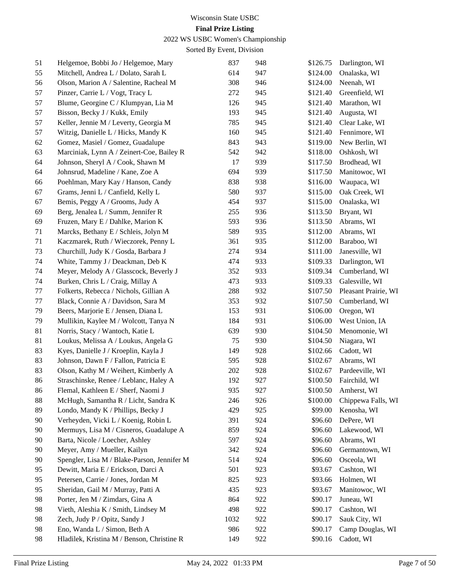## 2022 WS USBC Women's Championship

| 51 | Helgemoe, Bobbi Jo / Helgemoe, Mary         | 837  | 948 | \$126.75 | Darlington, WI       |
|----|---------------------------------------------|------|-----|----------|----------------------|
| 55 | Mitchell, Andrea L / Dolato, Sarah L        | 614  | 947 | \$124.00 | Onalaska, WI         |
| 56 | Olson, Marion A / Salentine, Racheal M      | 308  | 946 | \$124.00 | Neenah, WI           |
| 57 | Pinzer, Carrie L / Vogt, Tracy L            | 272  | 945 | \$121.40 | Greenfield, WI       |
| 57 | Blume, Georgine C / Klumpyan, Lia M         | 126  | 945 | \$121.40 | Marathon, WI         |
| 57 | Bisson, Becky J / Kukk, Emily               | 193  | 945 | \$121.40 | Augusta, WI          |
| 57 | Keller, Jennie M / Leverty, Georgia M       | 785  | 945 | \$121.40 | Clear Lake, WI       |
| 57 | Witzig, Danielle L / Hicks, Mandy K         | 160  | 945 | \$121.40 | Fennimore, WI        |
| 62 | Gomez, Masiel / Gomez, Guadalupe            | 843  | 943 | \$119.00 | New Berlin, WI       |
| 63 | Marciniak, Lynn A / Zeinert-Coe, Bailey R   | 542  | 942 | \$118.00 | Oshkosh, WI          |
| 64 | Johnson, Sheryl A / Cook, Shawn M           | 17   | 939 | \$117.50 | Brodhead, WI         |
| 64 | Johnsrud, Madeline / Kane, Zoe A            | 694  | 939 | \$117.50 | Manitowoc, WI        |
| 66 | Poehlman, Mary Kay / Hanson, Candy          | 838  | 938 | \$116.00 | Waupaca, WI          |
| 67 | Grams, Jenni L / Canfield, Kelly L          | 580  | 937 | \$115.00 | Oak Creek, WI        |
| 67 | Bemis, Peggy A / Grooms, Judy A             | 454  | 937 | \$115.00 | Onalaska, WI         |
| 69 | Berg, Jenalea L / Summ, Jennifer R          | 255  | 936 | \$113.50 | Bryant, WI           |
| 69 | Fruzen, Mary E / Dahlke, Marion K           | 593  | 936 | \$113.50 | Abrams, WI           |
| 71 | Marcks, Bethany E / Schleis, Jolyn M        | 589  | 935 | \$112.00 | Abrams, WI           |
| 71 | Kaczmarek, Ruth / Wieczorek, Penny L        | 361  | 935 | \$112.00 | Baraboo, WI          |
| 73 | Churchill, Judy K / Gosda, Barbara J        | 274  | 934 | \$111.00 | Janesville, WI       |
| 74 | White, Tammy J / Deackman, Deb K            | 474  | 933 | \$109.33 | Darlington, WI       |
| 74 | Meyer, Melody A / Glasscock, Beverly J      | 352  | 933 | \$109.34 | Cumberland, WI       |
| 74 | Burken, Chris L / Craig, Millay A           | 473  | 933 | \$109.33 | Galesville, WI       |
| 77 | Folkerts, Rebecca / Nichols, Gillian A      | 288  | 932 | \$107.50 | Pleasant Prairie, WI |
| 77 | Black, Connie A / Davidson, Sara M          | 353  | 932 | \$107.50 | Cumberland, WI       |
| 79 | Beers, Marjorie E / Jensen, Diana L         | 153  | 931 | \$106.00 | Oregon, WI           |
| 79 | Mullikin, Kaylee M / Wolcott, Tanya N       | 184  | 931 | \$106.00 | West Union, IA       |
| 81 | Norris, Stacy / Wantoch, Katie L            | 639  | 930 | \$104.50 | Menomonie, WI        |
| 81 | Loukus, Melissa A / Loukus, Angela G        | 75   | 930 | \$104.50 | Niagara, WI          |
| 83 | Kyes, Danielle J / Kroeplin, Kayla J        | 149  | 928 | \$102.66 | Cadott, WI           |
| 83 | Johnson, Dawn F / Fallon, Patricia E        | 595  | 928 | \$102.67 | Abrams, WI           |
| 83 | Olson, Kathy M / Weihert, Kimberly A        | 202  | 928 | \$102.67 | Pardeeville, WI      |
| 86 | Straschinske, Renee / Leblanc, Haley A      | 192  | 927 | \$100.50 | Fairchild, WI        |
| 86 | Flemal, Kathleen E / Sherf, Naomi J         | 935  | 927 | \$100.50 | Amherst, WI          |
| 88 | McHugh, Samantha R / Licht, Sandra K        | 246  | 926 | \$100.00 | Chippewa Falls, WI   |
| 89 | Londo, Mandy K / Phillips, Becky J          | 429  | 925 | \$99.00  | Kenosha, WI          |
| 90 | Verheyden, Vicki L / Koenig, Robin L        | 391  | 924 | \$96.60  | DePere, WI           |
| 90 | Mermuys, Lisa M / Cisneros, Guadalupe A     | 859  | 924 | \$96.60  | Lakewood, WI         |
| 90 | Barta, Nicole / Loecher, Ashley             | 597  | 924 | \$96.60  | Abrams, WI           |
| 90 | Meyer, Amy / Mueller, Kailyn                | 342  | 924 | \$96.60  | Germantown, WI       |
| 90 | Spengler, Lisa M / Blake-Parson, Jennifer M | 514  | 924 | \$96.60  | Osceola, WI          |
| 95 | Dewitt, Maria E / Erickson, Darci A         | 501  | 923 | \$93.67  | Cashton, WI          |
| 95 | Petersen, Carrie / Jones, Jordan M          | 825  | 923 | \$93.66  | Holmen, WI           |
| 95 | Sheridan, Gail M / Murray, Patti A          | 435  | 923 | \$93.67  | Manitowoc, WI        |
| 98 | Porter, Jen M / Zimdars, Gina A             | 864  | 922 | \$90.17  | Juneau, WI           |
| 98 | Vieth, Aleshia K / Smith, Lindsey M         | 498  | 922 | \$90.17  | Cashton, WI          |
| 98 | Zech, Judy P / Opitz, Sandy J               | 1032 | 922 | \$90.17  | Sauk City, WI        |
| 98 | Eno, Wanda L / Simon, Beth A                | 986  | 922 | \$90.17  | Camp Douglas, WI     |
| 98 | Hladilek, Kristina M / Benson, Christine R  | 149  | 922 | \$90.16  | Cadott, WI           |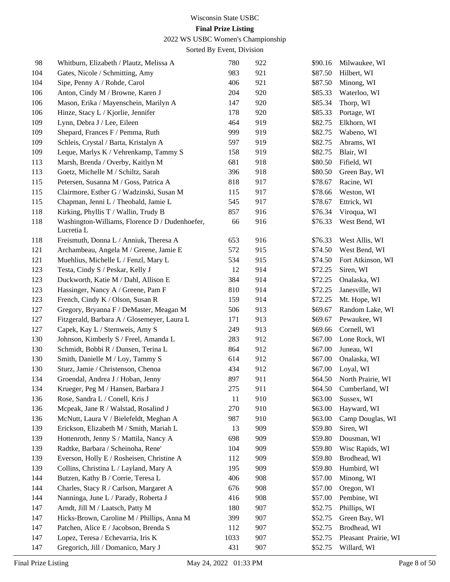## 2022 WS USBC Women's Championship

| 98  | Whitburn, Elizabeth / Plautz, Melissa A                      | 780  | 922 | \$90.16 | Milwaukee, WI        |
|-----|--------------------------------------------------------------|------|-----|---------|----------------------|
| 104 | Gates, Nicole / Schmitting, Amy                              | 983  | 921 | \$87.50 | Hilbert, WI          |
| 104 | Sipe, Penny A / Rohde, Carol                                 | 406  | 921 | \$87.50 | Minong, WI           |
| 106 | Anton, Cindy M / Browne, Karen J                             | 204  | 920 | \$85.33 | Waterloo, WI         |
| 106 | Mason, Erika / Mayenschein, Marilyn A                        | 147  | 920 | \$85.34 | Thorp, WI            |
| 106 | Hinze, Stacy L / Kjorlie, Jennifer                           | 178  | 920 | \$85.33 | Portage, WI          |
| 109 | Lynn, Debra J / Lee, Eileen                                  | 464  | 919 | \$82.75 | Elkhorn, WI          |
| 109 | Shepard, Frances F / Pemma, Ruth                             | 999  | 919 | \$82.75 | Wabeno, WI           |
| 109 | Schleis, Crystal / Barta, Kristalyn A                        | 597  | 919 | \$82.75 | Abrams, WI           |
| 109 | Leque, Marlys K / Vehrenkamp, Tammy S                        | 158  | 919 | \$82.75 | Blair, WI            |
| 113 | Marsh, Brenda / Overby, Kaitlyn M                            | 681  | 918 | \$80.50 | Fifield, WI          |
| 113 | Goetz, Michelle M / Schiltz, Sarah                           | 396  | 918 | \$80.50 | Green Bay, WI        |
| 115 | Petersen, Susanna M / Goss, Patrica A                        | 818  | 917 | \$78.67 | Racine, WI           |
| 115 | Clairmore, Esther G / Wadzinski, Susan M                     | 115  | 917 | \$78.66 | Weston, WI           |
| 115 | Chapman, Jenni L / Theobald, Jamie L                         | 545  | 917 | \$78.67 | Ettrick, WI          |
| 118 | Kirking, Phyllis T / Wallin, Trudy B                         | 857  | 916 | \$76.34 | Viroqua, WI          |
| 118 | Washington-Williams, Florence D / Dudenhoefer,<br>Lucretia L | 66   | 916 | \$76.33 | West Bend, WI        |
| 118 | Freismuth, Donna L / Anniuk, Theresa A                       | 653  | 916 | \$76.33 | West Allis, WI       |
| 121 | Archambeau, Angela M / Greene, Jamie E                       | 572  | 915 | \$74.50 | West Bend, WI        |
| 121 | Muehlius, Michelle L / Fenzl, Mary L                         | 534  | 915 | \$74.50 | Fort Atkinson, WI    |
| 123 | Testa, Cindy S / Peskar, Kelly J                             | 12   | 914 | \$72.25 | Siren, WI            |
| 123 | Duckworth, Katie M / Dahl, Allison E                         | 384  | 914 | \$72.25 | Onalaska, WI         |
| 123 | Hassinger, Nancy A / Greene, Pam F                           | 810  | 914 | \$72.25 | Janesville, WI       |
| 123 | French, Cindy K / Olson, Susan R                             | 159  | 914 | \$72.25 | Mt. Hope, WI         |
| 127 | Gregory, Bryanna F / DeMaster, Meagan M                      | 506  | 913 | \$69.67 | Random Lake, WI      |
| 127 | Fitzgerald, Barbara A / Glosemeyer, Laura L                  | 171  | 913 | \$69.67 | Pewaukee, WI         |
| 127 | Capek, Kay L / Sternweis, Amy S                              | 249  | 913 | \$69.66 | Cornell, WI          |
| 130 | Johnson, Kimberly S / Freel, Amanda L                        | 283  | 912 | \$67.00 | Lone Rock, WI        |
| 130 | Schmidt, Bobbi R / Dunsen, Terina L                          | 864  | 912 | \$67.00 | Juneau, WI           |
| 130 | Smith, Danielle M / Loy, Tammy S                             | 614  | 912 | \$67.00 | Onalaska, WI         |
| 130 | Sturz, Jamie / Christenson, Chenoa                           | 434  | 912 | \$67.00 | Loyal, WI            |
| 134 | Groendal, Andrea J / Hoban, Jenny                            | 897  | 911 | \$64.50 | North Prairie, WI    |
| 134 | Krueger, Peg M / Hansen, Barbara J                           | 275  | 911 | \$64.50 | Cumberland, WI       |
| 136 | Rose, Sandra L / Conell, Kris J                              | 11   | 910 | \$63.00 | Sussex, WI           |
| 136 | Mcpeak, Jane R / Walstad, Rosalind J                         | 270  | 910 | \$63.00 | Hayward, WI          |
| 136 | McNutt, Laura V / Bielefeldt, Meghan A                       | 987  | 910 | \$63.00 | Camp Douglas, WI     |
| 139 | Erickson, Elizabeth M / Smith, Mariah L                      | 13   | 909 | \$59.80 | Siren, WI            |
| 139 | Hottenroth, Jenny S / Mattila, Nancy A                       | 698  | 909 | \$59.80 | Dousman, WI          |
| 139 | Radtke, Barbara / Scheinoha, Rene'                           | 104  | 909 | \$59.80 | Wisc Rapids, WI      |
| 139 | Everson, Holly E / Rosheisen, Christine A                    | 112  | 909 | \$59.80 | Brodhead, WI         |
| 139 | Collins, Christina L / Layland, Mary A                       | 195  | 909 | \$59.80 | Humbird, WI          |
| 144 | Butzen, Kathy B / Corrie, Teresa L                           | 406  | 908 | \$57.00 | Minong, WI           |
| 144 | Charles, Stacy R / Carlson, Margaret A                       | 676  | 908 | \$57.00 | Oregon, WI           |
| 144 | Nanninga, June L / Parady, Roberta J                         | 416  | 908 | \$57.00 | Pembine, WI          |
| 147 | Arndt, Jill M / Laatsch, Patty M                             | 180  | 907 | \$52.75 | Phillips, WI         |
| 147 | Hicks-Brown, Caroline M / Phillips, Anna M                   | 399  | 907 | \$52.75 | Green Bay, WI        |
| 147 | Patchen, Alice E / Jacobson, Brenda S                        | 112  | 907 | \$52.75 | Brodhead, WI         |
| 147 | Lopez, Teresa / Echevarria, Iris K                           | 1033 | 907 | \$52.75 | Pleasant Prairie, WI |
| 147 | Gregorich, Jill / Domanico, Mary J                           | 431  | 907 | \$52.75 | Willard, WI          |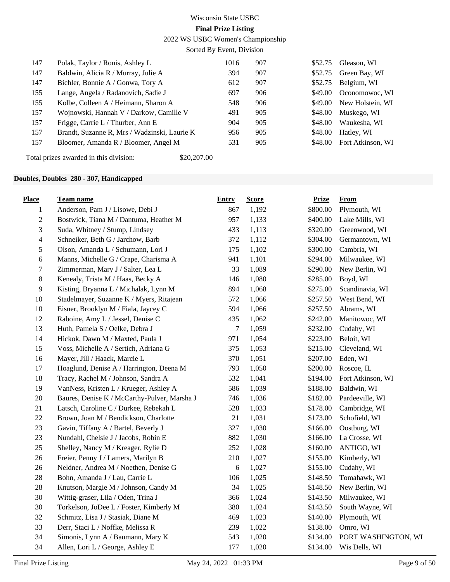2022 WS USBC Women's Championship

Sorted By Event, Division

| 147 | Polak, Taylor / Ronis, Ashley L              | 1016 | 907 | \$52.75 | Gleason, WI       |
|-----|----------------------------------------------|------|-----|---------|-------------------|
| 147 | Baldwin, Alicia R / Murray, Julie A          | 394  | 907 | \$52.75 | Green Bay, WI     |
| 147 | Bichler, Bonnie A / Gonwa, Tory A            | 612  | 907 | \$52.75 | Belgium, WI       |
| 155 | Lange, Angela / Radanovich, Sadie J          | 697  | 906 | \$49.00 | Oconomowoc, WI    |
| 155 | Kolbe, Colleen A / Heimann, Sharon A         | 548  | 906 | \$49.00 | New Holstein, WI  |
| 157 | Wojnowski, Hannah V / Darkow, Camille V      | 491  | 905 | \$48.00 | Muskego, WI       |
| 157 | Frigge, Carrie L / Thurber, Ann E            | 904  | 905 | \$48.00 | Waukesha, WI      |
| 157 | Brandt, Suzanne R, Mrs / Wadzinski, Laurie K | 956  | 905 | \$48.00 | Hatley, WI        |
| 157 | Bloomer, Amanda R / Bloomer, Angel M         | 531  | 905 | \$48.00 | Fort Atkinson, WI |
|     |                                              |      |     |         |                   |

Total prizes awarded in this division: \$20,207.00

#### **Doubles, Doubles 280 - 307, Handicapped**

| <b>Place</b>             | <b>Team name</b>                             | <b>Entry</b> | <b>Score</b> | <b>Prize</b> | <b>From</b>         |
|--------------------------|----------------------------------------------|--------------|--------------|--------------|---------------------|
| $\mathbf{1}$             | Anderson, Pam J / Lisowe, Debi J             | 867          | 1,192        | \$800.00     | Plymouth, WI        |
| $\overline{c}$           | Bostwick, Tiana M / Dantuma, Heather M       | 957          | 1,133        | \$400.00     | Lake Mills, WI      |
| 3                        | Suda, Whitney / Stump, Lindsey               | 433          | 1,113        | \$320.00     | Greenwood, WI       |
| $\overline{\mathcal{L}}$ | Schneiker, Beth G / Jarchow, Barb            | 372          | 1,112        | \$304.00     | Germantown, WI      |
| 5                        | Olson, Amanda L / Schumann, Lori J           | 175          | 1,102        | \$300.00     | Cambria, WI         |
| 6                        | Manns, Michelle G / Crape, Charisma A        | 941          | 1,101        | \$294.00     | Milwaukee, WI       |
| 7                        | Zimmerman, Mary J / Salter, Lea L            | 33           | 1,089        | \$290.00     | New Berlin, WI      |
| $8\,$                    | Kenealy, Trista M / Haas, Becky A            | 146          | 1,080        | \$285.00     | Boyd, WI            |
| 9                        | Kisting, Bryanna L / Michalak, Lynn M        | 894          | 1,068        | \$275.00     | Scandinavia, WI     |
| 10                       | Stadelmayer, Suzanne K / Myers, Ritajean     | 572          | 1,066        | \$257.50     | West Bend, WI       |
| 10                       | Eisner, Brooklyn M / Fiala, Jaycey C         | 594          | 1,066        | \$257.50     | Abrams, WI          |
| 12                       | Raboine, Amy L / Jessel, Denise C            | 435          | 1,062        | \$242.00     | Manitowoc, WI       |
| 13                       | Huth, Pamela S / Oelke, Debra J              | 7            | 1,059        | \$232.00     | Cudahy, WI          |
| 14                       | Hickok, Dawn M / Maxted, Paula J             | 971          | 1,054        | \$223.00     | Beloit, WI          |
| 15                       | Voss, Michelle A / Sertich, Adriana G        | 375          | 1,053        | \$215.00     | Cleveland, WI       |
| 16                       | Mayer, Jill / Haack, Marcie L                | 370          | 1,051        | \$207.00     | Eden, WI            |
| 17                       | Hoaglund, Denise A / Harrington, Deena M     | 793          | 1,050        | \$200.00     | Roscoe, IL          |
| 18                       | Tracy, Rachel M / Johnson, Sandra A          | 532          | 1,041        | \$194.00     | Fort Atkinson, WI   |
| 19                       | VanNess, Kristen L / Krueger, Ashley A       | 586          | 1,039        | \$188.00     | Baldwin, WI         |
| $20\,$                   | Baures, Denise K / McCarthy-Pulver, Marsha J | 746          | 1,036        | \$182.00     | Pardeeville, WI     |
| 21                       | Latsch, Caroline C / Durkee, Rebekah L       | 528          | 1,033        | \$178.00     | Cambridge, WI       |
| $22\,$                   | Brown, Joan M / Bendickson, Charlotte        | 21           | 1,031        | \$173.00     | Schofield, WI       |
| 23                       | Gavin, Tiffany A / Bartel, Beverly J         | 327          | 1,030        | \$166.00     | Oostburg, WI        |
| 23                       | Nundahl, Chelsie J / Jacobs, Robin E         | 882          | 1,030        | \$166.00     | La Crosse, WI       |
| 25                       | Shelley, Nancy M / Kreager, Rylie D          | 252          | 1,028        | \$160.00     | ANTIGO, WI          |
| 26                       | Freier, Penny J / Lamers, Marilyn B          | 210          | 1,027        | \$155.00     | Kimberly, WI        |
| 26                       | Neldner, Andrea M / Noethen, Denise G        | 6            | 1,027        | \$155.00     | Cudahy, WI          |
| 28                       | Bohn, Amanda J / Lau, Carrie L               | 106          | 1,025        | \$148.50     | Tomahawk, WI        |
| 28                       | Knutson, Margie M / Johnson, Candy M         | 34           | 1,025        | \$148.50     | New Berlin, WI      |
| 30                       | Wittig-graser, Lila / Oden, Trina J          | 366          | 1,024        | \$143.50     | Milwaukee, WI       |
| 30                       | Torkelson, JoDee L / Foster, Kimberly M      | 380          | 1,024        | \$143.50     | South Wayne, WI     |
| 32                       | Schmitz, Lisa J / Stasiak, Diane M           | 469          | 1,023        | \$140.00     | Plymouth, WI        |
| 33                       | Derr, Staci L / Noffke, Melissa R            | 239          | 1,022        | \$138.00     | Omro, WI            |
| 34                       | Simonis, Lynn A / Baumann, Mary K            | 543          | 1,020        | \$134.00     | PORT WASHINGTON, WI |
| 34                       | Allen, Lori L / George, Ashley E             | 177          | 1,020        | \$134.00     | Wis Dells, WI       |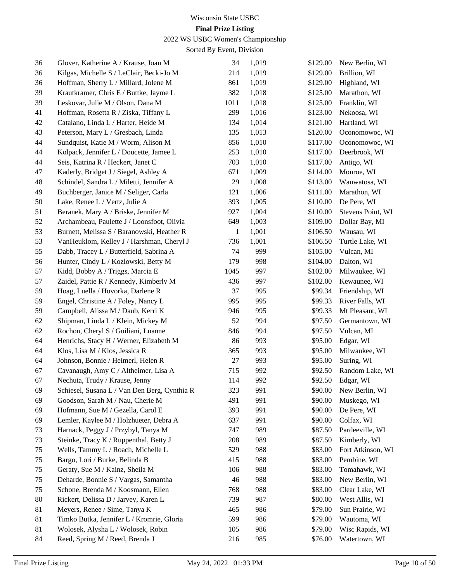## 2022 WS USBC Women's Championship

| 36 | Glover, Katherine A / Krause, Joan M         | 34     | 1,019 | \$129.00 | New Berlin, WI    |
|----|----------------------------------------------|--------|-------|----------|-------------------|
| 36 | Kilgas, Michelle S / LeClair, Becki-Jo M     | 214    | 1,019 | \$129.00 | Brillion, WI      |
| 36 | Hoffman, Sherry L / Millard, Jolene M        | 861    | 1,019 | \$129.00 | Highland, WI      |
| 39 | Krautkramer, Chris E / Buttke, Jayme L       | 382    | 1,018 | \$125.00 | Marathon, WI      |
| 39 | Leskovar, Julie M / Olson, Dana M            | 1011   | 1,018 | \$125.00 | Franklin, WI      |
| 41 | Hoffman, Rosetta R / Ziska, Tiffany L        | 299    | 1,016 | \$123.00 | Nekoosa, WI       |
| 42 | Catalano, Linda L / Harter, Heide M          | 134    | 1,014 | \$121.00 | Hartland, WI      |
| 43 | Peterson, Mary L / Gresbach, Linda           | 135    | 1,013 | \$120.00 | Oconomowoc, WI    |
| 44 | Sundquist, Katie M / Worm, Alison M          | 856    | 1,010 | \$117.00 | Oconomowoc, WI    |
| 44 | Kolpack, Jennifer L / Doucette, Jamee L      | 253    | 1,010 | \$117.00 | Deerbrook, WI     |
| 44 | Seis, Katrina R / Heckert, Janet C           | 703    | 1,010 | \$117.00 | Antigo, WI        |
| 47 | Kaderly, Bridget J / Siegel, Ashley A        | 671    | 1,009 | \$114.00 | Monroe, WI        |
| 48 | Schindel, Sandra L / Miletti, Jennifer A     | 29     | 1,008 | \$113.00 | Wauwatosa, WI     |
| 49 | Buchberger, Janice M / Seliger, Carla        | 121    | 1,006 | \$111.00 | Marathon, WI      |
| 50 | Lake, Renee L / Vertz, Julie A               | 393    | 1,005 | \$110.00 | De Pere, WI       |
| 51 | Beranek, Mary A / Briske, Jennifer M         | 927    | 1,004 | \$110.00 | Stevens Point, WI |
| 52 | Archambeau, Paulette J / Loonsfoot, Olivia   | 649    | 1,003 | \$109.00 | Dollar Bay, MI    |
| 53 | Burnett, Melissa S / Baranowski, Heather R   | 1      | 1,001 | \$106.50 | Wausau, WI        |
| 53 | VanHeuklom, Kelley J / Harshman, Cheryl J    | 736    | 1,001 | \$106.50 | Turtle Lake, WI   |
| 55 | Dabb, Tracey L / Butterfield, Sabrina A      | 74     | 999   | \$105.00 | Vulcan, MI        |
| 56 | Hunter, Cindy L / Kozlowski, Betty M         | 179    | 998   | \$104.00 | Dalton, WI        |
| 57 | Kidd, Bobby A / Triggs, Marcia E             | 1045   | 997   | \$102.00 | Milwaukee, WI     |
| 57 | Zaidel, Pattie R / Kennedy, Kimberly M       | 436    | 997   | \$102.00 | Kewaunee, WI      |
| 59 | Hoag, Luella / Hovorka, Darlene R            | 37     | 995   | \$99.34  | Friendship, WI    |
| 59 | Engel, Christine A / Foley, Nancy L          | 995    | 995   | \$99.33  | River Falls, WI   |
| 59 | Campbell, Alissa M / Daub, Kerri K           | 946    | 995   | \$99.33  | Mt Pleasant, WI   |
| 62 | Shipman, Linda L / Klein, Mickey M           | 52     | 994   | \$97.50  | Germantown, WI    |
| 62 | Rochon, Cheryl S / Guiliani, Luanne          | 846    | 994   | \$97.50  | Vulcan, MI        |
| 64 | Henrichs, Stacy H / Werner, Elizabeth M      | 86     | 993   | \$95.00  | Edgar, WI         |
| 64 | Klos, Lisa M / Klos, Jessica R               | 365    | 993   | \$95.00  | Milwaukee, WI     |
| 64 | Johnson, Bonnie / Heimerl, Helen R           | $27\,$ | 993   | \$95.00  | Suring, WI        |
| 67 | Cavanaugh, Amy C / Altheimer, Lisa A         | 715    | 992   | \$92.50  | Random Lake, WI   |
| 67 | Nechuta, Trudy / Krause, Jenny               | 114    | 992   | \$92.50  | Edgar, WI         |
| 69 | Schiesel, Susana L / Van Den Berg, Cynthia R | 323    | 991   | \$90.00  | New Berlin, WI    |
| 69 | Goodson, Sarah M / Nau, Cherie M             | 491    | 991   | \$90.00  | Muskego, WI       |
| 69 | Hofmann, Sue M / Gezella, Carol E            | 393    | 991   | \$90.00  | De Pere, WI       |
| 69 | Lemler, Kaylee M / Holzhueter, Debra A       | 637    | 991   | \$90.00  | Colfax, WI        |
| 73 | Harnack, Peggy J / Przybyl, Tanya M          | 747    | 989   | \$87.50  | Pardeeville, WI   |
| 73 | Steinke, Tracy K / Ruppenthal, Betty J       | 208    | 989   | \$87.50  | Kimberly, WI      |
| 75 | Wells, Tammy L / Roach, Michelle L           | 529    | 988   | \$83.00  | Fort Atkinson, WI |
| 75 | Bargo, Lori / Burke, Belinda B               | 415    | 988   | \$83.00  | Pembine, WI       |
| 75 | Geraty, Sue M / Kainz, Sheila M              | 106    | 988   | \$83.00  | Tomahawk, WI      |
| 75 | Deharde, Bonnie S / Vargas, Samantha         | 46     | 988   | \$83.00  | New Berlin, WI    |
| 75 | Schone, Brenda M / Koosmann, Ellen           | 768    | 988   | \$83.00  | Clear Lake, WI    |
| 80 | Rickert, Delissa D / Jarvey, Karen L         | 739    | 987   | \$80.00  | West Allis, WI    |
| 81 | Meyers, Renee / Sime, Tanya K                | 465    | 986   | \$79.00  | Sun Prairie, WI   |
| 81 | Timko Butka, Jennifer L / Kromrie, Gloria    | 599    | 986   | \$79.00  | Wautoma, WI       |
| 81 | Wolosek, Alysha L / Wolosek, Robin           | 105    | 986   | \$79.00  | Wisc Rapids, WI   |
| 84 | Reed, Spring M / Reed, Brenda J              | 216    | 985   | \$76.00  | Watertown, WI     |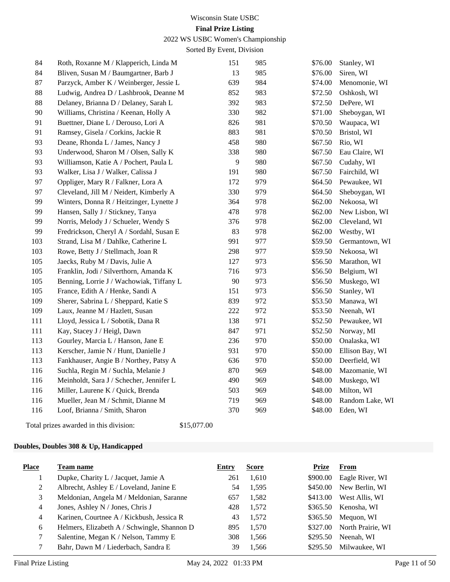2022 WS USBC Women's Championship

Sorted By Event, Division

| 84  | Roth, Roxanne M / Klapperich, Linda M    | 151 | 985 | \$76.00 | Stanley, WI     |
|-----|------------------------------------------|-----|-----|---------|-----------------|
| 84  | Bliven, Susan M / Baumgartner, Barb J    | 13  | 985 | \$76.00 | Siren, WI       |
| 87  | Parzyck, Amber K / Weinberger, Jessie L  | 639 | 984 | \$74.00 | Menomonie, WI   |
| 88  | Ludwig, Andrea D / Lashbrook, Deanne M   | 852 | 983 | \$72.50 | Oshkosh, WI     |
| 88  | Delaney, Brianna D / Delaney, Sarah L    | 392 | 983 | \$72.50 | DePere, WI      |
| 90  | Williams, Christina / Keenan, Holly A    | 330 | 982 | \$71.00 | Sheboygan, WI   |
| 91  | Buettner, Diane L / Derouso, Lori A      | 826 | 981 | \$70.50 | Waupaca, WI     |
| 91  | Ramsey, Gisela / Corkins, Jackie R       | 883 | 981 | \$70.50 | Bristol, WI     |
| 93  | Deane, Rhonda L / James, Nancy J         | 458 | 980 | \$67.50 | Rio, WI         |
| 93  | Underwood, Sharon M / Olsen, Sally K     | 338 | 980 | \$67.50 | Eau Claire, WI  |
| 93  | Williamson, Katie A / Pochert, Paula L   | 9   | 980 | \$67.50 | Cudahy, WI      |
| 93  | Walker, Lisa J / Walker, Calissa J       | 191 | 980 | \$67.50 | Fairchild, WI   |
| 97  | Oppliger, Mary R / Falkner, Lora A       | 172 | 979 | \$64.50 | Pewaukee, WI    |
| 97  | Cleveland, Jill M / Neidert, Kimberly A  | 330 | 979 | \$64.50 | Sheboygan, WI   |
| 99  | Winters, Donna R / Heitzinger, Lynette J | 364 | 978 | \$62.00 | Nekoosa, WI     |
| 99  | Hansen, Sally J / Stickney, Tanya        | 478 | 978 | \$62.00 | New Lisbon, WI  |
| 99  | Norris, Melody J / Schueler, Wendy S     | 376 | 978 | \$62.00 | Cleveland, WI   |
| 99  | Fredrickson, Cheryl A / Sordahl, Susan E | 83  | 978 | \$62.00 | Westby, WI      |
| 103 | Strand, Lisa M / Dahlke, Catherine L     | 991 | 977 | \$59.50 | Germantown, WI  |
| 103 | Rowe, Betty J / Stellmach, Joan R        | 298 | 977 | \$59.50 | Nekoosa, WI     |
| 105 | Jaecks, Ruby M / Davis, Julie A          | 127 | 973 | \$56.50 | Marathon, WI    |
| 105 | Franklin, Jodi / Silverthorn, Amanda K   | 716 | 973 | \$56.50 | Belgium, WI     |
| 105 | Benning, Lorrie J / Wachowiak, Tiffany L | 90  | 973 | \$56.50 | Muskego, WI     |
| 105 | France, Edith A / Henke, Sandi A         | 151 | 973 | \$56.50 | Stanley, WI     |
| 109 | Sherer, Sabrina L / Sheppard, Katie S    | 839 | 972 | \$53.50 | Manawa, WI      |
| 109 | Laux, Jeanne M / Hazlett, Susan          | 222 | 972 | \$53.50 | Neenah, WI      |
| 111 | Lloyd, Jessica L / Sobotik, Dana R       | 138 | 971 | \$52.50 | Pewaukee, WI    |
| 111 | Kay, Stacey J / Heigl, Dawn              | 847 | 971 | \$52.50 | Norway, MI      |
| 113 | Gourley, Marcia L / Hanson, Jane E       | 236 | 970 | \$50.00 | Onalaska, WI    |
| 113 | Kerscher, Jamie N / Hunt, Danielle J     | 931 | 970 | \$50.00 | Ellison Bay, WI |
| 113 | Fankhauser, Angie B / Northey, Patsy A   | 636 | 970 | \$50.00 | Deerfield, WI   |
| 116 | Suchla, Regin M / Suchla, Melanie J      | 870 | 969 | \$48.00 | Mazomanie, WI   |
| 116 | Meinholdt, Sara J / Schecher, Jennifer L | 490 | 969 | \$48.00 | Muskego, WI     |
| 116 | Miller, Laurene K / Quick, Brenda        | 503 | 969 | \$48.00 | Milton, WI      |
| 116 | Mueller, Jean M / Schmit, Dianne M       | 719 | 969 | \$48.00 | Random Lake, WI |
| 116 | Loof, Brianna / Smith, Sharon            | 370 | 969 | \$48.00 | Eden, WI        |
|     |                                          |     |     |         |                 |

Total prizes awarded in this division: \$15,077.00

#### **Doubles, Doubles 308 & Up, Handicapped**

| <b>Place</b> | Team name                                   | Entry | <b>Score</b> | <b>Prize</b> | From              |
|--------------|---------------------------------------------|-------|--------------|--------------|-------------------|
|              | Dupke, Charity L / Jacquet, Jamie A         | 261   | 1,610        | \$900.00     | Eagle River, WI   |
| 2            | Albrecht, Ashley E / Loveland, Janine E     | 54    | 1,595        | \$450.00     | New Berlin, WI    |
| 3            | Meldonian, Angela M / Meldonian, Saranne    | 657   | 1,582        | \$413.00     | West Allis, WI    |
| 4            | Jones, Ashley N / Jones, Chris J            | 428   | 1,572        | \$365.50     | Kenosha, WI       |
| 4            | Karinen, Courtnee A / Kickbush, Jessica R   | 43    | 1,572        | \$365.50     | Mequon, WI        |
| 6            | Helmers, Elizabeth A / Schwingle, Shannon D | 895   | 1,570        | \$327.00     | North Prairie, WI |
| 7            | Salentine, Megan K / Nelson, Tammy E        | 308   | 1,566        | \$295.50     | Neenah. WI        |
|              | Bahr, Dawn M / Liederbach, Sandra E         | 39    | 1.566        | \$295.50     | Milwaukee, WI     |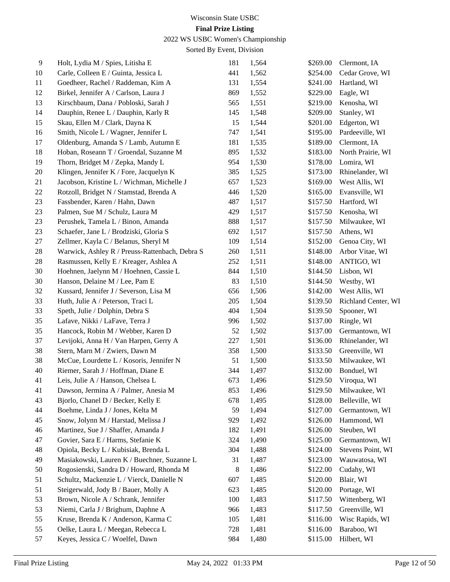## 2022 WS USBC Women's Championship

| $\overline{9}$ | Holt, Lydia M / Spies, Litisha E               | 181 | 1,564 | \$269.00 | Clermont, IA           |
|----------------|------------------------------------------------|-----|-------|----------|------------------------|
| 10             | Carle, Colleen E / Guinta, Jessica L           | 441 | 1,562 | \$254.00 | Cedar Grove, WI        |
| 11             | Goedheer, Rachel / Raddeman, Kim A             | 131 | 1,554 | \$241.00 | Hartland, WI           |
| 12             | Birkel, Jennifer A / Carlson, Laura J          | 869 | 1,552 | \$229.00 | Eagle, WI              |
| 13             | Kirschbaum, Dana / Pobloski, Sarah J           | 565 | 1,551 | \$219.00 | Kenosha, WI            |
| 14             | Dauphin, Renee L / Dauphin, Karly R            | 145 | 1,548 | \$209.00 | Stanley, WI            |
| 15             | Skau, Ellen M / Clark, Dayna K                 | 15  | 1,544 | \$201.00 | Edgerton, WI           |
| 16             | Smith, Nicole L / Wagner, Jennifer L           | 747 | 1,541 | \$195.00 | Pardeeville, WI        |
| 17             | Oldenburg, Amanda S / Lamb, Autumn E           | 181 | 1,535 | \$189.00 | Clermont, IA           |
| 18             | Hoban, Roseann T / Groendal, Suzanne M         | 895 | 1,532 | \$183.00 | North Prairie, WI      |
| 19             | Thorn, Bridget M / Zepka, Mandy L              | 954 | 1,530 | \$178.00 | Lomira, WI             |
| 20             | Klingen, Jennifer K / Fore, Jacquelyn K        | 385 | 1,525 | \$173.00 | Rhinelander, WI        |
| 21             | Jacobson, Kristine L / Wichman, Michelle J     | 657 | 1,523 | \$169.00 | West Allis, WI         |
| 22             | Rotzoll, Bridget N / Stamstad, Brenda A        | 446 | 1,520 | \$165.00 | Evansville, WI         |
| 23             | Fassbender, Karen / Hahn, Dawn                 | 487 | 1,517 | \$157.50 | Hartford, WI           |
| 23             | Palmen, Sue M / Schulz, Laura M                | 429 | 1,517 | \$157.50 | Kenosha, WI            |
| 23             | Perushek, Tamela L / Binon, Amanda             | 888 | 1,517 | \$157.50 | Milwaukee, WI          |
| 23             | Schaefer, Jane L / Brodziski, Gloria S         | 692 | 1,517 | \$157.50 | Athens, WI             |
| 27             | Zellmer, Kayla C / Belanus, Sheryl M           | 109 | 1,514 | \$152.00 | Genoa City, WI         |
| 28             | Warwick, Ashley R / Preuss-Rattenbach, Debra S | 260 | 1,511 | \$148.00 | Arbor Vitae, WI        |
| 28             | Rasmussen, Kelly E / Kreager, Ashlea A         | 252 | 1,511 | \$148.00 | ANTIGO, WI             |
| 30             | Hoehnen, Jaelynn M / Hoehnen, Cassie L         | 844 | 1,510 | \$144.50 | Lisbon, WI             |
| 30             | Hanson, Delaine M / Lee, Pam E                 | 83  | 1,510 | \$144.50 | Westby, WI             |
| 32             | Kussard, Jennifer J / Severson, Lisa M         | 656 | 1,506 | \$142.00 | West Allis, WI         |
| 33             | Huth, Julie A / Peterson, Traci L              | 205 | 1,504 | \$139.50 | Richland Center, WI    |
| 33             | Speth, Julie / Dolphin, Debra S                | 404 | 1,504 | \$139.50 | Spooner, WI            |
| 35             | Lafave, Nikki / LaFave, Terra J                | 996 | 1,502 | \$137.00 | Ringle, WI             |
| 35             | Hancock, Robin M / Webber, Karen D             | 52  | 1,502 | \$137.00 | Germantown, WI         |
| 37             | Levijoki, Anna H / Van Harpen, Gerry A         | 227 | 1,501 | \$136.00 | Rhinelander, WI        |
| 38             | Stern, Marn M / Zwiers, Dawn M                 | 358 | 1,500 | \$133.50 | Greenville, WI         |
| 38             | McCue, Lourdette L / Kosoris, Jennifer N       | 51  | 1,500 | \$133.50 | Milwaukee, WI          |
| 40             | Riemer, Sarah J / Hoffman, Diane E             | 344 | 1,497 | \$132.00 | Bonduel, WI            |
| 41             | Leis, Julie A / Hanson, Chelsea L              | 673 | 1,496 | \$129.50 | Viroqua, WI            |
| 41             | Dawson, Jermina A / Palmer, Anesia M           | 853 | 1,496 |          | \$129.50 Milwaukee, WI |
| 43             | Bjorlo, Chanel D / Becker, Kelly E             | 678 | 1,495 | \$128.00 | Belleville, WI         |
| 44             | Boehme, Linda J / Jones, Kelta M               | 59  | 1,494 | \$127.00 | Germantown, WI         |
| 45             | Snow, Jolynn M / Harstad, Melissa J            | 929 | 1,492 | \$126.00 | Hammond, WI            |
| 46             | Martinez, Sue J / Shaffer, Amanda J            | 182 | 1,491 | \$126.00 | Steuben, WI            |
| 47             | Govier, Sara E / Harms, Stefanie K             | 324 | 1,490 | \$125.00 | Germantown, WI         |
| 48             | Opiola, Becky L / Kubisiak, Brenda L           | 304 | 1,488 | \$124.00 | Stevens Point, WI      |
| 49             | Masiakowski, Lauren K / Buechner, Suzanne L    | 31  | 1,487 | \$123.00 | Wauwatosa, WI          |
| 50             | Rogosienski, Sandra D / Howard, Rhonda M       | 8   | 1,486 | \$122.00 | Cudahy, WI             |
| 51             | Schultz, Mackenzie L / Vierck, Danielle N      | 607 | 1,485 | \$120.00 | Blair, WI              |
| 51             | Steigerwald, Jody B / Bauer, Molly A           | 623 | 1,485 | \$120.00 | Portage, WI            |
| 53             | Brown, Nicole A / Schrank, Jennifer            | 100 | 1,483 | \$117.50 | Wittenberg, WI         |
| 53             | Niemi, Carla J / Brighum, Daphne A             | 966 | 1,483 | \$117.50 | Greenville, WI         |
| 55             | Kruse, Brenda K / Anderson, Karma C            | 105 | 1,481 | \$116.00 | Wisc Rapids, WI        |
| 55             | Oelke, Laura L / Meegan, Rebecca L             | 728 | 1,481 | \$116.00 | Baraboo, WI            |
| 57             | Keyes, Jessica C / Woelfel, Dawn               | 984 | 1,480 | \$115.00 | Hilbert, WI            |
|                |                                                |     |       |          |                        |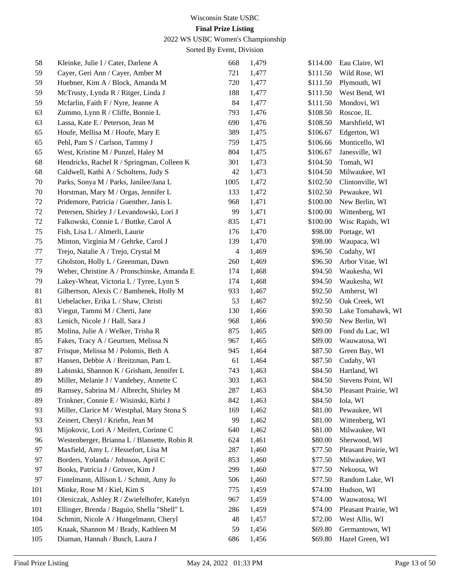## 2022 WS USBC Women's Championship

| 58  | Kleinke, Julie I / Cater, Darlene A          | 668                      | 1,479 | \$114.00 | Eau Claire, WI               |
|-----|----------------------------------------------|--------------------------|-------|----------|------------------------------|
| 59  | Cayer, Geri Ann / Cayer, Amber M             | 721                      | 1,477 | \$111.50 | Wild Rose, WI                |
| 59  | Huebner, Kim A / Block, Amanda M             | 720                      | 1,477 | \$111.50 | Plymouth, WI                 |
| 59  | McTrusty, Lynda R / Ritger, Linda J          | 188                      | 1,477 | \$111.50 | West Bend, WI                |
| 59  | Mcfarlin, Faith F / Nyre, Jeanne A           | 84                       | 1,477 | \$111.50 | Mondovi, WI                  |
| 63  | Zummo, Lynn R / Cliffe, Bonnie L             | 793                      | 1,476 | \$108.50 | Roscoe, IL                   |
| 63  | Lassa, Kate E / Peterson, Jean M             | 690                      | 1,476 | \$108.50 | Marshfield, WI               |
| 65  | Houfe, Mellisa M / Houfe, Mary E             | 389                      | 1,475 | \$106.67 | Edgerton, WI                 |
| 65  | Pehl, Pam S / Carlson, Tammy J               | 759                      | 1,475 | \$106.66 | Monticello, WI               |
| 65  | West, Kristine M / Punzel, Haley M           | 804                      | 1,475 | \$106.67 | Janesville, WI               |
| 68  | Hendricks, Rachel R / Springman, Colleen K   | 301                      | 1,473 | \$104.50 | Tomah, WI                    |
| 68  | Caldwell, Kathi A / Scholtens, Judy S        | 42                       | 1,473 | \$104.50 | Milwaukee, WI                |
| 70  | Parks, Sonya M / Parks, Janilee/Jana L       | 1005                     | 1,472 | \$102.50 | Clintonville, WI             |
| 70  | Horstman, Mary M / Orgas, Jennifer L         | 133                      | 1,472 | \$102.50 | Pewaukee, WI                 |
| 72  | Pridemore, Patricia / Guenther, Janis L      | 968                      | 1,471 | \$100.00 | New Berlin, WI               |
| 72  | Petersen, Shirley J / Levandowski, Lori J    | 99                       | 1,471 | \$100.00 | Wittenberg, WI               |
| 72  | Falkowski, Connie L / Buttke, Carol A        | 835                      | 1,471 | \$100.00 | Wisc Rapids, WI              |
| 75  | Fish, Lisa L / Almerli, Laurie               | 176                      | 1,470 | \$98.00  | Portage, WI                  |
| 75  | Minton, Virginia M / Gehrke, Carol J         | 139                      | 1,470 | \$98.00  | Waupaca, WI                  |
| 77  | Trejo, Natalie A / Trejo, Crystal M          | $\overline{\mathcal{L}}$ | 1,469 | \$96.50  | Cudahy, WI                   |
| 77  | Gholston, Holly L / Greenman, Dawn           | 260                      | 1,469 | \$96.50  | Arbor Vitae, WI              |
| 79  | Weber, Christine A / Pronschinske, Amanda E  | 174                      | 1,468 | \$94.50  | Waukesha, WI                 |
| 79  | Lakey-Wheat, Victoria L / Tyree, Lynn S      | 174                      | 1,468 | \$94.50  | Waukesha, WI                 |
| 81  | Gilbertson, Alexis C / Bambenek, Holly M     | 933                      | 1,467 | \$92.50  | Amherst, WI                  |
| 81  | Uebelacker, Erika L / Shaw, Christi          | 53                       | 1,467 | \$92.50  | Oak Creek, WI                |
| 83  | Viegut, Tammi M / Cherti, Jane               | 130                      | 1,466 | \$90.50  | Lake Tomahawk, WI            |
| 83  | Lenich, Nicole J / Hall, Sara J              | 968                      | 1,466 | \$90.50  | New Berlin, WI               |
| 85  | Molina, Julie A / Welker, Trisha R           | 875                      | 1,465 | \$89.00  | Fond du Lac, WI              |
| 85  | Fakes, Tracy A / Geurtsen, Melissa N         | 967                      | 1,465 | \$89.00  | Wauwatosa, WI                |
| 87  | Frisque, Melissa M / Polomis, Beth A         | 945                      | 1,464 | \$87.50  | Green Bay, WI                |
| 87  | Hansen, Debbie A / Breitzman, Pam L          | 61                       | 1,464 | \$87.50  | Cudahy, WI                   |
| 89  | Labinski, Shannon K / Grisham, Jennifer L    | 743                      | 1,463 | \$84.50  | Hartland, WI                 |
| 89  | Miller, Melanie J / Vandehey, Annette C      | 303                      | 1,463 | \$84.50  | Stevens Point, WI            |
| 89  | Ramsey, Sabrina M / Albrecht, Shirley M      | 287                      | 1,463 |          | \$84.50 Pleasant Prairie, WI |
| 89  | Trinkner, Connie E / Wisinski, Kirbi J       | 842                      | 1,463 | \$84.50  | Iola, WI                     |
| 93  | Miller, Clarice M / Westphal, Mary Stona S   | 169                      | 1,462 | \$81.00  | Pewaukee, WI                 |
| 93  | Zeinert, Cheryl / Kriehn, Jean M             | 99                       | 1,462 | \$81.00  | Wittenberg, WI               |
| 93  | Mijokovic, Lori A / Meifert, Corinne C       | 640                      | 1,462 | \$81.00  | Milwaukee, WI                |
| 96  | Westenberger, Brianna L / Blansette, Robin R | 624                      | 1,461 | \$80.00  | Sherwood, WI                 |
| 97  | Maxfield, Amy L / Hessefort, Lisa M          | 287                      | 1,460 | \$77.50  | Pleasant Prairie, WI         |
| 97  | Borders, Yolanda / Johnson, April C          | 853                      | 1,460 | \$77.50  | Milwaukee, WI                |
| 97  | Books, Patricia J / Grover, Kim J            | 299                      | 1,460 | \$77.50  | Nekoosa, WI                  |
| 97  | Fintelmann, Allison L / Schmit, Amy Jo       | 506                      | 1,460 | \$77.50  | Random Lake, WI              |
| 101 | Minke, Rose M / Kiel, Kim S                  | 775                      | 1,459 | \$74.00  | Hudson, WI                   |
| 101 | Oleniczak, Ashley R / Zwiefelhofer, Katelyn  | 967                      | 1,459 | \$74.00  | Wauwatosa, WI                |
| 101 | Ellinger, Brenda / Baguio, Shella "Shell" L  | 286                      | 1,459 | \$74.00  | Pleasant Prairie, WI         |
| 104 | Schmitt, Nicole A / Hungelmann, Cheryl       | 48                       | 1,457 | \$72.00  | West Allis, WI               |
| 105 | Knaak, Shannon M / Brady, Kathleen M         | 59                       | 1,456 | \$69.80  | Germantown, WI               |
| 105 | Diaman, Hannah / Busch, Laura J              | 686                      | 1,456 | \$69.80  | Hazel Green, WI              |
|     |                                              |                          |       |          |                              |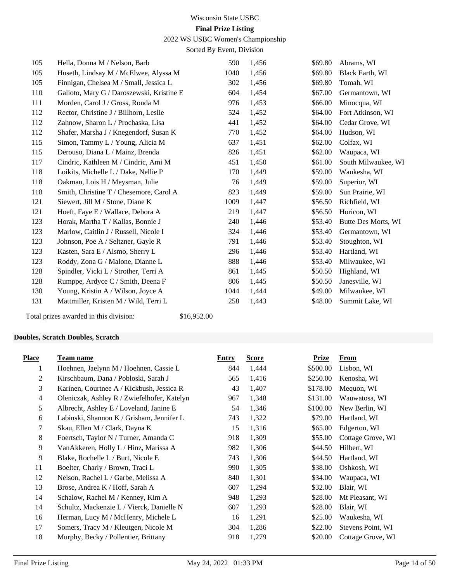#### 2022 WS USBC Women's Championship

Sorted By Event, Division

| 105 | Hella, Donna M / Nelson, Barb             | 590  | 1,456 | \$69.80 | Abrams, WI          |
|-----|-------------------------------------------|------|-------|---------|---------------------|
| 105 | Huseth, Lindsay M / McElwee, Alyssa M     | 1040 | 1,456 | \$69.80 | Black Earth, WI     |
| 105 | Finnigan, Chelsea M / Small, Jessica L    | 302  | 1,456 | \$69.80 | Tomah, WI           |
| 110 | Galioto, Mary G / Daroszewski, Kristine E | 604  | 1,454 | \$67.00 | Germantown, WI      |
| 111 | Morden, Carol J / Gross, Ronda M          | 976  | 1,453 | \$66.00 | Minocqua, WI        |
| 112 | Rector, Christine J / Billhorn, Leslie    | 524  | 1,452 | \$64.00 | Fort Atkinson, WI   |
| 112 | Zahnow, Sharon L / Prochaska, Lisa        | 441  | 1,452 | \$64.00 | Cedar Grove, WI     |
| 112 | Shafer, Marsha J / Knegendorf, Susan K    | 770  | 1,452 | \$64.00 | Hudson, WI          |
| 115 | Simon, Tammy L / Young, Alicia M          | 637  | 1,451 | \$62.00 | Colfax, WI          |
| 115 | Derouso, Diana L / Mainz, Brenda          | 826  | 1,451 | \$62.00 | Waupaca, WI         |
| 117 | Cindric, Kathleen M / Cindric, Ami M      | 451  | 1,450 | \$61.00 | South Milwaukee, WI |
| 118 | Loikits, Michelle L / Dake, Nellie P      | 170  | 1,449 | \$59.00 | Waukesha, WI        |
| 118 | Oakman, Lois H / Meysman, Julie           | 76   | 1,449 | \$59.00 | Superior, WI        |
| 118 | Smith, Christine T / Chesemore, Carol A   | 823  | 1,449 | \$59.00 | Sun Prairie, WI     |
| 121 | Siewert, Jill M / Stone, Diane K          | 1009 | 1,447 | \$56.50 | Richfield, WI       |
| 121 | Hoeft, Faye E / Wallace, Debora A         | 219  | 1,447 | \$56.50 | Horicon, WI         |
| 123 | Horak, Martha T / Kallas, Bonnie J        | 240  | 1,446 | \$53.40 | Butte Des Morts, WI |
| 123 | Marlow, Caitlin J / Russell, Nicole I     | 324  | 1,446 | \$53.40 | Germantown, WI      |
| 123 | Johnson, Poe A / Seltzner, Gayle R        | 791  | 1,446 | \$53.40 | Stoughton, WI       |
| 123 | Kasten, Sara E / Alsmo, Sherry L          | 296  | 1,446 | \$53.40 | Hartland, WI        |
| 123 | Roddy, Zona G / Malone, Dianne L          | 888  | 1,446 | \$53.40 | Milwaukee, WI       |
| 128 | Spindler, Vicki L / Strother, Terri A     | 861  | 1,445 | \$50.50 | Highland, WI        |
| 128 | Rumppe, Ardyce C / Smith, Deena F         | 806  | 1,445 | \$50.50 | Janesville, WI      |
| 130 | Young, Kristin A / Wilson, Joyce A        | 1044 | 1,444 | \$49.00 | Milwaukee, WI       |
| 131 | Mattmiller, Kristen M / Wild, Terri L     | 258  | 1,443 | \$48.00 | Summit Lake, WI     |
|     |                                           |      |       |         |                     |

Total prizes awarded in this division: \$16,952.00

#### **Doubles, Scratch Doubles, Scratch**

| <b>Place</b>   | Team name                                   | Entry | <b>Score</b> | <b>Prize</b> | <u>From</u>       |
|----------------|---------------------------------------------|-------|--------------|--------------|-------------------|
| 1              | Hoehnen, Jaelynn M / Hoehnen, Cassie L      | 844   | 1,444        | \$500.00     | Lisbon, WI        |
| 2              | Kirschbaum, Dana / Pobloski, Sarah J        | 565   | 1,416        | \$250.00     | Kenosha, WI       |
| 3              | Karinen, Courtnee A / Kickbush, Jessica R   | 43    | 1,407        | \$178.00     | Mequon, WI        |
| $\overline{4}$ | Oleniczak, Ashley R / Zwiefelhofer, Katelyn | 967   | 1,348        | \$131.00     | Wauwatosa, WI     |
| 5              | Albrecht, Ashley E / Loveland, Janine E     | 54    | 1,346        | \$100.00     | New Berlin, WI    |
| 6              | Labinski, Shannon K / Grisham, Jennifer L   | 743   | 1,322        | \$79.00      | Hartland, WI      |
| 7              | Skau, Ellen M / Clark, Dayna K              | 15    | 1,316        | \$65.00      | Edgerton, WI      |
| 8              | Foertsch, Taylor N / Turner, Amanda C       | 918   | 1,309        | \$55.00      | Cottage Grove, WI |
| 9              | VanAkkeren, Holly L / Hinz, Marissa A       | 982   | 1,306        | \$44.50      | Hilbert, WI       |
| 9              | Blake, Rochelle L / Burt, Nicole E          | 743   | 1,306        | \$44.50      | Hartland, WI      |
| 11             | Boelter, Charly / Brown, Traci L            | 990   | 1,305        | \$38.00      | Oshkosh, WI       |
| 12             | Nelson, Rachel L / Garbe, Melissa A         | 840   | 1,301        | \$34.00      | Waupaca, WI       |
| 13             | Brose, Andrea K / Hoff, Sarah A             | 607   | 1,294        | \$32.00      | Blair, WI         |
| 14             | Schalow, Rachel M / Kenney, Kim A           | 948   | 1,293        | \$28.00      | Mt Pleasant, WI   |
| 14             | Schultz, Mackenzie L / Vierck, Danielle N   | 607   | 1,293        | \$28.00      | Blair, WI         |
| 16             | Herman, Lucy M / McHenry, Michele L         | 16    | 1,291        | \$25.00      | Waukesha, WI      |
| 17             | Somers, Tracy M / Kleutgen, Nicole M        | 304   | 1,286        | \$22.00      | Stevens Point, WI |
| 18             | Murphy, Becky / Pollentier, Brittany        | 918   | 1,279        | \$20.00      | Cottage Grove, WI |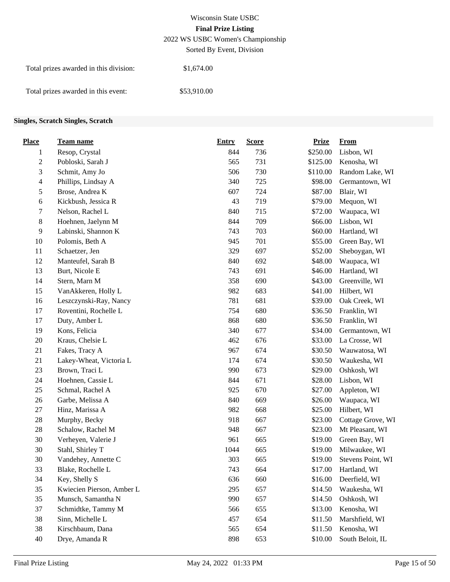## Wisconsin State USBC **Final Prize Listing** 2022 WS USBC Women's Championship

Sorted By Event, Division

| Total prizes awarded in this division: | \$1,674.00  |
|----------------------------------------|-------------|
| Total prizes awarded in this event:    | \$53,910.00 |

#### **Singles, Scratch Singles, Scratch**

| <b>Place</b>   | <b>Team name</b>          | <b>Entry</b> | <b>Score</b> | <b>Prize</b> | <b>From</b>       |
|----------------|---------------------------|--------------|--------------|--------------|-------------------|
| 1              | Resop, Crystal            | 844          | 736          | \$250.00     | Lisbon, WI        |
| $\overline{c}$ | Pobloski, Sarah J         | 565          | 731          | \$125.00     | Kenosha, WI       |
| 3              | Schmit, Amy Jo            | 506          | 730          | \$110.00     | Random Lake, WI   |
| 4              | Phillips, Lindsay A       | 340          | 725          | \$98.00      | Germantown, WI    |
| 5              | Brose, Andrea K           | 607          | 724          | \$87.00      | Blair, WI         |
| 6              | Kickbush, Jessica R       | 43           | 719          | \$79.00      | Mequon, WI        |
| 7              | Nelson, Rachel L          | 840          | 715          | \$72.00      | Waupaca, WI       |
| 8              | Hoehnen, Jaelynn M        | 844          | 709          | \$66.00      | Lisbon, WI        |
| $\overline{9}$ | Labinski, Shannon K       | 743          | 703          | \$60.00      | Hartland, WI      |
| 10             | Polomis, Beth A           | 945          | 701          | \$55.00      | Green Bay, WI     |
| 11             | Schaetzer, Jen            | 329          | 697          | \$52.00      | Sheboygan, WI     |
| 12             | Manteufel, Sarah B        | 840          | 692          | \$48.00      | Waupaca, WI       |
| 13             | Burt, Nicole E            | 743          | 691          | \$46.00      | Hartland, WI      |
| 14             | Stern, Marn M             | 358          | 690          | \$43.00      | Greenville, WI    |
| 15             | VanAkkeren, Holly L       | 982          | 683          | \$41.00      | Hilbert, WI       |
| 16             | Leszczynski-Ray, Nancy    | 781          | 681          | \$39.00      | Oak Creek, WI     |
| 17             | Roventini, Rochelle L     | 754          | 680          | \$36.50      | Franklin, WI      |
| 17             | Duty, Amber L             | 868          | 680          | \$36.50      | Franklin, WI      |
| 19             | Kons, Felicia             | 340          | 677          | \$34.00      | Germantown, WI    |
| 20             | Kraus, Chelsie L          | 462          | 676          | \$33.00      | La Crosse, WI     |
| 21             | Fakes, Tracy A            | 967          | 674          | \$30.50      | Wauwatosa, WI     |
| 21             | Lakey-Wheat, Victoria L   | 174          | 674          | \$30.50      | Waukesha, WI      |
| 23             | Brown, Traci L            | 990          | 673          | \$29.00      | Oshkosh, WI       |
| 24             | Hoehnen, Cassie L         | 844          | 671          | \$28.00      | Lisbon, WI        |
| 25             | Schmal, Rachel A          | 925          | 670          | \$27.00      | Appleton, WI      |
| 26             | Garbe, Melissa A          | 840          | 669          | \$26.00      | Waupaca, WI       |
| 27             | Hinz, Marissa A           | 982          | 668          | \$25.00      | Hilbert, WI       |
| 28             | Murphy, Becky             | 918          | 667          | \$23.00      | Cottage Grove, WI |
| 28             | Schalow, Rachel M         | 948          | 667          | \$23.00      | Mt Pleasant, WI   |
| 30             | Verheyen, Valerie J       | 961          | 665          | \$19.00      | Green Bay, WI     |
| 30             | Stahl, Shirley T          | 1044         | 665          | \$19.00      | Milwaukee, WI     |
| 30             | Vandehey, Annette C       | 303          | 665          | \$19.00      | Stevens Point, WI |
| 33             | Blake, Rochelle L         | 743          | 664          | \$17.00      | Hartland, WI      |
| 34             | Key, Shelly S             | 636          | 660          | \$16.00      | Deerfield, WI     |
| 35             | Kwiecien Pierson, Amber L | 295          | 657          | \$14.50      | Waukesha, WI      |
| 35             | Munsch, Samantha N        | 990          | 657          | \$14.50      | Oshkosh, WI       |
| 37             | Schmidtke, Tammy M        | 566          | 655          | \$13.00      | Kenosha, WI       |
| 38             | Sinn, Michelle L          | 457          | 654          | \$11.50      | Marshfield, WI    |
| 38             | Kirschbaum, Dana          | 565          | 654          | \$11.50      | Kenosha, WI       |
| 40             | Drye, Amanda R            | 898          | 653          | \$10.00      | South Beloit, IL  |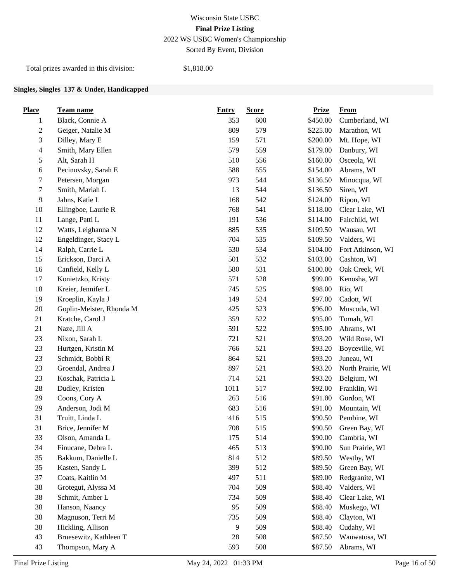# Wisconsin State USBC **Final Prize Listing** 2022 WS USBC Women's Championship

Sorted By Event, Division

Total prizes awarded in this division: \$1,818.00

#### **Singles, Singles 137 & Under, Handicapped**

| <b>Place</b>   | <b>Team name</b>         | <b>Entry</b> | <b>Score</b> | <b>Prize</b> | <b>From</b>       |
|----------------|--------------------------|--------------|--------------|--------------|-------------------|
| 1              | Black, Connie A          | 353          | 600          | \$450.00     | Cumberland, WI    |
| $\overline{c}$ | Geiger, Natalie M        | 809          | 579          | \$225.00     | Marathon, WI      |
| 3              | Dilley, Mary E           | 159          | 571          | \$200.00     | Mt. Hope, WI      |
| $\overline{4}$ | Smith, Mary Ellen        | 579          | 559          | \$179.00     | Danbury, WI       |
| 5              | Alt, Sarah H             | 510          | 556          | \$160.00     | Osceola, WI       |
| 6              | Pecinovsky, Sarah E      | 588          | 555          | \$154.00     | Abrams, WI        |
| $\sqrt{ }$     | Petersen, Morgan         | 973          | 544          | \$136.50     | Minocqua, WI      |
| 7              | Smith, Mariah L          | 13           | 544          | \$136.50     | Siren, WI         |
| $\overline{9}$ | Jahns, Katie L           | 168          | 542          | \$124.00     | Ripon, WI         |
| 10             | Ellingboe, Laurie R      | 768          | 541          | \$118.00     | Clear Lake, WI    |
| 11             | Lange, Patti L           | 191          | 536          | \$114.00     | Fairchild, WI     |
| 12             | Watts, Leighanna N       | 885          | 535          | \$109.50     | Wausau, WI        |
| 12             | Engeldinger, Stacy L     | 704          | 535          | \$109.50     | Valders, WI       |
| 14             | Ralph, Carrie L          | 530          | 534          | \$104.00     | Fort Atkinson, WI |
| 15             | Erickson, Darci A        | 501          | 532          | \$103.00     | Cashton, WI       |
| 16             | Canfield, Kelly L        | 580          | 531          | \$100.00     | Oak Creek, WI     |
| 17             | Konietzko, Kristy        | 571          | 528          | \$99.00      | Kenosha, WI       |
| 18             | Kreier, Jennifer L       | 745          | 525          | \$98.00      | Rio, WI           |
| 19             | Kroeplin, Kayla J        | 149          | 524          | \$97.00      | Cadott, WI        |
| 20             | Goplin-Meister, Rhonda M | 425          | 523          | \$96.00      | Muscoda, WI       |
| 21             | Kratche, Carol J         | 359          | 522          | \$95.00      | Tomah, WI         |
| 21             | Naze, Jill A             | 591          | 522          | \$95.00      | Abrams, WI        |
| 23             | Nixon, Sarah L           | 721          | 521          | \$93.20      | Wild Rose, WI     |
| 23             | Hurtgen, Kristin M       | 766          | 521          | \$93.20      | Boyceville, WI    |
| 23             | Schmidt, Bobbi R         | 864          | 521          | \$93.20      | Juneau, WI        |
| 23             | Groendal, Andrea J       | 897          | 521          | \$93.20      | North Prairie, WI |
| 23             | Koschak, Patricia L      | 714          | 521          | \$93.20      | Belgium, WI       |
| 28             | Dudley, Kristen          | 1011         | 517          | \$92.00      | Franklin, WI      |
| 29             | Coons, Cory A            | 263          | 516          | \$91.00      | Gordon, WI        |
| 29             | Anderson, Jodi M         | 683          | 516          | \$91.00      | Mountain, WI      |
| 31             | Truitt, Linda L          | 416          | 515          | \$90.50      | Pembine, WI       |
| 31             | Brice, Jennifer M        | 708          | 515          | \$90.50      | Green Bay, WI     |
| 33             | Olson, Amanda L          | 175          | 514          | \$90.00      | Cambria, WI       |
| 34             | Finucane, Debra L        | 465          | 513          | \$90.00      | Sun Prairie, WI   |
| 35             | Bakkum, Danielle L       | 814          | 512          | \$89.50      | Westby, WI        |
| 35             | Kasten, Sandy L          | 399          | 512          | \$89.50      | Green Bay, WI     |
| 37             | Coats, Kaitlin M         | 497          | 511          | \$89.00      | Redgranite, WI    |
| 38             | Grotegut, Alyssa M       | 704          | 509          | \$88.40      | Valders, WI       |
| 38             | Schmit, Amber L          | 734          | 509          | \$88.40      | Clear Lake, WI    |
| 38             | Hanson, Naancy           | 95           | 509          | \$88.40      | Muskego, WI       |
| $38\,$         | Magnuson, Terri M        | 735          | 509          | \$88.40      | Clayton, WI       |
| 38             | Hickling, Allison        | 9            | 509          | \$88.40      | Cudahy, WI        |
| 43             | Bruesewitz, Kathleen T   | 28           | 508          | \$87.50      | Wauwatosa, WI     |
| 43             | Thompson, Mary A         | 593          | 508          | \$87.50      | Abrams, WI        |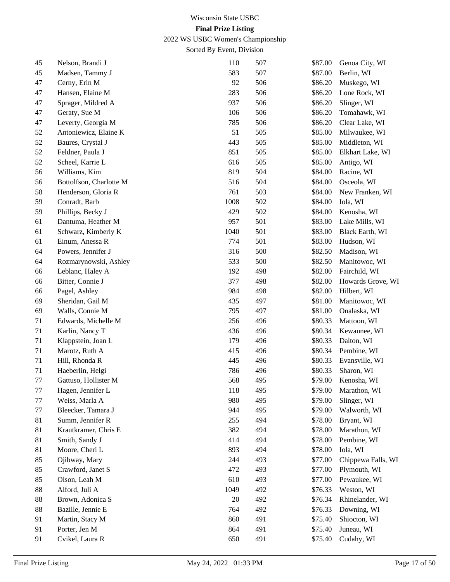2022 WS USBC Women's Championship

| 45 | Nelson, Brandi J        | 110    | 507 | \$87.00 | Genoa City, WI         |
|----|-------------------------|--------|-----|---------|------------------------|
| 45 | Madsen, Tammy J         | 583    | 507 | \$87.00 | Berlin, WI             |
| 47 | Cerny, Erin M           | 92     | 506 | \$86.20 | Muskego, WI            |
| 47 | Hansen, Elaine M        | 283    | 506 | \$86.20 | Lone Rock, WI          |
| 47 | Sprager, Mildred A      | 937    | 506 | \$86.20 | Slinger, WI            |
| 47 | Geraty, Sue M           | 106    | 506 | \$86.20 | Tomahawk, WI           |
| 47 | Leverty, Georgia M      | 785    | 506 | \$86.20 | Clear Lake, WI         |
| 52 | Antoniewicz, Elaine K   | 51     | 505 | \$85.00 | Milwaukee, WI          |
| 52 | Baures, Crystal J       | 443    | 505 | \$85.00 | Middleton, WI          |
| 52 | Feldner, Paula J        | 851    | 505 | \$85.00 | Elkhart Lake, WI       |
| 52 | Scheel, Karrie L        | 616    | 505 | \$85.00 | Antigo, WI             |
| 56 | Williams, Kim           | 819    | 504 | \$84.00 | Racine, WI             |
| 56 | Bottolfson, Charlotte M | 516    | 504 | \$84.00 | Osceola, WI            |
| 58 | Henderson, Gloria R     | 761    | 503 | \$84.00 | New Franken, WI        |
| 59 | Conradt, Barb           | 1008   | 502 | \$84.00 | Iola, WI               |
| 59 | Phillips, Becky J       | 429    | 502 | \$84.00 | Kenosha, WI            |
| 61 | Dantuma, Heather M      | 957    | 501 | \$83.00 | Lake Mills, WI         |
| 61 | Schwarz, Kimberly K     | 1040   | 501 | \$83.00 | <b>Black Earth, WI</b> |
| 61 | Einum, Anessa R         | 774    | 501 | \$83.00 | Hudson, WI             |
| 64 | Powers, Jennifer J      | 316    | 500 | \$82.50 | Madison, WI            |
| 64 | Rozmarynowski, Ashley   | 533    | 500 | \$82.50 | Manitowoc, WI          |
| 66 | Leblanc, Haley A        | 192    | 498 | \$82.00 | Fairchild, WI          |
| 66 | Bitter, Connie J        | 377    | 498 | \$82.00 | Howards Grove, WI      |
| 66 | Pagel, Ashley           | 984    | 498 | \$82.00 | Hilbert, WI            |
| 69 | Sheridan, Gail M        | 435    | 497 | \$81.00 | Manitowoc, WI          |
| 69 | Walls, Connie M         | 795    | 497 | \$81.00 | Onalaska, WI           |
| 71 | Edwards, Michelle M     | 256    | 496 | \$80.33 | Mattoon, WI            |
| 71 | Karlin, Nancy T         | 436    | 496 | \$80.34 | Kewaunee, WI           |
| 71 | Klappstein, Joan L      | 179    | 496 | \$80.33 | Dalton, WI             |
| 71 | Marotz, Ruth A          | 415    | 496 | \$80.34 | Pembine, WI            |
| 71 | Hill, Rhonda R          | 445    | 496 | \$80.33 | Evansville, WI         |
| 71 | Haeberlin, Helgi        | 786    | 496 | \$80.33 | Sharon, WI             |
| 77 | Gattuso, Hollister M    | 568    | 495 | \$79.00 | Kenosha, WI            |
| 77 | Hagen, Jennifer L       | 118    | 495 | \$79.00 | Marathon, WI           |
| 77 | Weiss, Marla A          | 980    | 495 | \$79.00 | Slinger, WI            |
| 77 | Bleecker, Tamara J      | 944    | 495 | \$79.00 | Walworth, WI           |
| 81 | Summ, Jennifer R        | 255    | 494 | \$78.00 | Bryant, WI             |
| 81 | Krautkramer, Chris E    | 382    | 494 | \$78.00 | Marathon, WI           |
| 81 | Smith, Sandy J          | 414    | 494 | \$78.00 | Pembine, WI            |
| 81 | Moore, Cheri L          | 893    | 494 | \$78.00 | Iola, WI               |
| 85 | Ojibway, Mary           | 244    | 493 | \$77.00 | Chippewa Falls, WI     |
| 85 | Crawford, Janet S       | 472    | 493 | \$77.00 | Plymouth, WI           |
| 85 | Olson, Leah M           | 610    | 493 | \$77.00 | Pewaukee, WI           |
| 88 | Alford, Juli A          | 1049   | 492 | \$76.33 | Weston, WI             |
| 88 | Brown, Adonica S        | $20\,$ | 492 | \$76.34 | Rhinelander, WI        |
| 88 | Bazille, Jennie E       | 764    | 492 | \$76.33 | Downing, WI            |
| 91 | Martin, Stacy M         | 860    | 491 | \$75.40 | Shiocton, WI           |
| 91 | Porter, Jen M           | 864    | 491 | \$75.40 | Juneau, WI             |
| 91 | Cvikel, Laura R         | 650    | 491 | \$75.40 | Cudahy, WI             |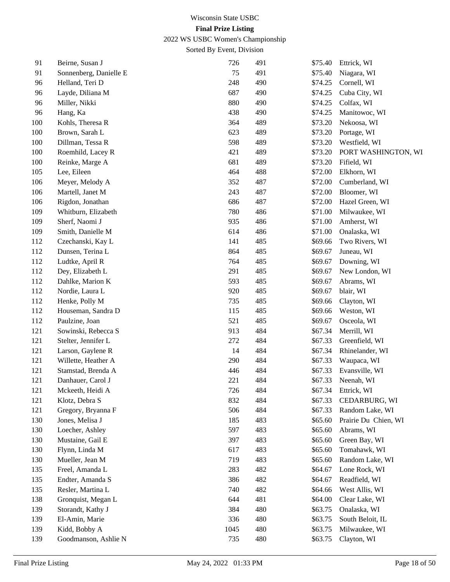2022 WS USBC Women's Championship

| 91  | Beirne, Susan J        | 726  | 491 | \$75.40 | Ettrick, WI          |
|-----|------------------------|------|-----|---------|----------------------|
| 91  | Sonnenberg, Danielle E | 75   | 491 | \$75.40 | Niagara, WI          |
| 96  | Helland, Teri D        | 248  | 490 | \$74.25 | Cornell, WI          |
| 96  | Layde, Diliana M       | 687  | 490 | \$74.25 | Cuba City, WI        |
| 96  | Miller, Nikki          | 880  | 490 | \$74.25 | Colfax, WI           |
| 96  | Hang, Ka               | 438  | 490 | \$74.25 | Manitowoc, WI        |
| 100 | Kohls, Theresa R       | 364  | 489 | \$73.20 | Nekoosa, WI          |
| 100 | Brown, Sarah L         | 623  | 489 | \$73.20 | Portage, WI          |
| 100 | Dillman, Tessa R       | 598  | 489 | \$73.20 | Westfield, WI        |
| 100 | Roemhild, Lacey R      | 421  | 489 | \$73.20 | PORT WASHINGTON, WI  |
| 100 | Reinke, Marge A        | 681  | 489 | \$73.20 | Fifield, WI          |
| 105 | Lee, Eileen            | 464  | 488 | \$72.00 | Elkhorn, WI          |
| 106 | Meyer, Melody A        | 352  | 487 | \$72.00 | Cumberland, WI       |
| 106 | Martell, Janet M       | 243  | 487 | \$72.00 | Bloomer, WI          |
| 106 | Rigdon, Jonathan       | 686  | 487 | \$72.00 | Hazel Green, WI      |
| 109 | Whitburn, Elizabeth    | 780  | 486 | \$71.00 | Milwaukee, WI        |
| 109 | Sherf, Naomi J         | 935  | 486 | \$71.00 | Amherst, WI          |
| 109 | Smith, Danielle M      | 614  | 486 | \$71.00 | Onalaska, WI         |
| 112 | Czechanski, Kay L      | 141  | 485 | \$69.66 | Two Rivers, WI       |
| 112 | Dunsen, Terina L       | 864  | 485 | \$69.67 | Juneau, WI           |
| 112 | Ludtke, April R        | 764  | 485 | \$69.67 | Downing, WI          |
| 112 | Dey, Elizabeth L       | 291  | 485 | \$69.67 | New London, WI       |
| 112 | Dahlke, Marion K       | 593  | 485 | \$69.67 | Abrams, WI           |
| 112 | Nordie, Laura L        | 920  | 485 | \$69.67 | blair, WI            |
| 112 | Henke, Polly M         | 735  | 485 | \$69.66 | Clayton, WI          |
| 112 | Houseman, Sandra D     | 115  | 485 | \$69.66 | Weston, WI           |
| 112 | Paulzine, Joan         | 521  | 485 | \$69.67 | Osceola, WI          |
| 121 | Sowinski, Rebecca S    | 913  | 484 | \$67.34 | Merrill, WI          |
| 121 | Stelter, Jennifer L    | 272  | 484 | \$67.33 | Greenfield, WI       |
| 121 | Larson, Gaylene R      | 14   | 484 | \$67.34 | Rhinelander, WI      |
| 121 | Willette, Heather A    | 290  | 484 | \$67.33 | Waupaca, WI          |
| 121 | Stamstad, Brenda A     | 446  | 484 | \$67.33 | Evansville, WI       |
| 121 | Danhauer, Carol J      | 221  | 484 | \$67.33 | Neenah, WI           |
| 121 | Mckeeth, Heidi A       | 726  | 484 | \$67.34 | Ettrick, WI          |
| 121 | Klotz, Debra S         | 832  | 484 | \$67.33 | CEDARBURG, WI        |
| 121 | Gregory, Bryanna F     | 506  | 484 | \$67.33 | Random Lake, WI      |
| 130 | Jones, Melisa J        | 185  | 483 | \$65.60 | Prairie Du Chien, WI |
| 130 | Loecher, Ashley        | 597  | 483 | \$65.60 | Abrams, WI           |
| 130 | Mustaine, Gail E       | 397  | 483 | \$65.60 | Green Bay, WI        |
| 130 | Flynn, Linda M         | 617  | 483 | \$65.60 | Tomahawk, WI         |
| 130 | Mueller, Jean M        | 719  | 483 | \$65.60 | Random Lake, WI      |
| 135 | Freel, Amanda L        | 283  | 482 | \$64.67 | Lone Rock, WI        |
| 135 | Endter, Amanda S       | 386  | 482 | \$64.67 | Readfield, WI        |
| 135 | Resler, Martina L      | 740  | 482 | \$64.66 | West Allis, WI       |
| 138 | Gronquist, Megan L     | 644  | 481 | \$64.00 | Clear Lake, WI       |
| 139 | Storandt, Kathy J      | 384  | 480 | \$63.75 | Onalaska, WI         |
| 139 | El-Amin, Marie         | 336  | 480 | \$63.75 | South Beloit, IL     |
| 139 | Kidd, Bobby A          | 1045 | 480 | \$63.75 | Milwaukee, WI        |
| 139 | Goodmanson, Ashlie N   | 735  | 480 | \$63.75 | Clayton, WI          |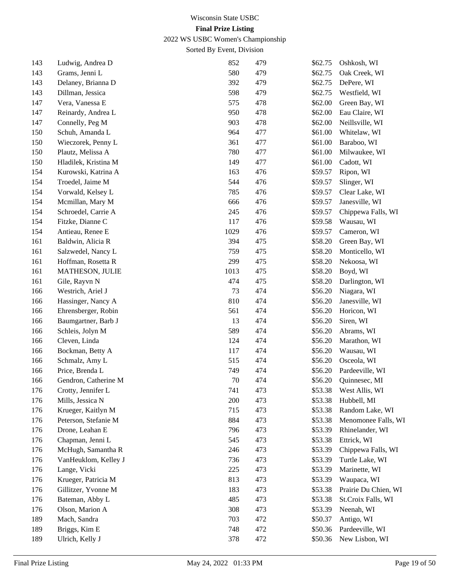2022 WS USBC Women's Championship

| 143 | Ludwig, Andrea D     | 852  | 479 | \$62.75 | Oshkosh, WI          |
|-----|----------------------|------|-----|---------|----------------------|
| 143 | Grams, Jenni L       | 580  | 479 | \$62.75 | Oak Creek, WI        |
| 143 | Delaney, Brianna D   | 392  | 479 | \$62.75 | DePere, WI           |
| 143 | Dillman, Jessica     | 598  | 479 | \$62.75 | Westfield, WI        |
| 147 | Vera, Vanessa E      | 575  | 478 | \$62.00 | Green Bay, WI        |
| 147 | Reinardy, Andrea L   | 950  | 478 | \$62.00 | Eau Claire, WI       |
| 147 | Connelly, Peg M      | 903  | 478 | \$62.00 | Neillsville, WI      |
| 150 | Schuh, Amanda L      | 964  | 477 | \$61.00 | Whitelaw, WI         |
| 150 | Wieczorek, Penny L   | 361  | 477 | \$61.00 | Baraboo, WI          |
| 150 | Plautz, Melissa A    | 780  | 477 | \$61.00 | Milwaukee, WI        |
| 150 | Hladilek, Kristina M | 149  | 477 | \$61.00 | Cadott, WI           |
| 154 | Kurowski, Katrina A  | 163  | 476 | \$59.57 | Ripon, WI            |
| 154 | Troedel, Jaime M     | 544  | 476 | \$59.57 | Slinger, WI          |
| 154 | Vorwald, Kelsey L    | 785  | 476 | \$59.57 | Clear Lake, WI       |
| 154 | Mcmillan, Mary M     | 666  | 476 | \$59.57 | Janesville, WI       |
| 154 | Schroedel, Carrie A  | 245  | 476 | \$59.57 | Chippewa Falls, WI   |
| 154 | Fitzke, Dianne C     | 117  | 476 | \$59.58 | Wausau, WI           |
| 154 | Antieau, Renee E     | 1029 | 476 | \$59.57 | Cameron, WI          |
| 161 | Baldwin, Alicia R    | 394  | 475 | \$58.20 | Green Bay, WI        |
| 161 | Salzwedel, Nancy L   | 759  | 475 | \$58.20 | Monticello, WI       |
| 161 | Hoffman, Rosetta R   | 299  | 475 | \$58.20 | Nekoosa, WI          |
| 161 | MATHESON, JULIE      | 1013 | 475 | \$58.20 | Boyd, WI             |
| 161 | Gile, Rayvn N        | 474  | 475 | \$58.20 | Darlington, WI       |
| 166 | Westrich, Ariel J    | 73   | 474 | \$56.20 | Niagara, WI          |
| 166 | Hassinger, Nancy A   | 810  | 474 | \$56.20 | Janesville, WI       |
| 166 | Ehrensberger, Robin  | 561  | 474 | \$56.20 | Horicon, WI          |
| 166 | Baumgartner, Barb J  | 13   | 474 | \$56.20 | Siren, WI            |
| 166 | Schleis, Jolyn M     | 589  | 474 | \$56.20 | Abrams, WI           |
| 166 | Cleven, Linda        | 124  | 474 | \$56.20 | Marathon, WI         |
| 166 | Bockman, Betty A     | 117  | 474 | \$56.20 | Wausau, WI           |
| 166 | Schmalz, Amy L       | 515  | 474 | \$56.20 | Osceola, WI          |
| 166 | Price, Brenda L      | 749  | 474 | \$56.20 | Pardeeville, WI      |
| 166 | Gendron, Catherine M | 70   | 474 | \$56.20 | Quinnesec, MI        |
| 176 | Crotty, Jennifer L   | 741  | 473 | \$53.38 | West Allis, WI       |
| 176 | Mills, Jessica N     | 200  | 473 | \$53.38 | Hubbell, MI          |
| 176 | Krueger, Kaitlyn M   | 715  | 473 | \$53.38 | Random Lake, WI      |
| 176 | Peterson, Stefanie M | 884  | 473 | \$53.38 | Menomonee Falls, WI  |
| 176 | Drone, Leahan E      | 796  | 473 | \$53.39 | Rhinelander, WI      |
| 176 | Chapman, Jenni L     | 545  | 473 | \$53.38 | Ettrick, WI          |
| 176 | McHugh, Samantha R   | 246  | 473 | \$53.39 | Chippewa Falls, WI   |
| 176 | VanHeuklom, Kelley J | 736  | 473 | \$53.39 | Turtle Lake, WI      |
| 176 | Lange, Vicki         | 225  | 473 | \$53.39 | Marinette, WI        |
| 176 | Krueger, Patricia M  | 813  | 473 | \$53.39 | Waupaca, WI          |
| 176 | Gillitzer, Yvonne M  | 183  | 473 | \$53.38 | Prairie Du Chien, WI |
| 176 | Bateman, Abby L      | 485  | 473 | \$53.38 | St.Croix Falls, WI   |
| 176 | Olson, Marion A      | 308  | 473 | \$53.39 | Neenah, WI           |
| 189 | Mach, Sandra         | 703  | 472 | \$50.37 | Antigo, WI           |
| 189 | Briggs, Kim E        | 748  | 472 | \$50.36 | Pardeeville, WI      |
| 189 | Ulrich, Kelly J      | 378  | 472 | \$50.36 | New Lisbon, WI       |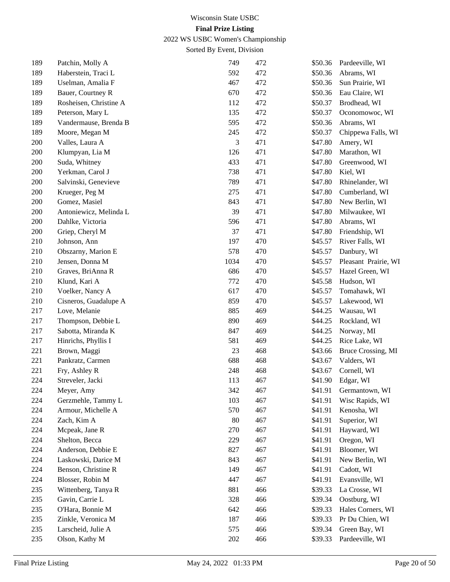2022 WS USBC Women's Championship

| 189 | Patchin, Molly A       | 749  | 472 | \$50.36 | Pardeeville, WI      |
|-----|------------------------|------|-----|---------|----------------------|
| 189 | Haberstein, Traci L    | 592  | 472 | \$50.36 | Abrams, WI           |
| 189 | Uselman, Amalia F      | 467  | 472 | \$50.36 | Sun Prairie, WI      |
| 189 | Bauer, Courtney R      | 670  | 472 | \$50.36 | Eau Claire, WI       |
| 189 | Rosheisen, Christine A | 112  | 472 | \$50.37 | Brodhead, WI         |
| 189 | Peterson, Mary L       | 135  | 472 | \$50.37 | Oconomowoc, WI       |
| 189 | Vandermause, Brenda B  | 595  | 472 | \$50.36 | Abrams, WI           |
| 189 | Moore, Megan M         | 245  | 472 | \$50.37 | Chippewa Falls, WI   |
| 200 | Valles, Laura A        | 3    | 471 | \$47.80 | Amery, WI            |
| 200 | Klumpyan, Lia M        | 126  | 471 | \$47.80 | Marathon, WI         |
| 200 | Suda, Whitney          | 433  | 471 | \$47.80 | Greenwood, WI        |
| 200 | Yerkman, Carol J       | 738  | 471 | \$47.80 | Kiel, WI             |
| 200 | Salvinski, Genevieve   | 789  | 471 | \$47.80 | Rhinelander, WI      |
| 200 | Krueger, Peg M         | 275  | 471 | \$47.80 | Cumberland, WI       |
| 200 | Gomez, Masiel          | 843  | 471 | \$47.80 | New Berlin, WI       |
| 200 | Antoniewicz, Melinda L | 39   | 471 | \$47.80 | Milwaukee, WI        |
| 200 | Dahlke, Victoria       | 596  | 471 | \$47.80 | Abrams, WI           |
| 200 | Griep, Cheryl M        | 37   | 471 | \$47.80 | Friendship, WI       |
| 210 | Johnson, Ann           | 197  | 470 | \$45.57 | River Falls, WI      |
| 210 | Obszarny, Marion E     | 578  | 470 | \$45.57 | Danbury, WI          |
| 210 | Jensen, Donna M        | 1034 | 470 | \$45.57 | Pleasant Prairie, WI |
| 210 | Graves, BriAnna R      | 686  | 470 | \$45.57 | Hazel Green, WI      |
| 210 | Klund, Kari A          | 772  | 470 | \$45.58 | Hudson, WI           |
| 210 | Voelker, Nancy A       | 617  | 470 | \$45.57 | Tomahawk, WI         |
| 210 | Cisneros, Guadalupe A  | 859  | 470 | \$45.57 | Lakewood, WI         |
| 217 | Love, Melanie          | 885  | 469 | \$44.25 | Wausau, WI           |
| 217 | Thompson, Debbie L     | 890  | 469 | \$44.25 | Rockland, WI         |
| 217 | Sabotta, Miranda K     | 847  | 469 | \$44.25 | Norway, MI           |
| 217 | Hinrichs, Phyllis I    | 581  | 469 | \$44.25 | Rice Lake, WI        |
| 221 | Brown, Maggi           | 23   | 468 | \$43.66 | Bruce Crossing, MI   |
| 221 | Pankratz, Carmen       | 688  | 468 | \$43.67 | Valders, WI          |
| 221 | Fry, Ashley R          | 248  | 468 | \$43.67 | Cornell, WI          |
| 224 | Streveler, Jacki       | 113  | 467 | \$41.90 | Edgar, WI            |
| 224 | Meyer, Amy             | 342  | 467 | \$41.91 | Germantown, WI       |
| 224 | Gerzmehle, Tammy L     | 103  | 467 | \$41.91 | Wisc Rapids, WI      |
| 224 | Armour, Michelle A     | 570  | 467 | \$41.91 | Kenosha, WI          |
| 224 | Zach, Kim A            | 80   | 467 | \$41.91 | Superior, WI         |
| 224 | Mcpeak, Jane R         | 270  | 467 | \$41.91 | Hayward, WI          |
| 224 | Shelton, Becca         | 229  | 467 | \$41.91 | Oregon, WI           |
| 224 | Anderson, Debbie E     | 827  | 467 | \$41.91 | Bloomer, WI          |
| 224 | Laskowski, Darice M    | 843  | 467 | \$41.91 | New Berlin, WI       |
| 224 | Benson, Christine R    | 149  | 467 | \$41.91 | Cadott, WI           |
| 224 | Blosser, Robin M       | 447  | 467 | \$41.91 | Evansville, WI       |
| 235 | Wittenberg, Tanya R    | 881  | 466 | \$39.33 | La Crosse, WI        |
| 235 | Gavin, Carrie L        | 328  | 466 | \$39.34 | Oostburg, WI         |
| 235 | O'Hara, Bonnie M       | 642  | 466 | \$39.33 | Hales Corners, WI    |
| 235 | Zinkle, Veronica M     | 187  | 466 | \$39.33 | Pr Du Chien, WI      |
| 235 | Larscheid, Julie A     | 575  | 466 | \$39.34 | Green Bay, WI        |
| 235 | Olson, Kathy M         | 202  | 466 | \$39.33 | Pardeeville, WI      |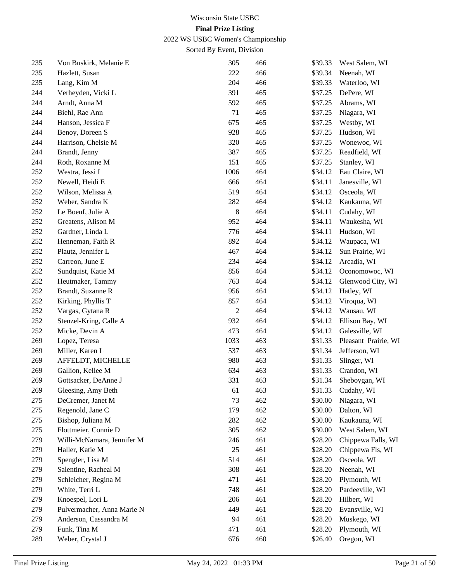2022 WS USBC Women's Championship

| 235 | Von Buskirk, Melanie E     | 305            | 466 | \$39.33 | West Salem, WI       |
|-----|----------------------------|----------------|-----|---------|----------------------|
| 235 | Hazlett, Susan             | 222            | 466 | \$39.34 | Neenah, WI           |
| 235 | Lang, Kim M                | 204            | 466 | \$39.33 | Waterloo, WI         |
| 244 | Verheyden, Vicki L         | 391            | 465 | \$37.25 | DePere, WI           |
| 244 | Arndt, Anna M              | 592            | 465 | \$37.25 | Abrams, WI           |
| 244 | Biehl, Rae Ann             | 71             | 465 | \$37.25 | Niagara, WI          |
| 244 | Hanson, Jessica F          | 675            | 465 | \$37.25 | Westby, WI           |
| 244 | Benoy, Doreen S            | 928            | 465 | \$37.25 | Hudson, WI           |
| 244 | Harrison, Chelsie M        | 320            | 465 | \$37.25 | Wonewoc, WI          |
| 244 | Brandt, Jenny              | 387            | 465 | \$37.25 | Readfield, WI        |
| 244 | Roth, Roxanne M            | 151            | 465 | \$37.25 | Stanley, WI          |
| 252 | Westra, Jessi I            | 1006           | 464 | \$34.12 | Eau Claire, WI       |
| 252 | Newell, Heidi E            | 666            | 464 | \$34.11 | Janesville, WI       |
| 252 | Wilson, Melissa A          | 519            | 464 | \$34.12 | Osceola, WI          |
| 252 | Weber, Sandra K            | 282            | 464 | \$34.12 | Kaukauna, WI         |
| 252 | Le Boeuf, Julie A          | 8              | 464 | \$34.11 | Cudahy, WI           |
| 252 | Greatens, Alison M         | 952            | 464 | \$34.11 | Waukesha, WI         |
| 252 | Gardner, Linda L           | 776            | 464 | \$34.11 | Hudson, WI           |
| 252 | Henneman, Faith R          | 892            | 464 | \$34.12 | Waupaca, WI          |
| 252 | Plautz, Jennifer L         | 467            | 464 | \$34.12 | Sun Prairie, WI      |
| 252 | Carreon, June E            | 234            | 464 | \$34.12 | Arcadia, WI          |
| 252 | Sundquist, Katie M         | 856            | 464 | \$34.12 | Oconomowoc, WI       |
| 252 | Heutmaker, Tammy           | 763            | 464 | \$34.12 | Glenwood City, WI    |
| 252 | Brandt, Suzanne R          | 956            | 464 | \$34.12 | Hatley, WI           |
| 252 | Kirking, Phyllis T         | 857            | 464 | \$34.12 | Viroqua, WI          |
| 252 | Vargas, Gytana R           | $\overline{c}$ | 464 | \$34.12 | Wausau, WI           |
| 252 | Stenzel-Kring, Calle A     | 932            | 464 | \$34.12 | Ellison Bay, WI      |
| 252 | Micke, Devin A             | 473            | 464 | \$34.12 | Galesville, WI       |
| 269 | Lopez, Teresa              | 1033           | 463 | \$31.33 | Pleasant Prairie, WI |
| 269 | Miller, Karen L            | 537            | 463 | \$31.34 | Jefferson, WI        |
| 269 | AFFELDT, MICHELLE          | 980            | 463 | \$31.33 | Slinger, WI          |
| 269 | Gallion, Kellee M          | 634            | 463 | \$31.33 | Crandon, WI          |
| 269 | Gottsacker, DeAnne J       | 331            | 463 | \$31.34 | Sheboygan, WI        |
| 269 | Gleesing, Amy Beth         | 61             | 463 | \$31.33 | Cudahy, WI           |
| 275 | DeCremer, Janet M          | 73             | 462 | \$30.00 | Niagara, WI          |
| 275 | Regenold, Jane C           | 179            | 462 | \$30.00 | Dalton, WI           |
| 275 | Bishop, Juliana M          | 282            | 462 | \$30.00 | Kaukauna, WI         |
| 275 | Flottmeier, Connie D       | 305            | 462 | \$30.00 | West Salem, WI       |
| 279 | Willi-McNamara, Jennifer M | 246            | 461 | \$28.20 | Chippewa Falls, WI   |
| 279 | Haller, Katie M            | 25             | 461 | \$28.20 | Chippewa Fls, WI     |
| 279 | Spengler, Lisa M           | 514            | 461 | \$28.20 | Osceola, WI          |
| 279 | Salentine, Racheal M       | 308            | 461 | \$28.20 | Neenah, WI           |
| 279 | Schleicher, Regina M       | 471            | 461 | \$28.20 | Plymouth, WI         |
| 279 | White, Terri L             | 748            | 461 | \$28.20 | Pardeeville, WI      |
| 279 | Knoespel, Lori L           | 206            | 461 | \$28.20 | Hilbert, WI          |
| 279 | Pulvermacher, Anna Marie N | 449            | 461 | \$28.20 | Evansville, WI       |
| 279 | Anderson, Cassandra M      | 94             | 461 | \$28.20 | Muskego, WI          |
| 279 | Funk, Tina M               | 471            | 461 | \$28.20 | Plymouth, WI         |
| 289 | Weber, Crystal J           | 676            | 460 | \$26.40 | Oregon, WI           |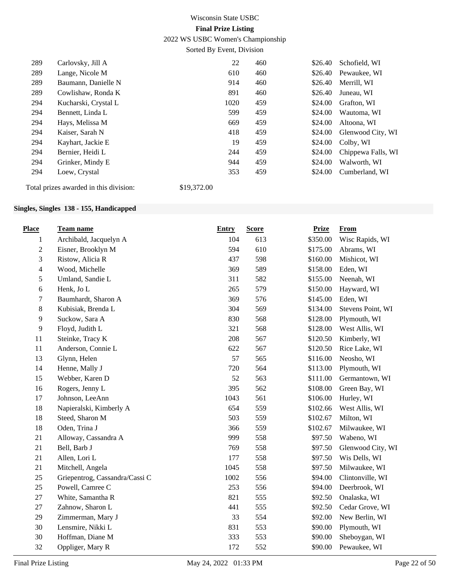2022 WS USBC Women's Championship

Sorted By Event, Division

| 289 | Carlovsky, Jill A                      |             | 22   | 460 | \$26.40 | Schofield, WI      |
|-----|----------------------------------------|-------------|------|-----|---------|--------------------|
| 289 | Lange, Nicole M                        |             | 610  | 460 | \$26.40 | Pewaukee, WI       |
| 289 | Baumann, Danielle N                    |             | 914  | 460 | \$26.40 | Merrill, WI        |
| 289 | Cowlishaw, Ronda K                     |             | 891  | 460 | \$26.40 | Juneau, WI         |
| 294 | Kucharski, Crystal L                   |             | 1020 | 459 | \$24.00 | Grafton. WI        |
| 294 | Bennett, Linda L                       |             | 599  | 459 | \$24.00 | Wautoma, WI        |
| 294 | Hays, Melissa M                        |             | 669  | 459 | \$24.00 | Altoona, WI        |
| 294 | Kaiser, Sarah N                        |             | 418  | 459 | \$24.00 | Glenwood City, WI  |
| 294 | Kayhart, Jackie E                      |             | 19   | 459 | \$24.00 | Colby, WI          |
| 294 | Bernier, Heidi L                       |             | 244  | 459 | \$24.00 | Chippewa Falls, WI |
| 294 | Grinker, Mindy E                       |             | 944  | 459 | \$24.00 | Walworth, WI       |
| 294 | Loew, Crystal                          |             | 353  | 459 | \$24.00 | Cumberland, WI     |
|     | Total prizes awarded in this division: | \$19,372.00 |      |     |         |                    |

## **Singles, Singles 138 - 155, Handicapped**

| <b>Place</b>   | Team name                      | <b>Entry</b> | <b>Score</b> | <b>Prize</b> | <b>From</b>       |
|----------------|--------------------------------|--------------|--------------|--------------|-------------------|
| $\mathbf{1}$   | Archibald, Jacquelyn A         | 104          | 613          | \$350.00     | Wisc Rapids, WI   |
| $\sqrt{2}$     | Eisner, Brooklyn M             | 594          | 610          | \$175.00     | Abrams, WI        |
| 3              | Ristow, Alicia R               | 437          | 598          | \$160.00     | Mishicot, WI      |
| $\overline{4}$ | Wood, Michelle                 | 369          | 589          | \$158.00     | Eden, WI          |
| 5              | Umland, Sandie L               | 311          | 582          | \$155.00     | Neenah, WI        |
| $\sqrt{6}$     | Henk, Jo L                     | 265          | 579          | \$150.00     | Hayward, WI       |
| $\tau$         | Baumhardt, Sharon A            | 369          | 576          | \$145.00     | Eden, WI          |
| $8\,$          | Kubisiak, Brenda L             | 304          | 569          | \$134.00     | Stevens Point, WI |
| $\overline{9}$ | Suckow, Sara A                 | 830          | 568          | \$128.00     | Plymouth, WI      |
| $\overline{9}$ | Floyd, Judith L                | 321          | 568          | \$128.00     | West Allis, WI    |
| 11             | Steinke, Tracy K               | 208          | 567          | \$120.50     | Kimberly, WI      |
| 11             | Anderson, Connie L             | 622          | 567          | \$120.50     | Rice Lake, WI     |
| 13             | Glynn, Helen                   | 57           | 565          | \$116.00     | Neosho, WI        |
| 14             | Henne, Mally J                 | 720          | 564          | \$113.00     | Plymouth, WI      |
| 15             | Webber, Karen D                | 52           | 563          | \$111.00     | Germantown, WI    |
| 16             | Rogers, Jenny L                | 395          | 562          | \$108.00     | Green Bay, WI     |
| 17             | Johnson, LeeAnn                | 1043         | 561          | \$106.00     | Hurley, WI        |
| 18             | Napieralski, Kimberly A        | 654          | 559          | \$102.66     | West Allis, WI    |
| 18             | Steed, Sharon M                | 503          | 559          | \$102.67     | Milton, WI        |
| 18             | Oden, Trina J                  | 366          | 559          | \$102.67     | Milwaukee, WI     |
| 21             | Alloway, Cassandra A           | 999          | 558          | \$97.50      | Wabeno, WI        |
| 21             | Bell, Barb J                   | 769          | 558          | \$97.50      | Glenwood City, WI |
| 21             | Allen, Lori L                  | 177          | 558          | \$97.50      | Wis Dells, WI     |
| 21             | Mitchell, Angela               | 1045         | 558          | \$97.50      | Milwaukee, WI     |
| 25             | Griepentrog, Cassandra/Cassi C | 1002         | 556          | \$94.00      | Clintonville, WI  |
| 25             | Powell, Camree C               | 253          | 556          | \$94.00      | Deerbrook, WI     |
| 27             | White, Samantha R              | 821          | 555          | \$92.50      | Onalaska, WI      |
| 27             | Zahnow, Sharon L               | 441          | 555          | \$92.50      | Cedar Grove, WI   |
| 29             | Zimmerman, Mary J              | 33           | 554          | \$92.00      | New Berlin, WI    |
| 30             | Lensmire, Nikki L              | 831          | 553          | \$90.00      | Plymouth, WI      |
| 30             | Hoffman, Diane M               | 333          | 553          | \$90.00      | Sheboygan, WI     |
| 32             | Oppliger, Mary R               | 172          | 552          | \$90.00      | Pewaukee, WI      |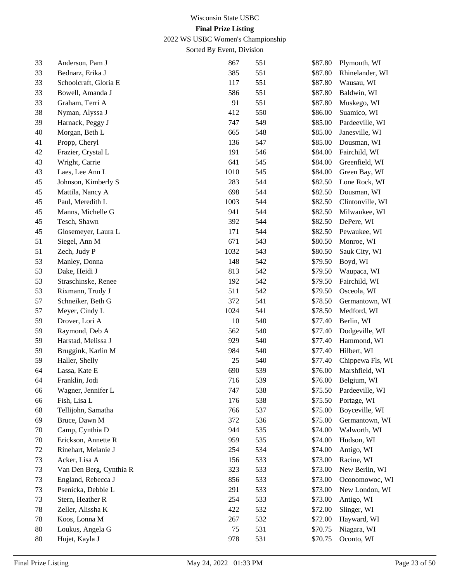2022 WS USBC Women's Championship

| 33     | Anderson, Pam J         | 867    | 551 | \$87.80 | Plymouth, WI     |
|--------|-------------------------|--------|-----|---------|------------------|
| 33     | Bednarz, Erika J        | 385    | 551 | \$87.80 | Rhinelander, WI  |
| 33     | Schoolcraft, Gloria E   | 117    | 551 | \$87.80 | Wausau, WI       |
| 33     | Bowell, Amanda J        | 586    | 551 | \$87.80 | Baldwin, WI      |
| 33     | Graham, Terri A         | 91     | 551 | \$87.80 | Muskego, WI      |
| 38     | Nyman, Alyssa J         | 412    | 550 | \$86.00 | Suamico, WI      |
| 39     | Harnack, Peggy J        | 747    | 549 | \$85.00 | Pardeeville, WI  |
| 40     | Morgan, Beth L          | 665    | 548 | \$85.00 | Janesville, WI   |
| 41     | Propp, Cheryl           | 136    | 547 | \$85.00 | Dousman, WI      |
| 42     | Frazier, Crystal L      | 191    | 546 | \$84.00 | Fairchild, WI    |
| 43     | Wright, Carrie          | 641    | 545 | \$84.00 | Greenfield, WI   |
| 43     | Laes, Lee Ann L         | 1010   | 545 | \$84.00 | Green Bay, WI    |
| 45     | Johnson, Kimberly S     | 283    | 544 | \$82.50 | Lone Rock, WI    |
| 45     | Mattila, Nancy A        | 698    | 544 | \$82.50 | Dousman, WI      |
| 45     | Paul, Meredith L        | 1003   | 544 | \$82.50 | Clintonville, WI |
| 45     | Manns, Michelle G       | 941    | 544 | \$82.50 | Milwaukee, WI    |
| 45     | Tesch, Shawn            | 392    | 544 | \$82.50 | DePere, WI       |
| 45     | Glosemeyer, Laura L     | 171    | 544 | \$82.50 | Pewaukee, WI     |
| 51     | Siegel, Ann M           | 671    | 543 | \$80.50 | Monroe, WI       |
| 51     | Zech, Judy P            | 1032   | 543 | \$80.50 | Sauk City, WI    |
| 53     | Manley, Donna           | 148    | 542 | \$79.50 | Boyd, WI         |
| 53     | Dake, Heidi J           | 813    | 542 | \$79.50 | Waupaca, WI      |
| 53     | Straschinske, Renee     | 192    | 542 | \$79.50 | Fairchild, WI    |
| 53     | Rixmann, Trudy J        | 511    | 542 | \$79.50 | Osceola, WI      |
| 57     | Schneiker, Beth G       | 372    | 541 | \$78.50 | Germantown, WI   |
| 57     | Meyer, Cindy L          | 1024   | 541 | \$78.50 | Medford, WI      |
| 59     | Drover, Lori A          | 10     | 540 | \$77.40 | Berlin, WI       |
| 59     | Raymond, Deb A          | 562    | 540 | \$77.40 | Dodgeville, WI   |
| 59     | Harstad, Melissa J      | 929    | 540 | \$77.40 | Hammond, WI      |
| 59     | Bruggink, Karlin M      | 984    | 540 | \$77.40 | Hilbert, WI      |
| 59     | Haller, Shelly          | $25\,$ | 540 | \$77.40 | Chippewa Fls, WI |
| 64     | Lassa, Kate E           | 690    | 539 | \$76.00 | Marshfield, WI   |
| 64     | Franklin, Jodi          | 716    | 539 | \$76.00 | Belgium, WI      |
| 66     | Wagner, Jennifer L      | 747    | 538 | \$75.50 | Pardeeville, WI  |
| 66     | Fish, Lisa L            | 176    | 538 | \$75.50 | Portage, WI      |
| 68     | Tellijohn, Samatha      | 766    | 537 | \$75.00 | Boyceville, WI   |
| 69     | Bruce, Dawn M           | 372    | 536 | \$75.00 | Germantown, WI   |
| 70     | Camp, Cynthia D         | 944    | 535 | \$74.00 | Walworth, WI     |
| 70     | Erickson, Annette R     | 959    | 535 | \$74.00 | Hudson, WI       |
| 72     | Rinehart, Melanie J     | 254    | 534 | \$74.00 | Antigo, WI       |
| 73     | Acker, Lisa A           | 156    | 533 | \$73.00 | Racine, WI       |
| 73     | Van Den Berg, Cynthia R | 323    | 533 | \$73.00 | New Berlin, WI   |
| 73     | England, Rebecca J      | 856    | 533 | \$73.00 | Oconomowoc, WI   |
| 73     | Psenicka, Debbie L      | 291    | 533 | \$73.00 | New London, WI   |
| 73     | Stern, Heather R        | 254    | 533 | \$73.00 | Antigo, WI       |
| 78     | Zeller, Alissha K       | 422    | 532 | \$72.00 | Slinger, WI      |
| 78     | Koos, Lonna M           | 267    | 532 | \$72.00 | Hayward, WI      |
| 80     | Loukus, Angela G        | 75     | 531 | \$70.75 | Niagara, WI      |
| $80\,$ | Hujet, Kayla J          | 978    | 531 | \$70.75 | Oconto, WI       |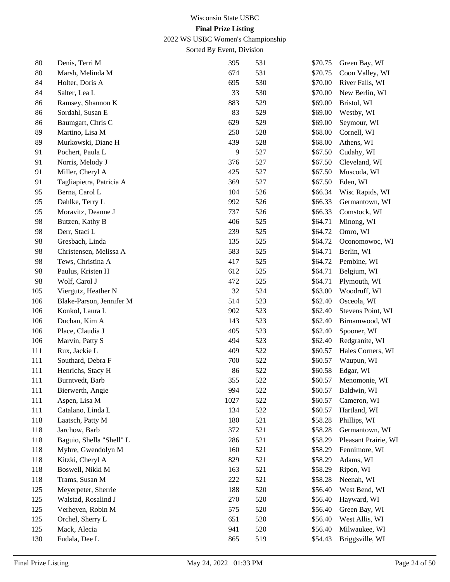2022 WS USBC Women's Championship

| 80  | Denis, Terri M           | 395  | 531 | \$70.75 | Green Bay, WI        |
|-----|--------------------------|------|-----|---------|----------------------|
| 80  | Marsh, Melinda M         | 674  | 531 | \$70.75 | Coon Valley, WI      |
| 84  | Holter, Doris A          | 695  | 530 | \$70.00 | River Falls, WI      |
| 84  | Salter, Lea L            | 33   | 530 | \$70.00 | New Berlin, WI       |
| 86  | Ramsey, Shannon K        | 883  | 529 | \$69.00 | Bristol, WI          |
| 86  | Sordahl, Susan E         | 83   | 529 | \$69.00 | Westby, WI           |
| 86  | Baumgart, Chris C        | 629  | 529 | \$69.00 | Seymour, WI          |
| 89  | Martino, Lisa M          | 250  | 528 | \$68.00 | Cornell, WI          |
| 89  | Murkowski, Diane H       | 439  | 528 | \$68.00 | Athens, WI           |
| 91  | Pochert, Paula L         | 9    | 527 | \$67.50 | Cudahy, WI           |
| 91  | Norris, Melody J         | 376  | 527 | \$67.50 | Cleveland, WI        |
| 91  | Miller, Cheryl A         | 425  | 527 | \$67.50 | Muscoda, WI          |
| 91  | Tagliapietra, Patricia A | 369  | 527 | \$67.50 | Eden, WI             |
| 95  | Berna, Carol L           | 104  | 526 | \$66.34 | Wisc Rapids, WI      |
| 95  | Dahlke, Terry L          | 992  | 526 | \$66.33 | Germantown, WI       |
| 95  | Moravitz, Deanne J       | 737  | 526 | \$66.33 | Comstock, WI         |
| 98  | Butzen, Kathy B          | 406  | 525 | \$64.71 | Minong, WI           |
| 98  | Derr, Staci L            | 239  | 525 | \$64.72 | Omro, WI             |
| 98  | Gresbach, Linda          | 135  | 525 | \$64.72 | Oconomowoc, WI       |
| 98  | Christensen, Melissa A   | 583  | 525 | \$64.71 | Berlin, WI           |
| 98  | Tews, Christina A        | 417  | 525 | \$64.72 | Pembine, WI          |
| 98  | Paulus, Kristen H        | 612  | 525 | \$64.71 | Belgium, WI          |
| 98  | Wolf, Carol J            | 472  | 525 | \$64.71 | Plymouth, WI         |
| 105 | Viergutz, Heather N      | 32   | 524 | \$63.00 | Woodruff, WI         |
| 106 | Blake-Parson, Jennifer M | 514  | 523 | \$62.40 | Osceola, WI          |
| 106 | Konkol, Laura L          | 902  | 523 | \$62.40 | Stevens Point, WI    |
| 106 | Duchan, Kim A            | 143  | 523 | \$62.40 | Birnamwood, WI       |
| 106 | Place, Claudia J         | 405  | 523 | \$62.40 | Spooner, WI          |
| 106 | Marvin, Patty S          | 494  | 523 | \$62.40 | Redgranite, WI       |
| 111 | Rux, Jackie L            | 409  | 522 | \$60.57 | Hales Corners, WI    |
| 111 | Southard, Debra F        | 700  | 522 | \$60.57 | Waupun, WI           |
| 111 | Henrichs, Stacy H        | 86   | 522 | \$60.58 | Edgar, WI            |
| 111 | Burntvedt, Barb          | 355  | 522 | \$60.57 | Menomonie, WI        |
| 111 | Bierwerth, Angie         | 994  | 522 | \$60.57 | Baldwin, WI          |
| 111 | Aspen, Lisa M            | 1027 | 522 | \$60.57 | Cameron, WI          |
| 111 | Catalano, Linda L        | 134  | 522 | \$60.57 | Hartland, WI         |
| 118 | Laatsch, Patty M         | 180  | 521 | \$58.28 | Phillips, WI         |
| 118 | Jarchow, Barb            | 372  | 521 | \$58.28 | Germantown, WI       |
| 118 | Baguio, Shella "Shell" L | 286  | 521 | \$58.29 | Pleasant Prairie, WI |
| 118 | Myhre, Gwendolyn M       | 160  | 521 | \$58.29 | Fennimore, WI        |
| 118 | Kitzki, Cheryl A         | 829  | 521 | \$58.29 | Adams, WI            |
| 118 | Boswell, Nikki M         | 163  | 521 | \$58.29 | Ripon, WI            |
| 118 | Trams, Susan M           | 222  | 521 | \$58.28 | Neenah, WI           |
| 125 | Meyerpeter, Sherrie      | 188  | 520 | \$56.40 | West Bend, WI        |
| 125 | Walstad, Rosalind J      | 270  | 520 | \$56.40 | Hayward, WI          |
| 125 | Verheyen, Robin M        | 575  | 520 | \$56.40 | Green Bay, WI        |
| 125 | Orchel, Sherry L         | 651  | 520 | \$56.40 | West Allis, WI       |
| 125 | Mack, Alecia             | 941  | 520 | \$56.40 | Milwaukee, WI        |
| 130 | Fudala, Dee L            | 865  | 519 | \$54.43 | Briggsville, WI      |
|     |                          |      |     |         |                      |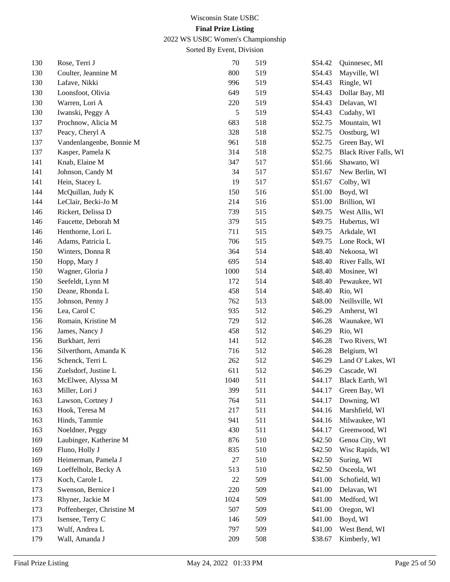2022 WS USBC Women's Championship

| 130 | Rose, Terri J             | 70   | 519 | \$54.42 | Quinnesec, MI                |
|-----|---------------------------|------|-----|---------|------------------------------|
| 130 | Coulter, Jeannine M       | 800  | 519 | \$54.43 | Mayville, WI                 |
| 130 | Lafave, Nikki             | 996  | 519 | \$54.43 | Ringle, WI                   |
| 130 | Loonsfoot, Olivia         | 649  | 519 | \$54.43 | Dollar Bay, MI               |
| 130 | Warren, Lori A            | 220  | 519 | \$54.43 | Delavan, WI                  |
| 130 | Iwanski, Peggy A          | 5    | 519 | \$54.43 | Cudahy, WI                   |
| 137 | Prochnow, Alicia M        | 683  | 518 | \$52.75 | Mountain, WI                 |
| 137 | Peacy, Cheryl A           | 328  | 518 | \$52.75 | Oostburg, WI                 |
| 137 | Vandenlangenbe, Bonnie M  | 961  | 518 | \$52.75 | Green Bay, WI                |
| 137 | Kasper, Pamela K          | 314  | 518 | \$52.75 | <b>Black River Falls, WI</b> |
| 141 | Knab, Elaine M            | 347  | 517 | \$51.66 | Shawano, WI                  |
| 141 | Johnson, Candy M          | 34   | 517 | \$51.67 | New Berlin, WI               |
| 141 | Hein, Stacey L            | 19   | 517 | \$51.67 | Colby, WI                    |
| 144 | McQuillan, Judy K         | 150  | 516 | \$51.00 | Boyd, WI                     |
| 144 | LeClair, Becki-Jo M       | 214  | 516 | \$51.00 | Brillion, WI                 |
| 146 | Rickert, Delissa D        | 739  | 515 | \$49.75 | West Allis, WI               |
| 146 | Faucette, Deborah M       | 379  | 515 | \$49.75 | Hubertus, WI                 |
| 146 | Henthorne, Lori L         | 711  | 515 | \$49.75 | Arkdale, WI                  |
| 146 | Adams, Patricia L         | 706  | 515 | \$49.75 | Lone Rock, WI                |
| 150 | Winters, Donna R          | 364  | 514 | \$48.40 | Nekoosa, WI                  |
| 150 | Hopp, Mary J              | 695  | 514 | \$48.40 | River Falls, WI              |
| 150 | Wagner, Gloria J          | 1000 | 514 | \$48.40 | Mosinee, WI                  |
| 150 | Seefeldt, Lynn M          | 172  | 514 | \$48.40 | Pewaukee, WI                 |
| 150 | Deane, Rhonda L           | 458  | 514 | \$48.40 | Rio, WI                      |
| 155 | Johnson, Penny J          | 762  | 513 | \$48.00 | Neillsville, WI              |
| 156 | Lea, Carol C              | 935  | 512 | \$46.29 | Amherst, WI                  |
| 156 | Romain, Kristine M        | 729  | 512 | \$46.28 | Waunakee, WI                 |
| 156 | James, Nancy J            | 458  | 512 | \$46.29 | Rio, WI                      |
| 156 | Burkhart, Jerri           | 141  | 512 | \$46.28 | Two Rivers, WI               |
| 156 | Silverthorn, Amanda K     | 716  | 512 | \$46.28 | Belgium, WI                  |
| 156 | Schenck, Terri L          | 262  | 512 | \$46.29 | Land O' Lakes, WI            |
| 156 | Zuelsdorf, Justine L      | 611  | 512 | \$46.29 | Cascade, WI                  |
| 163 | McElwee, Alyssa M         | 1040 | 511 | \$44.17 | Black Earth, WI              |
| 163 | Miller, Lori J            | 399  | 511 | \$44.17 | Green Bay, WI                |
| 163 | Lawson, Cortney J         | 764  | 511 | \$44.17 | Downing, WI                  |
| 163 | Hook, Teresa M            | 217  | 511 | \$44.16 | Marshfield, WI               |
| 163 | Hinds, Tammie             | 941  | 511 | \$44.16 | Milwaukee, WI                |
| 163 | Noeldner, Peggy           | 430  | 511 | \$44.17 | Greenwood, WI                |
| 169 | Laubinger, Katherine M    | 876  | 510 | \$42.50 | Genoa City, WI               |
| 169 | Fluno, Holly J            | 835  | 510 | \$42.50 | Wisc Rapids, WI              |
| 169 | Heimerman, Pamela J       | 27   | 510 | \$42.50 | Suring, WI                   |
| 169 | Loeffelholz, Becky A      | 513  | 510 | \$42.50 | Osceola, WI                  |
| 173 | Koch, Carole L            | 22   | 509 | \$41.00 | Schofield, WI                |
| 173 | Swenson, Bernice I        | 220  | 509 | \$41.00 | Delavan, WI                  |
| 173 | Rhyner, Jackie M          | 1024 | 509 | \$41.00 | Medford, WI                  |
| 173 | Poffenberger, Christine M | 507  | 509 | \$41.00 | Oregon, WI                   |
| 173 | Isensee, Terry C          | 146  | 509 | \$41.00 | Boyd, WI                     |
| 173 | Wulf, Andrea L            | 797  | 509 | \$41.00 | West Bend, WI                |
| 179 | Wall, Amanda J            | 209  | 508 | \$38.67 | Kimberly, WI                 |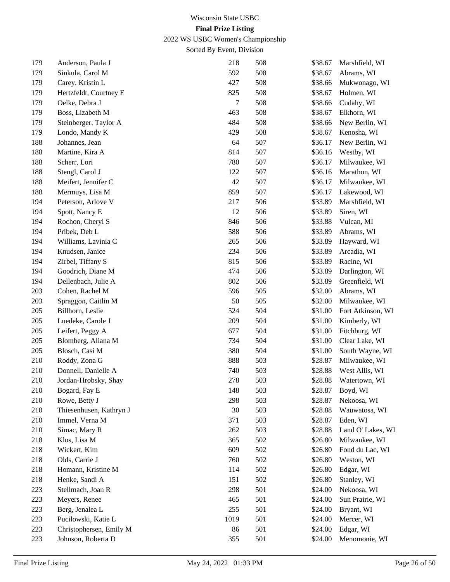2022 WS USBC Women's Championship

| 179 | Anderson, Paula J       | 218  | 508 | \$38.67 | Marshfield, WI    |
|-----|-------------------------|------|-----|---------|-------------------|
| 179 | Sinkula, Carol M        | 592  | 508 | \$38.67 | Abrams, WI        |
| 179 | Carey, Kristin L        | 427  | 508 | \$38.66 | Mukwonago, WI     |
| 179 | Hertzfeldt, Courtney E  | 825  | 508 | \$38.67 | Holmen, WI        |
| 179 | Oelke, Debra J          | 7    | 508 | \$38.66 | Cudahy, WI        |
| 179 | Boss, Lizabeth M        | 463  | 508 | \$38.67 | Elkhorn, WI       |
| 179 | Steinberger, Taylor A   | 484  | 508 | \$38.66 | New Berlin, WI    |
| 179 | Londo, Mandy K          | 429  | 508 | \$38.67 | Kenosha, WI       |
| 188 | Johannes, Jean          | 64   | 507 | \$36.17 | New Berlin, WI    |
| 188 | Martine, Kira A         | 814  | 507 | \$36.16 | Westby, WI        |
| 188 | Scherr, Lori            | 780  | 507 | \$36.17 | Milwaukee, WI     |
| 188 | Stengl, Carol J         | 122  | 507 | \$36.16 | Marathon, WI      |
| 188 | Meifert, Jennifer C     | 42   | 507 | \$36.17 | Milwaukee, WI     |
| 188 | Mermuys, Lisa M         | 859  | 507 | \$36.17 | Lakewood, WI      |
| 194 | Peterson, Arlove V      | 217  | 506 | \$33.89 | Marshfield, WI    |
| 194 | Spott, Nancy E          | 12   | 506 | \$33.89 | Siren, WI         |
| 194 | Rochon, Cheryl S        | 846  | 506 | \$33.88 | Vulcan, MI        |
| 194 | Pribek, Deb L           | 588  | 506 | \$33.89 | Abrams, WI        |
| 194 | Williams, Lavinia C     | 265  | 506 | \$33.89 | Hayward, WI       |
| 194 | Knudsen, Janice         | 234  | 506 | \$33.89 | Arcadia, WI       |
| 194 | Zirbel, Tiffany S       | 815  | 506 | \$33.89 | Racine, WI        |
| 194 | Goodrich, Diane M       | 474  | 506 | \$33.89 | Darlington, WI    |
| 194 | Dellenbach, Julie A     | 802  | 506 | \$33.89 | Greenfield, WI    |
| 203 | Cohen, Rachel M         | 596  | 505 | \$32.00 | Abrams, WI        |
| 203 | Spraggon, Caitlin M     | 50   | 505 | \$32.00 | Milwaukee, WI     |
| 205 | Billhorn, Leslie        | 524  | 504 | \$31.00 | Fort Atkinson, WI |
| 205 | Luedeke, Carole J       | 209  | 504 | \$31.00 | Kimberly, WI      |
| 205 | Leifert, Peggy A        | 677  | 504 | \$31.00 | Fitchburg, WI     |
| 205 | Blomberg, Aliana M      | 734  | 504 | \$31.00 | Clear Lake, WI    |
| 205 | Blosch, Casi M          | 380  | 504 | \$31.00 | South Wayne, WI   |
| 210 | Roddy, Zona G           | 888  | 503 | \$28.87 | Milwaukee, WI     |
| 210 | Donnell, Danielle A     | 740  | 503 | \$28.88 | West Allis, WI    |
| 210 | Jordan-Hrobsky, Shay    | 278  | 503 | \$28.88 | Watertown, WI     |
| 210 | Bogard, Fay E           | 148  | 503 | \$28.87 | Boyd, WI          |
| 210 | Rowe, Betty J           | 298  | 503 | \$28.87 | Nekoosa, WI       |
| 210 | Thiesenhusen, Kathryn J | 30   | 503 | \$28.88 | Wauwatosa, WI     |
| 210 | Immel, Verna M          | 371  | 503 | \$28.87 | Eden, WI          |
| 210 | Simac, Mary R           | 262  | 503 | \$28.88 | Land O' Lakes, WI |
| 218 | Klos, Lisa M            | 365  | 502 | \$26.80 | Milwaukee, WI     |
| 218 | Wickert, Kim            | 609  | 502 | \$26.80 | Fond du Lac, WI   |
| 218 | Olds, Carrie J          | 760  | 502 | \$26.80 | Weston, WI        |
| 218 | Homann, Kristine M      | 114  | 502 | \$26.80 | Edgar, WI         |
| 218 | Henke, Sandi A          | 151  | 502 | \$26.80 | Stanley, WI       |
| 223 | Stellmach, Joan R       | 298  | 501 | \$24.00 | Nekoosa, WI       |
| 223 | Meyers, Renee           | 465  | 501 | \$24.00 | Sun Prairie, WI   |
| 223 | Berg, Jenalea L         | 255  | 501 | \$24.00 | Bryant, WI        |
| 223 | Pucilowski, Katie L     | 1019 | 501 | \$24.00 | Mercer, WI        |
| 223 | Christophersen, Emily M | 86   | 501 | \$24.00 | Edgar, WI         |
| 223 | Johnson, Roberta D      | 355  | 501 | \$24.00 | Menomonie, WI     |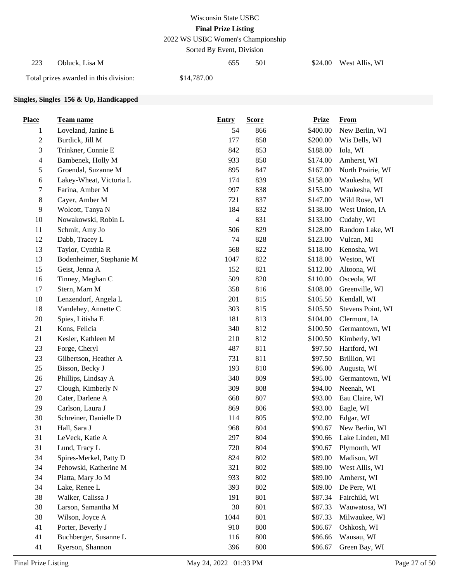2022 WS USBC Women's Championship

Sorted By Event, Division

| 223 | Obluck. Lisa M                         |             | 655 | 501 | \$24.00 West Allis, WI |
|-----|----------------------------------------|-------------|-----|-----|------------------------|
|     | Total prizes awarded in this division: | \$14,787.00 |     |     |                        |

#### **Singles, Singles 156 & Up, Handicapped**

| <b>Place</b>   | <b>Team name</b>         | <b>Entry</b>   | <b>Score</b> | <b>Prize</b> | <b>From</b>       |
|----------------|--------------------------|----------------|--------------|--------------|-------------------|
| $\mathbf{1}$   | Loveland, Janine E       | 54             | 866          | \$400.00     | New Berlin, WI    |
| $\sqrt{2}$     | Burdick, Jill M          | 177            | 858          | \$200.00     | Wis Dells, WI     |
| 3              | Trinkner, Connie E       | 842            | 853          | \$188.00     | Iola, WI          |
| $\overline{4}$ | Bambenek, Holly M        | 933            | 850          | \$174.00     | Amherst, WI       |
| 5              | Groendal, Suzanne M      | 895            | 847          | \$167.00     | North Prairie, WI |
| $\sqrt{6}$     | Lakey-Wheat, Victoria L  | 174            | 839          | \$158.00     | Waukesha, WI      |
| 7              | Farina, Amber M          | 997            | 838          | \$155.00     | Waukesha, WI      |
| $\,8\,$        | Cayer, Amber M           | 721            | 837          | \$147.00     | Wild Rose, WI     |
| $\overline{9}$ | Wolcott, Tanya N         | 184            | 832          | \$138.00     | West Union, IA    |
| 10             | Nowakowski, Robin L      | $\overline{4}$ | 831          | \$133.00     | Cudahy, WI        |
| 11             | Schmit, Amy Jo           | 506            | 829          | \$128.00     | Random Lake, WI   |
| 12             | Dabb, Tracey L           | 74             | 828          | \$123.00     | Vulcan, MI        |
| 13             | Taylor, Cynthia R        | 568            | 822          | \$118.00     | Kenosha, WI       |
| 13             | Bodenheimer, Stephanie M | 1047           | 822          | \$118.00     | Weston, WI        |
| 15             | Geist, Jenna A           | 152            | 821          | \$112.00     | Altoona, WI       |
| 16             | Tinney, Meghan C         | 509            | 820          | \$110.00     | Osceola, WI       |
| 17             | Stern, Marn M            | 358            | 816          | \$108.00     | Greenville, WI    |
| 18             | Lenzendorf, Angela L     | 201            | 815          | \$105.50     | Kendall, WI       |
| 18             | Vandehey, Annette C      | 303            | 815          | \$105.50     | Stevens Point, WI |
| $20\,$         | Spies, Litisha E         | 181            | 813          | \$104.00     | Clermont, IA      |
| 21             | Kons, Felicia            | 340            | 812          | \$100.50     | Germantown, WI    |
| 21             | Kesler, Kathleen M       | 210            | 812          | \$100.50     | Kimberly, WI      |
| 23             | Forge, Cheryl            | 487            | 811          | \$97.50      | Hartford, WI      |
| 23             | Gilbertson, Heather A    | 731            | 811          | \$97.50      | Brillion, WI      |
| $25\,$         | Bisson, Becky J          | 193            | 810          | \$96.00      | Augusta, WI       |
| $26\,$         | Phillips, Lindsay A      | 340            | 809          | \$95.00      | Germantown, WI    |
| 27             | Clough, Kimberly N       | 309            | 808          | \$94.00      | Neenah, WI        |
| 28             | Cater, Darlene A         | 668            | 807          | \$93.00      | Eau Claire, WI    |
| 29             | Carlson, Laura J         | 869            | 806          | \$93.00      | Eagle, WI         |
| 30             | Schreiner, Danielle D    | 114            | 805          | \$92.00      | Edgar, WI         |
| 31             | Hall, Sara J             | 968            | 804          | \$90.67      | New Berlin, WI    |
| 31             | LeVeck, Katie A          | 297            | 804          | \$90.66      | Lake Linden, MI   |
| 31             | Lund, Tracy L            | 720            | 804          | \$90.67      | Plymouth, WI      |
| 34             | Spires-Merkel, Patty D   | 824            | 802          | \$89.00      | Madison, WI       |
| 34             | Pehowski, Katherine M    | 321            | 802          | \$89.00      | West Allis, WI    |
| 34             | Platta, Mary Jo M        | 933            | 802          | \$89.00      | Amherst, WI       |
| 34             | Lake, Renee L            | 393            | 802          | \$89.00      | De Pere, WI       |
| 38             | Walker, Calissa J        | 191            | 801          | \$87.34      | Fairchild, WI     |
| 38             | Larson, Samantha M       | 30             | 801          | \$87.33      | Wauwatosa, WI     |
| 38             | Wilson, Joyce A          | 1044           | 801          | \$87.33      | Milwaukee, WI     |
| 41             | Porter, Beverly J        | 910            | 800          | \$86.67      | Oshkosh, WI       |
| 41             | Buchberger, Susanne L    | 116            | 800          | \$86.66      | Wausau, WI        |
| 41             | Ryerson, Shannon         | 396            | 800          | \$86.67      | Green Bay, WI     |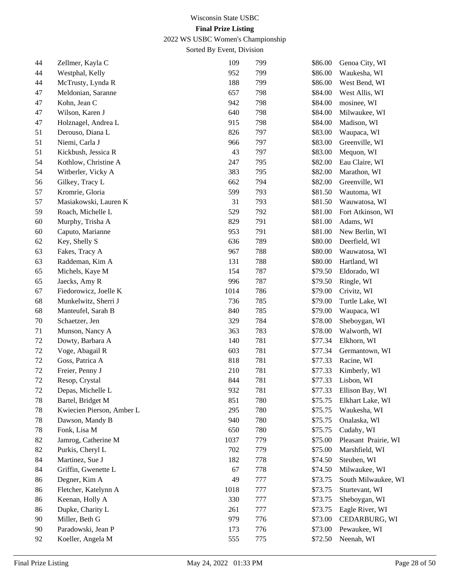2022 WS USBC Women's Championship

| 44     | Zellmer, Kayla C          | 109  | 799 | \$86.00 | Genoa City, WI       |
|--------|---------------------------|------|-----|---------|----------------------|
| 44     | Westphal, Kelly           | 952  | 799 | \$86.00 | Waukesha, WI         |
| 44     | McTrusty, Lynda R         | 188  | 799 | \$86.00 | West Bend, WI        |
| 47     | Meldonian, Saranne        | 657  | 798 | \$84.00 | West Allis, WI       |
| 47     | Kohn, Jean C              | 942  | 798 | \$84.00 | mosinee, WI          |
| 47     | Wilson, Karen J           | 640  | 798 | \$84.00 | Milwaukee, WI        |
| 47     | Holznagel, Andrea L       | 915  | 798 | \$84.00 | Madison, WI          |
| 51     | Derouso, Diana L          | 826  | 797 | \$83.00 | Waupaca, WI          |
| 51     | Niemi, Carla J            | 966  | 797 | \$83.00 | Greenville, WI       |
| 51     | Kickbush, Jessica R       | 43   | 797 | \$83.00 | Mequon, WI           |
| 54     | Kothlow, Christine A      | 247  | 795 | \$82.00 | Eau Claire, WI       |
| 54     | Witberler, Vicky A        | 383  | 795 | \$82.00 | Marathon, WI         |
| 56     | Gilkey, Tracy L           | 662  | 794 | \$82.00 | Greenville, WI       |
| 57     | Kromrie, Gloria           | 599  | 793 | \$81.50 | Wautoma, WI          |
| 57     | Masiakowski, Lauren K     | 31   | 793 | \$81.50 | Wauwatosa, WI        |
| 59     | Roach, Michelle L         | 529  | 792 | \$81.00 | Fort Atkinson, WI    |
| 60     | Murphy, Trisha A          | 829  | 791 | \$81.00 | Adams, WI            |
| 60     | Caputo, Marianne          | 953  | 791 | \$81.00 | New Berlin, WI       |
| 62     | Key, Shelly S             | 636  | 789 | \$80.00 | Deerfield, WI        |
| 63     | Fakes, Tracy A            | 967  | 788 | \$80.00 | Wauwatosa, WI        |
| 63     | Raddeman, Kim A           | 131  | 788 | \$80.00 | Hartland, WI         |
| 65     | Michels, Kaye M           | 154  | 787 | \$79.50 | Eldorado, WI         |
| 65     | Jaecks, Amy R             | 996  | 787 | \$79.50 | Ringle, WI           |
| 67     | Fiedorowicz, Joelle K     | 1014 | 786 | \$79.00 | Crivitz, WI          |
| 68     | Munkelwitz, Sherri J      | 736  | 785 | \$79.00 | Turtle Lake, WI      |
| 68     | Manteufel, Sarah B        | 840  | 785 | \$79.00 | Waupaca, WI          |
| 70     | Schaetzer, Jen            | 329  | 784 | \$78.00 | Sheboygan, WI        |
| 71     | Munson, Nancy A           | 363  | 783 | \$78.00 | Walworth, WI         |
| 72     | Dowty, Barbara A          | 140  | 781 | \$77.34 | Elkhorn, WI          |
| 72     | Voge, Abagail R           | 603  | 781 | \$77.34 | Germantown, WI       |
| 72     | Goss, Patrica A           | 818  | 781 | \$77.33 | Racine, WI           |
| 72     | Freier, Penny J           | 210  | 781 | \$77.33 | Kimberly, WI         |
| 72     | Resop, Crystal            | 844  | 781 | \$77.33 | Lisbon, WI           |
| $72\,$ | Depas, Michelle L         | 932  | 781 | \$77.33 | Ellison Bay, WI      |
| 78     | Bartel, Bridget M         | 851  | 780 | \$75.75 | Elkhart Lake, WI     |
| 78     | Kwiecien Pierson, Amber L | 295  | 780 | \$75.75 | Waukesha, WI         |
| 78     | Dawson, Mandy B           | 940  | 780 | \$75.75 | Onalaska, WI         |
| 78     | Fonk, Lisa M              | 650  | 780 | \$75.75 | Cudahy, WI           |
| 82     | Jamrog, Catherine M       | 1037 | 779 | \$75.00 | Pleasant Prairie, WI |
| 82     | Purkis, Cheryl L          | 702  | 779 | \$75.00 | Marshfield, WI       |
| 84     | Martinez, Sue J           | 182  | 778 | \$74.50 | Steuben, WI          |
| 84     | Griffin, Gwenette L       | 67   | 778 | \$74.50 | Milwaukee, WI        |
| 86     | Degner, Kim A             | 49   | 777 | \$73.75 | South Milwaukee, WI  |
| 86     | Fletcher, Katelynn A      | 1018 | 777 | \$73.75 | Sturtevant, WI       |
| 86     | Keenan, Holly A           | 330  | 777 | \$73.75 | Sheboygan, WI        |
| 86     | Dupke, Charity L          | 261  | 777 | \$73.75 | Eagle River, WI      |
| 90     | Miller, Beth G            | 979  | 776 | \$73.00 | CEDARBURG, WI        |
| 90     | Paradowski, Jean P        | 173  | 776 | \$73.00 | Pewaukee, WI         |
| 92     | Koeller, Angela M         | 555  | 775 | \$72.50 | Neenah, WI           |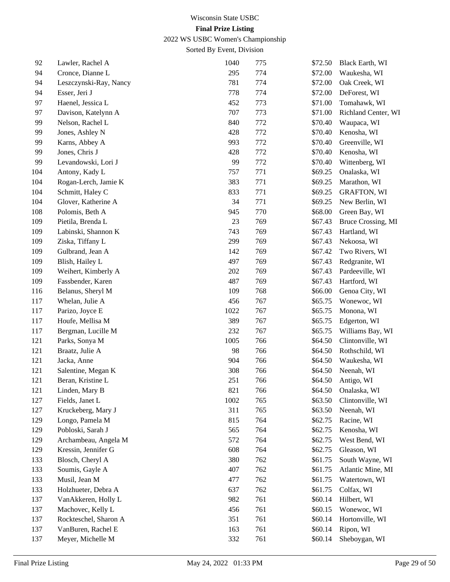2022 WS USBC Women's Championship

| 92  | Lawler, Rachel A       | 1040 | 775 | \$72.50 | Black Earth, WI     |
|-----|------------------------|------|-----|---------|---------------------|
| 94  | Cronce, Dianne L       | 295  | 774 | \$72.00 | Waukesha, WI        |
| 94  | Leszczynski-Ray, Nancy | 781  | 774 | \$72.00 | Oak Creek, WI       |
| 94  | Esser, Jeri J          | 778  | 774 | \$72.00 | DeForest, WI        |
| 97  | Haenel, Jessica L      | 452  | 773 | \$71.00 | Tomahawk, WI        |
| 97  | Davison, Katelynn A    | 707  | 773 | \$71.00 | Richland Center, WI |
| 99  | Nelson, Rachel L       | 840  | 772 | \$70.40 | Waupaca, WI         |
| 99  | Jones, Ashley N        | 428  | 772 | \$70.40 | Kenosha, WI         |
| 99  | Karns, Abbey A         | 993  | 772 | \$70.40 | Greenville, WI      |
| 99  | Jones, Chris J         | 428  | 772 | \$70.40 | Kenosha, WI         |
| 99  | Levandowski, Lori J    | 99   | 772 | \$70.40 | Wittenberg, WI      |
| 104 | Antony, Kady L         | 757  | 771 | \$69.25 | Onalaska, WI        |
| 104 | Rogan-Lerch, Jamie K   | 383  | 771 | \$69.25 | Marathon, WI        |
| 104 | Schmitt, Haley C       | 833  | 771 | \$69.25 | <b>GRAFTON, WI</b>  |
| 104 | Glover, Katherine A    | 34   | 771 | \$69.25 | New Berlin, WI      |
| 108 | Polomis, Beth A        | 945  | 770 | \$68.00 | Green Bay, WI       |
| 109 | Pietila, Brenda L      | 23   | 769 | \$67.43 | Bruce Crossing, MI  |
| 109 | Labinski, Shannon K    | 743  | 769 | \$67.43 | Hartland, WI        |
| 109 | Ziska, Tiffany L       | 299  | 769 | \$67.43 | Nekoosa, WI         |
| 109 | Gulbrand, Jean A       | 142  | 769 | \$67.42 | Two Rivers, WI      |
| 109 | Blish, Hailey L        | 497  | 769 | \$67.43 | Redgranite, WI      |
| 109 | Weihert, Kimberly A    | 202  | 769 | \$67.43 | Pardeeville, WI     |
| 109 | Fassbender, Karen      | 487  | 769 | \$67.43 | Hartford, WI        |
| 116 | Belanus, Sheryl M      | 109  | 768 | \$66.00 | Genoa City, WI      |
| 117 | Whelan, Julie A        | 456  | 767 | \$65.75 | Wonewoc, WI         |
| 117 | Parizo, Joyce E        | 1022 | 767 | \$65.75 | Monona, WI          |
| 117 | Houfe, Mellisa M       | 389  | 767 | \$65.75 | Edgerton, WI        |
| 117 | Bergman, Lucille M     | 232  | 767 | \$65.75 | Williams Bay, WI    |
| 121 | Parks, Sonya M         | 1005 | 766 | \$64.50 | Clintonville, WI    |
| 121 | Braatz, Julie A        | 98   | 766 | \$64.50 | Rothschild, WI      |
| 121 | Jacka, Anne            | 904  | 766 | \$64.50 | Waukesha, WI        |
| 121 | Salentine, Megan K     | 308  | 766 | \$64.50 | Neenah, WI          |
| 121 | Beran, Kristine L      | 251  | 766 | \$64.50 | Antigo, WI          |
| 121 | Linden, Mary B         | 821  | 766 | \$64.50 | Onalaska, WI        |
| 127 | Fields, Janet L        | 1002 | 765 | \$63.50 | Clintonville, WI    |
| 127 | Kruckeberg, Mary J     | 311  | 765 | \$63.50 | Neenah, WI          |
| 129 | Longo, Pamela M        | 815  | 764 | \$62.75 | Racine, WI          |
| 129 | Pobloski, Sarah J      | 565  | 764 | \$62.75 | Kenosha, WI         |
| 129 | Archambeau, Angela M   | 572  | 764 | \$62.75 | West Bend, WI       |
| 129 | Kressin, Jennifer G    | 608  | 764 | \$62.75 | Gleason, WI         |
| 133 | Blosch, Cheryl A       | 380  | 762 | \$61.75 | South Wayne, WI     |
| 133 | Soumis, Gayle A        | 407  | 762 | \$61.75 | Atlantic Mine, MI   |
| 133 | Musil, Jean M          | 477  | 762 | \$61.75 | Watertown, WI       |
| 133 | Holzhueter, Debra A    | 637  | 762 | \$61.75 | Colfax, WI          |
| 137 | VanAkkeren, Holly L    | 982  | 761 | \$60.14 | Hilbert, WI         |
| 137 | Machovec, Kelly L      | 456  | 761 | \$60.15 | Wonewoc, WI         |
| 137 | Rockteschel, Sharon A  | 351  | 761 | \$60.14 | Hortonville, WI     |
| 137 | VanBuren, Rachel E     | 163  | 761 | \$60.14 | Ripon, WI           |
| 137 | Meyer, Michelle M      | 332  | 761 | \$60.14 | Sheboygan, WI       |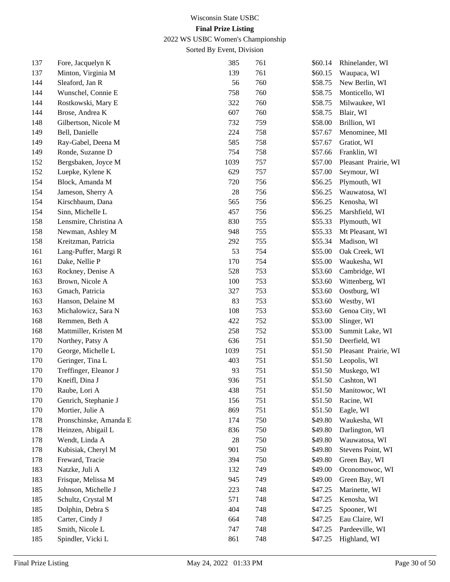2022 WS USBC Women's Championship

| 137 | Fore, Jacquelyn K      | 385  | 761 | \$60.14 | Rhinelander, WI      |
|-----|------------------------|------|-----|---------|----------------------|
| 137 | Minton, Virginia M     | 139  | 761 | \$60.15 | Waupaca, WI          |
| 144 | Sleaford, Jan R        | 56   | 760 | \$58.75 | New Berlin, WI       |
| 144 | Wunschel, Connie E     | 758  | 760 | \$58.75 | Monticello, WI       |
| 144 | Rostkowski, Mary E     | 322  | 760 | \$58.75 | Milwaukee, WI        |
| 144 | Brose, Andrea K        | 607  | 760 | \$58.75 | Blair, WI            |
| 148 | Gilbertson, Nicole M   | 732  | 759 | \$58.00 | Brillion, WI         |
| 149 | Bell, Danielle         | 224  | 758 | \$57.67 | Menominee, MI        |
| 149 | Ray-Gabel, Deena M     | 585  | 758 | \$57.67 | Gratiot, WI          |
| 149 | Ronde, Suzanne D       | 754  | 758 | \$57.66 | Franklin, WI         |
| 152 | Bergsbaken, Joyce M    | 1039 | 757 | \$57.00 | Pleasant Prairie, WI |
| 152 | Luepke, Kylene K       | 629  | 757 | \$57.00 | Seymour, WI          |
| 154 | Block, Amanda M        | 720  | 756 | \$56.25 | Plymouth, WI         |
| 154 | Jameson, Sherry A      | 28   | 756 | \$56.25 | Wauwatosa, WI        |
| 154 | Kirschbaum, Dana       | 565  | 756 | \$56.25 | Kenosha, WI          |
| 154 | Sinn, Michelle L       | 457  | 756 | \$56.25 | Marshfield, WI       |
| 158 | Lensmire, Christina A  | 830  | 755 | \$55.33 | Plymouth, WI         |
| 158 | Newman, Ashley M       | 948  | 755 | \$55.33 | Mt Pleasant, WI      |
| 158 | Kreitzman, Patricia    | 292  | 755 | \$55.34 | Madison, WI          |
| 161 | Lang-Puffer, Margi R   | 53   | 754 | \$55.00 | Oak Creek, WI        |
| 161 | Dake, Nellie P         | 170  | 754 | \$55.00 | Waukesha, WI         |
| 163 | Rockney, Denise A      | 528  | 753 | \$53.60 | Cambridge, WI        |
| 163 | Brown, Nicole A        | 100  | 753 | \$53.60 | Wittenberg, WI       |
| 163 | Gmach, Patricia        | 327  | 753 | \$53.60 | Oostburg, WI         |
| 163 | Hanson, Delaine M      | 83   | 753 | \$53.60 | Westby, WI           |
| 163 | Michalowicz, Sara N    | 108  | 753 | \$53.60 | Genoa City, WI       |
| 168 | Remmen, Beth A         | 422  | 752 | \$53.00 | Slinger, WI          |
| 168 | Mattmiller, Kristen M  | 258  | 752 | \$53.00 | Summit Lake, WI      |
| 170 | Northey, Patsy A       | 636  | 751 | \$51.50 | Deerfield, WI        |
| 170 | George, Michelle L     | 1039 | 751 | \$51.50 | Pleasant Prairie, WI |
| 170 | Geringer, Tina L       | 403  | 751 | \$51.50 | Leopolis, WI         |
| 170 | Treffinger, Eleanor J  | 93   | 751 | \$51.50 | Muskego, WI          |
| 170 | Kneifl, Dina J         | 936  | 751 | \$51.50 | Cashton, WI          |
| 170 | Raube, Lori A          | 438  | 751 | \$51.50 | Manitowoc, WI        |
| 170 | Genrich, Stephanie J   | 156  | 751 | \$51.50 | Racine, WI           |
| 170 | Mortier, Julie A       | 869  | 751 | \$51.50 | Eagle, WI            |
| 178 | Pronschinske, Amanda E | 174  | 750 | \$49.80 | Waukesha, WI         |
| 178 | Heinzen, Abigail L     | 836  | 750 | \$49.80 | Darlington, WI       |
| 178 | Wendt, Linda A         | 28   | 750 | \$49.80 | Wauwatosa, WI        |
| 178 | Kubisiak, Cheryl M     | 901  | 750 | \$49.80 | Stevens Point, WI    |
| 178 | Freward, Tracie        | 394  | 750 | \$49.80 | Green Bay, WI        |
| 183 | Natzke, Juli A         | 132  | 749 | \$49.00 | Oconomowoc, WI       |
| 183 | Frisque, Melissa M     | 945  | 749 | \$49.00 | Green Bay, WI        |
| 185 | Johnson, Michelle J    | 223  | 748 | \$47.25 | Marinette, WI        |
| 185 | Schultz, Crystal M     | 571  | 748 | \$47.25 | Kenosha, WI          |
| 185 | Dolphin, Debra S       | 404  | 748 | \$47.25 | Spooner, WI          |
| 185 | Carter, Cindy J        | 664  | 748 | \$47.25 | Eau Claire, WI       |
| 185 | Smith, Nicole L        | 747  | 748 | \$47.25 | Pardeeville, WI      |
| 185 | Spindler, Vicki L      | 861  | 748 | \$47.25 | Highland, WI         |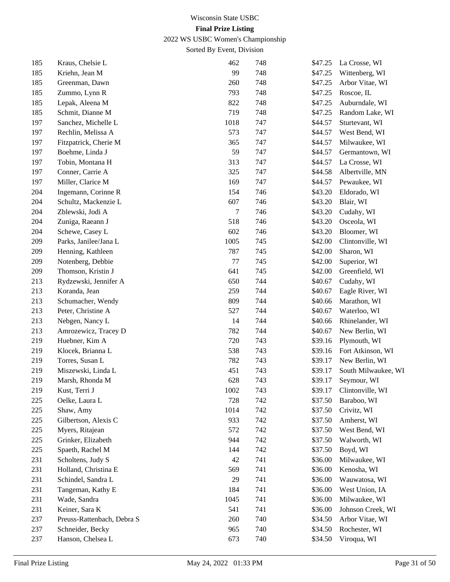2022 WS USBC Women's Championship

| 185 | Kraus, Chelsie L           | 462  | 748 | \$47.25 | La Crosse, WI       |
|-----|----------------------------|------|-----|---------|---------------------|
| 185 | Kriehn, Jean M             | 99   | 748 | \$47.25 | Wittenberg, WI      |
| 185 | Greenman, Dawn             | 260  | 748 | \$47.25 | Arbor Vitae, WI     |
| 185 | Zummo, Lynn R              | 793  | 748 | \$47.25 | Roscoe, IL          |
| 185 | Lepak, Aleena M            | 822  | 748 | \$47.25 | Auburndale, WI      |
| 185 | Schmit, Dianne M           | 719  | 748 | \$47.25 | Random Lake, WI     |
| 197 | Sanchez, Michelle L        | 1018 | 747 | \$44.57 | Sturtevant, WI      |
| 197 | Rechlin, Melissa A         | 573  | 747 | \$44.57 | West Bend, WI       |
| 197 | Fitzpatrick, Cherie M      | 365  | 747 | \$44.57 | Milwaukee, WI       |
| 197 | Boehme, Linda J            | 59   | 747 | \$44.57 | Germantown, WI      |
| 197 | Tobin, Montana H           | 313  | 747 | \$44.57 | La Crosse, WI       |
| 197 | Conner, Carrie A           | 325  | 747 | \$44.58 | Albertville, MN     |
| 197 | Miller, Clarice M          | 169  | 747 | \$44.57 | Pewaukee, WI        |
| 204 | Ingemann, Corinne R        | 154  | 746 | \$43.20 | Eldorado, WI        |
| 204 | Schultz, Mackenzie L       | 607  | 746 | \$43.20 | Blair, WI           |
| 204 | Zblewski, Jodi A           | 7    | 746 | \$43.20 | Cudahy, WI          |
| 204 | Zuniga, Raeann J           | 518  | 746 | \$43.20 | Osceola, WI         |
| 204 | Schewe, Casey L            | 602  | 746 | \$43.20 | Bloomer, WI         |
| 209 | Parks, Janilee/Jana L      | 1005 | 745 | \$42.00 | Clintonville, WI    |
| 209 | Henning, Kathleen          | 787  | 745 | \$42.00 | Sharon, WI          |
| 209 | Notenberg, Debbie          | 77   | 745 | \$42.00 | Superior, WI        |
| 209 | Thomson, Kristin J         | 641  | 745 | \$42.00 | Greenfield, WI      |
| 213 | Rydzewski, Jennifer A      | 650  | 744 | \$40.67 | Cudahy, WI          |
| 213 | Koranda, Jean              | 259  | 744 | \$40.67 | Eagle River, WI     |
| 213 | Schumacher, Wendy          | 809  | 744 | \$40.66 | Marathon, WI        |
| 213 | Peter, Christine A         | 527  | 744 | \$40.67 | Waterloo, WI        |
| 213 | Nebgen, Nancy L            | 14   | 744 | \$40.66 | Rhinelander, WI     |
| 213 | Amrozewicz, Tracey D       | 782  | 744 | \$40.67 | New Berlin, WI      |
| 219 | Huebner, Kim A             | 720  | 743 | \$39.16 | Plymouth, WI        |
| 219 | Klocek, Brianna L          | 538  | 743 | \$39.16 | Fort Atkinson, WI   |
| 219 | Torres, Susan L            | 782  | 743 | \$39.17 | New Berlin, WI      |
| 219 | Miszewski, Linda L         | 451  | 743 | \$39.17 | South Milwaukee, WI |
| 219 | Marsh, Rhonda M            | 628  | 743 | \$39.17 | Seymour, WI         |
| 219 | Kust, Terri J              | 1002 | 743 | \$39.17 | Clintonville, WI    |
| 225 | Oelke, Laura L             | 728  | 742 | \$37.50 | Baraboo, WI         |
| 225 | Shaw, Amy                  | 1014 | 742 | \$37.50 | Crivitz, WI         |
| 225 | Gilbertson, Alexis C       | 933  | 742 | \$37.50 | Amherst, WI         |
| 225 | Myers, Ritajean            | 572  | 742 | \$37.50 | West Bend, WI       |
| 225 | Grinker, Elizabeth         | 944  | 742 | \$37.50 | Walworth, WI        |
| 225 | Spaeth, Rachel M           | 144  | 742 | \$37.50 | Boyd, WI            |
| 231 | Scholtens, Judy S          | 42   | 741 | \$36.00 | Milwaukee, WI       |
| 231 | Holland, Christina E       | 569  | 741 | \$36.00 | Kenosha, WI         |
| 231 | Schindel, Sandra L         | 29   | 741 | \$36.00 | Wauwatosa, WI       |
| 231 | Tangeman, Kathy E          | 184  | 741 | \$36.00 | West Union, IA      |
| 231 | Wade, Sandra               | 1045 | 741 | \$36.00 | Milwaukee, WI       |
| 231 | Keiner, Sara K             | 541  | 741 | \$36.00 | Johnson Creek, WI   |
| 237 | Preuss-Rattenbach, Debra S | 260  | 740 | \$34.50 | Arbor Vitae, WI     |
| 237 | Schneider, Becky           | 965  | 740 | \$34.50 | Rochester, WI       |
| 237 | Hanson, Chelsea L          | 673  | 740 | \$34.50 | Viroqua, WI         |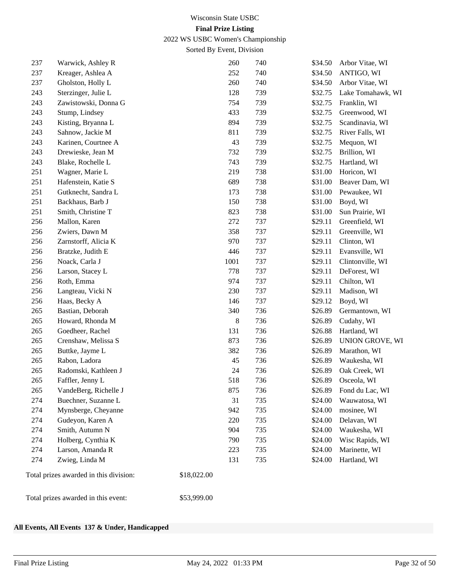2022 WS USBC Women's Championship

Sorted By Event, Division

| 237 | Warwick, Ashley R                      | 260         | 740 | \$34.50 | Arbor Vitae, WI   |
|-----|----------------------------------------|-------------|-----|---------|-------------------|
| 237 | Kreager, Ashlea A                      | 252         | 740 | \$34.50 | ANTIGO, WI        |
| 237 | Gholston, Holly L                      | 260         | 740 | \$34.50 | Arbor Vitae, WI   |
| 243 | Sterzinger, Julie L                    | 128         | 739 | \$32.75 | Lake Tomahawk, WI |
| 243 | Zawistowski, Donna G                   | 754         | 739 | \$32.75 | Franklin, WI      |
| 243 | Stump, Lindsey                         | 433         | 739 | \$32.75 | Greenwood, WI     |
| 243 | Kisting, Bryanna L                     | 894         | 739 | \$32.75 | Scandinavia, WI   |
| 243 | Sahnow, Jackie M                       | 811         | 739 | \$32.75 | River Falls, WI   |
| 243 | Karinen, Courtnee A                    | 43          | 739 | \$32.75 | Mequon, WI        |
| 243 | Drewieske, Jean M                      | 732         | 739 | \$32.75 | Brillion, WI      |
| 243 | Blake, Rochelle L                      | 743         | 739 | \$32.75 | Hartland, WI      |
| 251 | Wagner, Marie L                        | 219         | 738 | \$31.00 | Horicon, WI       |
| 251 | Hafenstein, Katie S                    | 689         | 738 | \$31.00 | Beaver Dam, WI    |
| 251 | Gutknecht, Sandra L                    | 173         | 738 | \$31.00 | Pewaukee, WI      |
| 251 | Backhaus, Barb J                       | 150         | 738 | \$31.00 | Boyd, WI          |
| 251 | Smith, Christine T                     | 823         | 738 | \$31.00 | Sun Prairie, WI   |
| 256 | Mallon, Karen                          | 272         | 737 | \$29.11 | Greenfield, WI    |
| 256 | Zwiers, Dawn M                         | 358         | 737 | \$29.11 | Greenville, WI    |
| 256 | Zarnstorff, Alicia K                   | 970         | 737 | \$29.11 | Clinton, WI       |
| 256 | Bratzke, Judith E                      | 446         | 737 | \$29.11 | Evansville, WI    |
| 256 | Noack, Carla J                         | 1001        | 737 | \$29.11 | Clintonville, WI  |
| 256 | Larson, Stacey L                       | 778         | 737 | \$29.11 | DeForest, WI      |
| 256 | Roth, Emma                             | 974         | 737 | \$29.11 | Chilton, WI       |
| 256 | Langteau, Vicki N                      | 230         | 737 | \$29.11 | Madison, WI       |
| 256 | Haas, Becky A                          | 146         | 737 | \$29.12 | Boyd, WI          |
| 265 | Bastian, Deborah                       | 340         | 736 | \$26.89 | Germantown, WI    |
| 265 | Howard, Rhonda M                       | 8           | 736 | \$26.89 | Cudahy, WI        |
| 265 | Goedheer, Rachel                       | 131         | 736 | \$26.88 | Hartland, WI      |
| 265 | Crenshaw, Melissa S                    | 873         | 736 | \$26.89 | UNION GROVE, WI   |
| 265 | Buttke, Jayme L                        | 382         | 736 | \$26.89 | Marathon, WI      |
| 265 | Rabon, Ladora                          | 45          | 736 | \$26.89 | Waukesha, WI      |
| 265 | Radomski, Kathleen J                   | 24          | 736 | \$26.89 | Oak Creek, WI     |
| 265 | Faffler, Jenny L                       | 518         | 736 | \$26.89 | Osceola, WI       |
| 265 | VandeBerg, Richelle J                  | 875         | 736 | \$26.89 | Fond du Lac, WI   |
| 274 | Buechner, Suzanne L                    | 31          | 735 | \$24.00 | Wauwatosa, WI     |
| 274 | Mynsberge, Cheyanne                    | 942         | 735 | \$24.00 | mosinee, WI       |
| 274 | Gudeyon, Karen A                       | 220         | 735 | \$24.00 | Delavan, WI       |
| 274 | Smith, Autumn N                        | 904         | 735 | \$24.00 | Waukesha, WI      |
| 274 | Holberg, Cynthia K                     | 790         | 735 | \$24.00 | Wisc Rapids, WI   |
| 274 | Larson, Amanda R                       | 223         | 735 | \$24.00 | Marinette, WI     |
| 274 | Zwieg, Linda M                         | 131         | 735 | \$24.00 | Hartland, WI      |
|     | Total prizes awarded in this division: | \$18,022.00 |     |         |                   |
|     | Total prizes awarded in this event:    | \$53,999.00 |     |         |                   |

#### **All Events, All Events 137 & Under, Handicapped**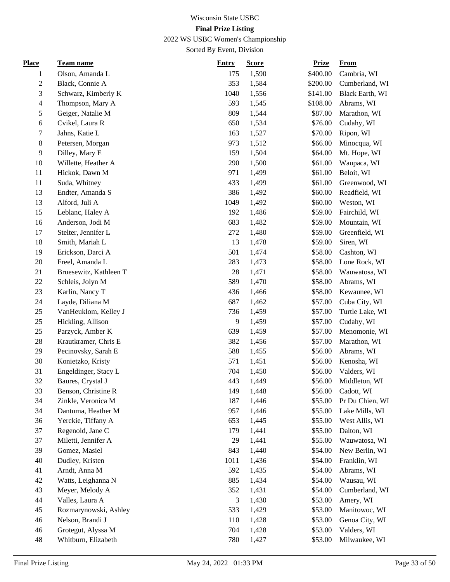## 2022 WS USBC Women's Championship

| <b>Place</b>   | Team name              | <b>Entry</b> | <b>Score</b> | <b>Prize</b> | <b>From</b>     |
|----------------|------------------------|--------------|--------------|--------------|-----------------|
| 1              | Olson, Amanda L        | 175          | 1,590        | \$400.00     | Cambria, WI     |
| $\sqrt{2}$     | Black, Connie A        | 353          | 1,584        | \$200.00     | Cumberland, WI  |
| 3              | Schwarz, Kimberly K    | 1040         | 1,556        | \$141.00     | Black Earth, WI |
| $\overline{4}$ | Thompson, Mary A       | 593          | 1,545        | \$108.00     | Abrams, WI      |
| $\sqrt{5}$     | Geiger, Natalie M      | 809          | 1,544        | \$87.00      | Marathon, WI    |
| 6              | Cvikel, Laura R        | 650          | 1,534        | \$76.00      | Cudahy, WI      |
| $\tau$         | Jahns, Katie L         | 163          | 1,527        | \$70.00      | Ripon, WI       |
| $\,8\,$        | Petersen, Morgan       | 973          | 1,512        | \$66.00      | Minocqua, WI    |
| $\overline{9}$ | Dilley, Mary E         | 159          | 1,504        | \$64.00      | Mt. Hope, WI    |
| 10             | Willette, Heather A    | 290          | 1,500        | \$61.00      | Waupaca, WI     |
| 11             | Hickok, Dawn M         | 971          | 1,499        | \$61.00      | Beloit, WI      |
| 11             | Suda, Whitney          | 433          | 1,499        | \$61.00      | Greenwood, WI   |
| 13             | Endter, Amanda S       | 386          | 1,492        | \$60.00      | Readfield, WI   |
| 13             | Alford, Juli A         | 1049         | 1,492        | \$60.00      | Weston, WI      |
| 15             | Leblanc, Haley A       | 192          | 1,486        | \$59.00      | Fairchild, WI   |
| 16             | Anderson, Jodi M       | 683          | 1,482        | \$59.00      | Mountain, WI    |
| 17             | Stelter, Jennifer L    | 272          | 1,480        | \$59.00      | Greenfield, WI  |
| 18             | Smith, Mariah L        | 13           | 1,478        | \$59.00      | Siren, WI       |
| 19             | Erickson, Darci A      | 501          | 1,474        | \$58.00      | Cashton, WI     |
| $20\,$         | Freel, Amanda L        | 283          | 1,473        | \$58.00      | Lone Rock, WI   |
| 21             | Bruesewitz, Kathleen T | 28           | 1,471        | \$58.00      | Wauwatosa, WI   |
| $22\,$         | Schleis, Jolyn M       | 589          | 1,470        | \$58.00      | Abrams, WI      |
| 23             | Karlin, Nancy T        | 436          | 1,466        | \$58.00      | Kewaunee, WI    |
| 24             | Layde, Diliana M       | 687          | 1,462        | \$57.00      | Cuba City, WI   |
| 25             | VanHeuklom, Kelley J   | 736          | 1,459        | \$57.00      | Turtle Lake, WI |
| 25             | Hickling, Allison      | 9            | 1,459        | \$57.00      | Cudahy, WI      |
| 25             | Parzyck, Amber K       | 639          | 1,459        | \$57.00      | Menomonie, WI   |
| $28\,$         | Krautkramer, Chris E   | 382          | 1,456        | \$57.00      | Marathon, WI    |
| 29             | Pecinovsky, Sarah E    | 588          | 1,455        | \$56.00      | Abrams, WI      |
| 30             | Konietzko, Kristy      | 571          | 1,451        | \$56.00      | Kenosha, WI     |
| 31             | Engeldinger, Stacy L   | 704          | 1,450        | \$56.00      | Valders, WI     |
| 32             | Baures, Crystal J      | 443          | 1,449        | \$56.00      | Middleton, WI   |
| 33             | Benson, Christine R    | 149          | 1,448        | \$56.00      | Cadott, WI      |
| 34             | Zinkle, Veronica M     | 187          | 1,446        | \$55.00      | Pr Du Chien, WI |
| 34             | Dantuma, Heather M     | 957          | 1,446        | \$55.00      | Lake Mills, WI  |
| 36             | Yerckie, Tiffany A     | 653          | 1,445        | \$55.00      | West Allis, WI  |
| 37             | Regenold, Jane C       | 179          | 1,441        | \$55.00      | Dalton, WI      |
| 37             | Miletti, Jennifer A    | 29           | 1,441        | \$55.00      | Wauwatosa, WI   |
| 39             | Gomez, Masiel          | 843          | 1,440        | \$54.00      | New Berlin, WI  |
| 40             | Dudley, Kristen        | 1011         | 1,436        | \$54.00      | Franklin, WI    |
| 41             | Arndt, Anna M          | 592          | 1,435        | \$54.00      | Abrams, WI      |
| 42             | Watts, Leighanna N     | 885          | 1,434        | \$54.00      | Wausau, WI      |
| 43             | Meyer, Melody A        | 352          | 1,431        | \$54.00      | Cumberland, WI  |
| 44             | Valles, Laura A        | 3            | 1,430        | \$53.00      | Amery, WI       |
| 45             | Rozmarynowski, Ashley  | 533          | 1,429        | \$53.00      | Manitowoc, WI   |
| 46             | Nelson, Brandi J       | 110          | 1,428        | \$53.00      | Genoa City, WI  |
| 46             | Grotegut, Alyssa M     | 704          | 1,428        | \$53.00      | Valders, WI     |
| 48             | Whitburn, Elizabeth    | 780          | 1,427        | \$53.00      | Milwaukee, WI   |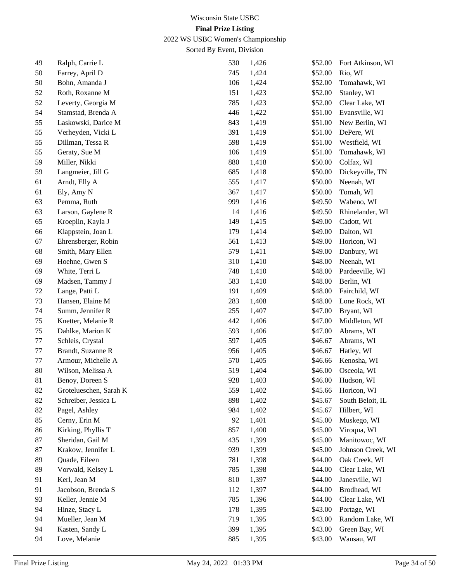2022 WS USBC Women's Championship

| 49 | Ralph, Carrie L        | 530 | 1,426 | \$52.00 | Fort Atkinson, WI |
|----|------------------------|-----|-------|---------|-------------------|
| 50 | Farrey, April D        | 745 | 1,424 | \$52.00 | Rio, WI           |
| 50 | Bohn, Amanda J         | 106 | 1,424 | \$52.00 | Tomahawk, WI      |
| 52 | Roth, Roxanne M        | 151 | 1,423 | \$52.00 | Stanley, WI       |
| 52 | Leverty, Georgia M     | 785 | 1,423 | \$52.00 | Clear Lake, WI    |
| 54 | Stamstad, Brenda A     | 446 | 1,422 | \$51.00 | Evansville, WI    |
| 55 | Laskowski, Darice M    | 843 | 1,419 | \$51.00 | New Berlin, WI    |
| 55 | Verheyden, Vicki L     | 391 | 1,419 | \$51.00 | DePere, WI        |
| 55 | Dillman, Tessa R       | 598 | 1,419 | \$51.00 | Westfield, WI     |
| 55 | Geraty, Sue M          | 106 | 1,419 | \$51.00 | Tomahawk, WI      |
| 59 | Miller, Nikki          | 880 | 1,418 | \$50.00 | Colfax, WI        |
| 59 | Langmeier, Jill G      | 685 | 1,418 | \$50.00 | Dickeyville, TN   |
| 61 | Arndt, Elly A          | 555 | 1,417 | \$50.00 | Neenah, WI        |
| 61 | Ely, Amy N             | 367 | 1,417 | \$50.00 | Tomah, WI         |
| 63 | Pemma, Ruth            | 999 | 1,416 | \$49.50 | Wabeno, WI        |
| 63 | Larson, Gaylene R      | 14  | 1,416 | \$49.50 | Rhinelander, WI   |
| 65 | Kroeplin, Kayla J      | 149 | 1,415 | \$49.00 | Cadott, WI        |
| 66 | Klappstein, Joan L     | 179 | 1,414 | \$49.00 | Dalton, WI        |
| 67 | Ehrensberger, Robin    | 561 | 1,413 | \$49.00 | Horicon, WI       |
| 68 | Smith, Mary Ellen      | 579 | 1,411 | \$49.00 | Danbury, WI       |
| 69 | Hoehne, Gwen S         | 310 | 1,410 | \$48.00 | Neenah, WI        |
| 69 | White, Terri L         | 748 | 1,410 | \$48.00 | Pardeeville, WI   |
| 69 | Madsen, Tammy J        | 583 | 1,410 | \$48.00 | Berlin, WI        |
| 72 | Lange, Patti L         | 191 | 1,409 | \$48.00 | Fairchild, WI     |
| 73 | Hansen, Elaine M       | 283 | 1,408 | \$48.00 | Lone Rock, WI     |
| 74 | Summ, Jennifer R       | 255 | 1,407 | \$47.00 | Bryant, WI        |
| 75 | Knetter, Melanie R     | 442 | 1,406 | \$47.00 | Middleton, WI     |
| 75 | Dahlke, Marion K       | 593 | 1,406 | \$47.00 | Abrams, WI        |
| 77 | Schleis, Crystal       | 597 | 1,405 | \$46.67 | Abrams, WI        |
| 77 | Brandt, Suzanne R      | 956 | 1,405 | \$46.67 | Hatley, WI        |
| 77 | Armour, Michelle A     | 570 | 1,405 | \$46.66 | Kenosha, WI       |
| 80 | Wilson, Melissa A      | 519 | 1,404 | \$46.00 | Osceola, WI       |
| 81 | Benoy, Doreen S        | 928 | 1,403 | \$46.00 | Hudson, WI        |
| 82 | Grotelueschen, Sarah K | 559 | 1,402 | \$45.66 | Horicon, WI       |
| 82 | Schreiber, Jessica L   | 898 | 1,402 | \$45.67 | South Beloit, IL  |
| 82 | Pagel, Ashley          | 984 | 1,402 | \$45.67 | Hilbert, WI       |
| 85 | Cerny, Erin M          | 92  | 1,401 | \$45.00 | Muskego, WI       |
| 86 | Kirking, Phyllis T     | 857 | 1,400 | \$45.00 | Viroqua, WI       |
| 87 | Sheridan, Gail M       | 435 | 1,399 | \$45.00 | Manitowoc, WI     |
| 87 | Krakow, Jennifer L     | 939 | 1,399 | \$45.00 | Johnson Creek, WI |
| 89 | Quade, Eileen          | 781 | 1,398 | \$44.00 | Oak Creek, WI     |
| 89 | Vorwald, Kelsey L      | 785 | 1,398 | \$44.00 | Clear Lake, WI    |
| 91 | Kerl, Jean M           | 810 | 1,397 | \$44.00 | Janesville, WI    |
| 91 | Jacobson, Brenda S     | 112 | 1,397 | \$44.00 | Brodhead, WI      |
| 93 | Keller, Jennie M       | 785 | 1,396 | \$44.00 | Clear Lake, WI    |
| 94 | Hinze, Stacy L         | 178 | 1,395 | \$43.00 | Portage, WI       |
| 94 | Mueller, Jean M        | 719 | 1,395 | \$43.00 | Random Lake, WI   |
| 94 | Kasten, Sandy L        | 399 | 1,395 | \$43.00 | Green Bay, WI     |
| 94 | Love, Melanie          | 885 | 1,395 | \$43.00 | Wausau, WI        |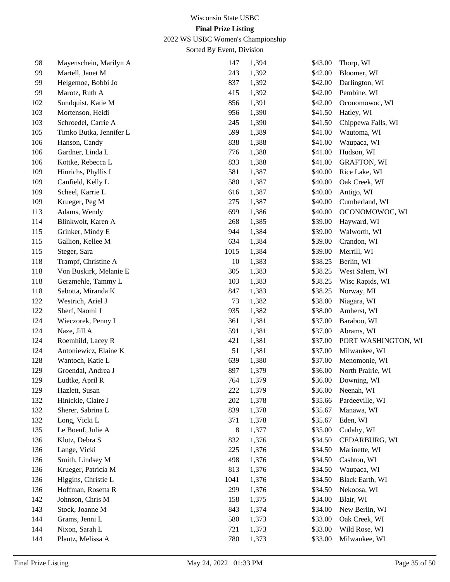2022 WS USBC Women's Championship

| 98  | Mayenschein, Marilyn A  | 147  | 1,394 | \$43.00 | Thorp, WI           |
|-----|-------------------------|------|-------|---------|---------------------|
| 99  | Martell, Janet M        | 243  | 1,392 | \$42.00 | Bloomer, WI         |
| 99  | Helgemoe, Bobbi Jo      | 837  | 1,392 | \$42.00 | Darlington, WI      |
| 99  | Marotz, Ruth A          | 415  | 1,392 | \$42.00 | Pembine, WI         |
| 102 | Sundquist, Katie M      | 856  | 1,391 | \$42.00 | Oconomowoc, WI      |
| 103 | Mortenson, Heidi        | 956  | 1,390 | \$41.50 | Hatley, WI          |
| 103 | Schroedel, Carrie A     | 245  | 1,390 | \$41.50 | Chippewa Falls, WI  |
| 105 | Timko Butka, Jennifer L | 599  | 1,389 | \$41.00 | Wautoma, WI         |
| 106 | Hanson, Candy           | 838  | 1,388 | \$41.00 | Waupaca, WI         |
| 106 | Gardner, Linda L        | 776  | 1,388 | \$41.00 | Hudson, WI          |
| 106 | Kottke, Rebecca L       | 833  | 1,388 | \$41.00 | <b>GRAFTON, WI</b>  |
| 109 | Hinrichs, Phyllis I     | 581  | 1,387 | \$40.00 | Rice Lake, WI       |
| 109 | Canfield, Kelly L       | 580  | 1,387 | \$40.00 | Oak Creek, WI       |
| 109 | Scheel, Karrie L        | 616  | 1,387 | \$40.00 | Antigo, WI          |
| 109 | Krueger, Peg M          | 275  | 1,387 | \$40.00 | Cumberland, WI      |
| 113 | Adams, Wendy            | 699  | 1,386 | \$40.00 | OCONOMOWOC, WI      |
| 114 | Blinkwolt, Karen A      | 268  | 1,385 | \$39.00 | Hayward, WI         |
| 115 | Grinker, Mindy E        | 944  | 1,384 | \$39.00 | Walworth, WI        |
| 115 | Gallion, Kellee M       | 634  | 1,384 | \$39.00 | Crandon, WI         |
| 115 | Steger, Sara            | 1015 | 1,384 | \$39.00 | Merrill, WI         |
| 118 | Trampf, Christine A     | 10   | 1,383 | \$38.25 | Berlin, WI          |
| 118 | Von Buskirk, Melanie E  | 305  | 1,383 | \$38.25 | West Salem, WI      |
| 118 | Gerzmehle, Tammy L      | 103  | 1,383 | \$38.25 | Wisc Rapids, WI     |
| 118 | Sabotta, Miranda K      | 847  | 1,383 | \$38.25 | Norway, MI          |
| 122 | Westrich, Ariel J       | 73   | 1,382 | \$38.00 | Niagara, WI         |
| 122 | Sherf, Naomi J          | 935  | 1,382 | \$38.00 | Amherst, WI         |
| 124 | Wieczorek, Penny L      | 361  | 1,381 | \$37.00 | Baraboo, WI         |
| 124 | Naze, Jill A            | 591  | 1,381 | \$37.00 | Abrams, WI          |
| 124 | Roemhild, Lacey R       | 421  | 1,381 | \$37.00 | PORT WASHINGTON, WI |
| 124 | Antoniewicz, Elaine K   | 51   | 1,381 | \$37.00 | Milwaukee, WI       |
| 128 | Wantoch, Katie L        | 639  | 1,380 | \$37.00 | Menomonie, WI       |
| 129 | Groendal, Andrea J      | 897  | 1,379 | \$36.00 | North Prairie, WI   |
| 129 | Ludtke, April R         | 764  | 1,379 | \$36.00 | Downing, WI         |
| 129 | Hazlett, Susan          | 222  | 1,379 | \$36.00 | Neenah, WI          |
| 132 | Hinickle, Claire J      | 202  | 1,378 | \$35.66 | Pardeeville, WI     |
| 132 | Sherer, Sabrina L       | 839  | 1,378 | \$35.67 | Manawa, WI          |
| 132 | Long, Vicki L           | 371  | 1,378 | \$35.67 | Eden, WI            |
| 135 | Le Boeuf, Julie A       | 8    | 1,377 | \$35.00 | Cudahy, WI          |
| 136 | Klotz, Debra S          | 832  | 1,376 | \$34.50 | CEDARBURG, WI       |
| 136 | Lange, Vicki            | 225  | 1,376 | \$34.50 | Marinette, WI       |
| 136 | Smith, Lindsey M        | 498  | 1,376 | \$34.50 | Cashton, WI         |
| 136 | Krueger, Patricia M     | 813  | 1,376 | \$34.50 | Waupaca, WI         |
| 136 | Higgins, Christie L     | 1041 | 1,376 | \$34.50 | Black Earth, WI     |
| 136 | Hoffman, Rosetta R      | 299  | 1,376 | \$34.50 | Nekoosa, WI         |
| 142 | Johnson, Chris M        | 158  | 1,375 | \$34.00 | Blair, WI           |
| 143 | Stock, Joanne M         | 843  | 1,374 | \$34.00 | New Berlin, WI      |
| 144 | Grams, Jenni L          | 580  | 1,373 | \$33.00 | Oak Creek, WI       |
| 144 | Nixon, Sarah L          | 721  | 1,373 | \$33.00 | Wild Rose, WI       |
| 144 | Plautz, Melissa A       | 780  | 1,373 | \$33.00 | Milwaukee, WI       |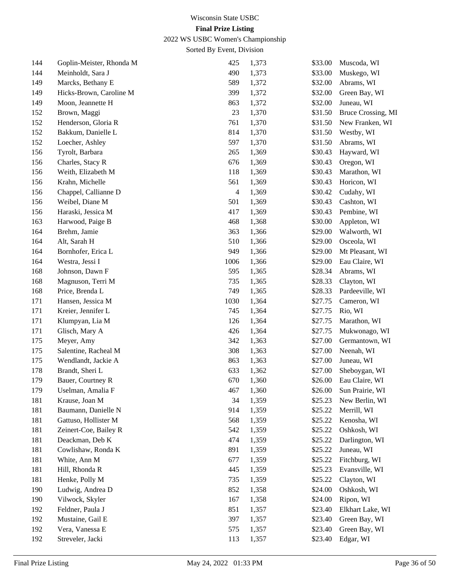2022 WS USBC Women's Championship

| 144 | Goplin-Meister, Rhonda M | 425            | 1,373 | \$33.00 | Muscoda, WI        |
|-----|--------------------------|----------------|-------|---------|--------------------|
| 144 | Meinholdt, Sara J        | 490            | 1,373 | \$33.00 | Muskego, WI        |
| 149 | Marcks, Bethany E        | 589            | 1,372 | \$32.00 | Abrams, WI         |
| 149 | Hicks-Brown, Caroline M  | 399            | 1,372 | \$32.00 | Green Bay, WI      |
| 149 | Moon, Jeannette H        | 863            | 1,372 | \$32.00 | Juneau, WI         |
| 152 | Brown, Maggi             | 23             | 1,370 | \$31.50 | Bruce Crossing, MI |
| 152 | Henderson, Gloria R      | 761            | 1,370 | \$31.50 | New Franken, WI    |
| 152 | Bakkum, Danielle L       | 814            | 1,370 | \$31.50 | Westby, WI         |
| 152 | Loecher, Ashley          | 597            | 1,370 | \$31.50 | Abrams, WI         |
| 156 | Tyrolt, Barbara          | 265            | 1,369 | \$30.43 | Hayward, WI        |
| 156 | Charles, Stacy R         | 676            | 1,369 | \$30.43 | Oregon, WI         |
| 156 | Weith, Elizabeth M       | 118            | 1,369 | \$30.43 | Marathon, WI       |
| 156 | Krahn, Michelle          | 561            | 1,369 | \$30.43 | Horicon, WI        |
| 156 | Chappel, Callianne D     | $\overline{4}$ | 1,369 | \$30.42 | Cudahy, WI         |
| 156 | Weibel, Diane M          | 501            | 1,369 | \$30.43 | Cashton, WI        |
| 156 | Haraski, Jessica M       | 417            | 1,369 | \$30.43 | Pembine, WI        |
| 163 | Harwood, Paige B         | 468            | 1,368 | \$30.00 | Appleton, WI       |
| 164 | Brehm, Jamie             | 363            | 1,366 | \$29.00 | Walworth, WI       |
| 164 | Alt, Sarah H             | 510            | 1,366 | \$29.00 | Osceola, WI        |
| 164 | Bornhofer, Erica L       | 949            | 1,366 | \$29.00 | Mt Pleasant, WI    |
| 164 | Westra, Jessi I          | 1006           | 1,366 | \$29.00 | Eau Claire, WI     |
| 168 | Johnson, Dawn F          | 595            | 1,365 | \$28.34 | Abrams, WI         |
| 168 | Magnuson, Terri M        | 735            | 1,365 | \$28.33 | Clayton, WI        |
| 168 | Price, Brenda L          | 749            | 1,365 | \$28.33 | Pardeeville, WI    |
| 171 | Hansen, Jessica M        | 1030           | 1,364 | \$27.75 | Cameron, WI        |
| 171 | Kreier, Jennifer L       | 745            | 1,364 | \$27.75 | Rio, WI            |
| 171 | Klumpyan, Lia M          | 126            | 1,364 | \$27.75 | Marathon, WI       |
| 171 | Glisch, Mary A           | 426            | 1,364 | \$27.75 | Mukwonago, WI      |
| 175 | Meyer, Amy               | 342            | 1,363 | \$27.00 | Germantown, WI     |
| 175 | Salentine, Racheal M     | 308            | 1,363 | \$27.00 | Neenah, WI         |
| 175 | Wendlandt, Jackie A      | 863            | 1,363 | \$27.00 | Juneau, WI         |
| 178 | Brandt, Sheri L          | 633            | 1,362 | \$27.00 | Sheboygan, WI      |
| 179 | Bauer, Courtney R        | 670            | 1,360 | \$26.00 | Eau Claire, WI     |
| 179 | Uselman, Amalia F        | 467            | 1,360 | \$26.00 | Sun Prairie, WI    |
| 181 | Krause, Joan M           | 34             | 1,359 | \$25.23 | New Berlin, WI     |
| 181 | Baumann, Danielle N      | 914            | 1,359 | \$25.22 | Merrill, WI        |
| 181 | Gattuso, Hollister M     | 568            | 1,359 | \$25.22 | Kenosha, WI        |
| 181 | Zeinert-Coe, Bailey R    | 542            | 1,359 | \$25.22 | Oshkosh, WI        |
| 181 | Deackman, Deb K          | 474            | 1,359 | \$25.22 | Darlington, WI     |
| 181 | Cowlishaw, Ronda K       | 891            | 1,359 | \$25.22 | Juneau, WI         |
| 181 | White, Ann M             | 677            | 1,359 | \$25.22 | Fitchburg, WI      |
| 181 | Hill, Rhonda R           | 445            | 1,359 | \$25.23 | Evansville, WI     |
| 181 | Henke, Polly M           | 735            | 1,359 | \$25.22 | Clayton, WI        |
| 190 | Ludwig, Andrea D         | 852            | 1,358 | \$24.00 | Oshkosh, WI        |
| 190 | Vilwock, Skyler          | 167            | 1,358 | \$24.00 | Ripon, WI          |
| 192 | Feldner, Paula J         | 851            | 1,357 | \$23.40 | Elkhart Lake, WI   |
| 192 | Mustaine, Gail E         | 397            | 1,357 | \$23.40 | Green Bay, WI      |
| 192 | Vera, Vanessa E          | 575            | 1,357 | \$23.40 | Green Bay, WI      |
| 192 | Streveler, Jacki         | 113            | 1,357 | \$23.40 | Edgar, WI          |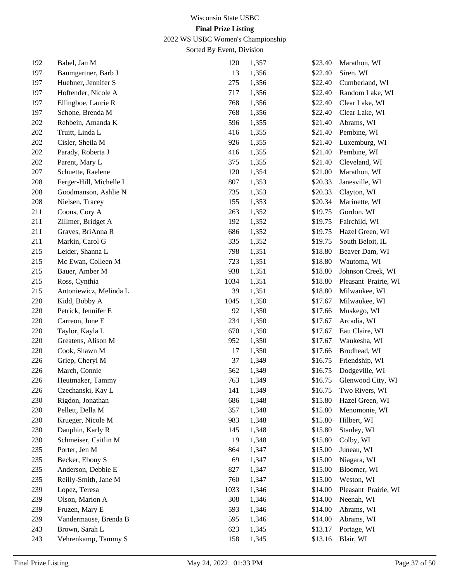2022 WS USBC Women's Championship

| 192 | Babel, Jan M            | 120  | 1,357 | \$23.40 | Marathon, WI         |
|-----|-------------------------|------|-------|---------|----------------------|
| 197 | Baumgartner, Barb J     | 13   | 1,356 | \$22.40 | Siren, WI            |
| 197 | Huebner, Jennifer S     | 275  | 1,356 | \$22.40 | Cumberland, WI       |
| 197 | Hoftender, Nicole A     | 717  | 1,356 | \$22.40 | Random Lake, WI      |
| 197 | Ellingboe, Laurie R     | 768  | 1,356 | \$22.40 | Clear Lake, WI       |
| 197 | Schone, Brenda M        | 768  | 1,356 | \$22.40 | Clear Lake, WI       |
| 202 | Rehbein, Amanda K       | 596  | 1,355 | \$21.40 | Abrams, WI           |
| 202 | Truitt, Linda L         | 416  | 1,355 | \$21.40 | Pembine, WI          |
| 202 | Cisler, Sheila M        | 926  | 1,355 | \$21.40 | Luxemburg, WI        |
| 202 | Parady, Roberta J       | 416  | 1,355 | \$21.40 | Pembine, WI          |
| 202 | Parent, Mary L          | 375  | 1,355 | \$21.40 | Cleveland, WI        |
| 207 | Schuette, Raelene       | 120  | 1,354 | \$21.00 | Marathon, WI         |
| 208 | Ferger-Hill, Michelle L | 807  | 1,353 | \$20.33 | Janesville, WI       |
| 208 | Goodmanson, Ashlie N    | 735  | 1,353 | \$20.33 | Clayton, WI          |
| 208 | Nielsen, Tracey         | 155  | 1,353 | \$20.34 | Marinette, WI        |
| 211 | Coons, Cory A           | 263  | 1,352 | \$19.75 | Gordon, WI           |
| 211 | Zillmer, Bridget A      | 192  | 1,352 | \$19.75 | Fairchild, WI        |
| 211 | Graves, BriAnna R       | 686  | 1,352 | \$19.75 | Hazel Green, WI      |
| 211 | Markin, Carol G         | 335  | 1,352 | \$19.75 | South Beloit, IL     |
| 215 | Leider, Shanna L        | 798  | 1,351 | \$18.80 | Beaver Dam, WI       |
| 215 | Mc Ewan, Colleen M      | 723  | 1,351 | \$18.80 | Wautoma, WI          |
| 215 | Bauer, Amber M          | 938  | 1,351 | \$18.80 | Johnson Creek, WI    |
| 215 | Ross, Cynthia           | 1034 | 1,351 | \$18.80 | Pleasant Prairie, WI |
| 215 | Antoniewicz, Melinda L  | 39   | 1,351 | \$18.80 | Milwaukee, WI        |
| 220 | Kidd, Bobby A           | 1045 | 1,350 | \$17.67 | Milwaukee, WI        |
| 220 | Petrick, Jennifer E     | 92   | 1,350 | \$17.66 | Muskego, WI          |
| 220 | Carreon, June E         | 234  | 1,350 | \$17.67 | Arcadia, WI          |
| 220 | Taylor, Kayla L         | 670  | 1,350 | \$17.67 | Eau Claire, WI       |
| 220 | Greatens, Alison M      | 952  | 1,350 | \$17.67 | Waukesha, WI         |
| 220 | Cook, Shawn M           | 17   | 1,350 | \$17.66 | Brodhead, WI         |
| 226 | Griep, Cheryl M         | 37   | 1,349 | \$16.75 | Friendship, WI       |
| 226 | March, Connie           | 562  | 1,349 | \$16.75 | Dodgeville, WI       |
| 226 | Heutmaker, Tammy        | 763  | 1,349 | \$16.75 | Glenwood City, WI    |
| 226 | Czechanski, Kay L       | 141  | 1,349 | \$16.75 | Two Rivers, WI       |
| 230 | Rigdon, Jonathan        | 686  | 1,348 | \$15.80 | Hazel Green, WI      |
| 230 | Pellett, Della M        | 357  | 1,348 | \$15.80 | Menomonie, WI        |
| 230 | Krueger, Nicole M       | 983  | 1,348 | \$15.80 | Hilbert, WI          |
| 230 | Dauphin, Karly R        | 145  | 1,348 | \$15.80 | Stanley, WI          |
| 230 | Schmeiser, Caitlin M    | 19   | 1,348 | \$15.80 | Colby, WI            |
| 235 | Porter, Jen M           | 864  | 1,347 | \$15.00 | Juneau, WI           |
| 235 | Becker, Ebony S         | 69   | 1,347 | \$15.00 | Niagara, WI          |
| 235 | Anderson, Debbie E      | 827  | 1,347 | \$15.00 | Bloomer, WI          |
| 235 | Reilly-Smith, Jane M    | 760  | 1,347 | \$15.00 | Weston, WI           |
| 239 | Lopez, Teresa           | 1033 | 1,346 | \$14.00 | Pleasant Prairie, WI |
| 239 | Olson, Marion A         | 308  | 1,346 | \$14.00 | Neenah, WI           |
| 239 | Fruzen, Mary E          | 593  | 1,346 | \$14.00 | Abrams, WI           |
| 239 | Vandermause, Brenda B   | 595  | 1,346 | \$14.00 | Abrams, WI           |
| 243 | Brown, Sarah L          | 623  | 1,345 | \$13.17 | Portage, WI          |
| 243 | Vehrenkamp, Tammy S     | 158  | 1,345 | \$13.16 | Blair, WI            |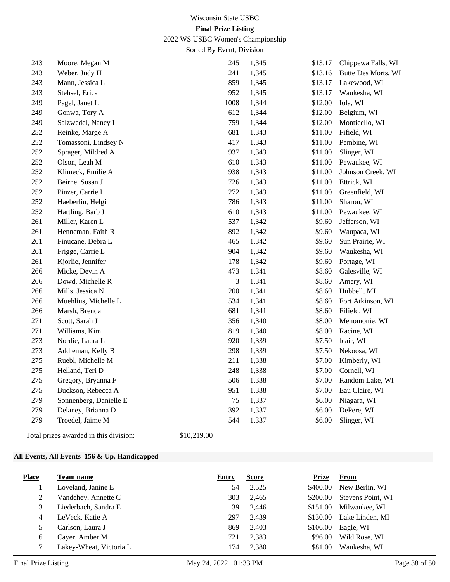2022 WS USBC Women's Championship

Sorted By Event, Division

| 243 | Moore, Megan M         | 245            | 1,345 | \$13.17 | Chippewa Falls, WI  |
|-----|------------------------|----------------|-------|---------|---------------------|
| 243 | Weber, Judy H          | 241            | 1,345 | \$13.16 | Butte Des Morts, WI |
| 243 | Mann, Jessica L        | 859            | 1,345 | \$13.17 | Lakewood, WI        |
| 243 | Stehsel, Erica         | 952            | 1,345 | \$13.17 | Waukesha, WI        |
| 249 | Pagel, Janet L         | 1008           | 1,344 | \$12.00 | Iola, WI            |
| 249 | Gonwa, Tory A          | 612            | 1,344 | \$12.00 | Belgium, WI         |
| 249 | Salzwedel, Nancy L     | 759            | 1,344 | \$12.00 | Monticello, WI      |
| 252 | Reinke, Marge A        | 681            | 1,343 | \$11.00 | Fifield, WI         |
| 252 | Tomassoni, Lindsey N   | 417            | 1,343 | \$11.00 | Pembine, WI         |
| 252 | Sprager, Mildred A     | 937            | 1,343 | \$11.00 | Slinger, WI         |
| 252 | Olson, Leah M          | 610            | 1,343 | \$11.00 | Pewaukee, WI        |
| 252 | Klimeck, Emilie A      | 938            | 1,343 | \$11.00 | Johnson Creek, WI   |
| 252 | Beirne, Susan J        | 726            | 1,343 | \$11.00 | Ettrick, WI         |
| 252 | Pinzer, Carrie L       | 272            | 1,343 | \$11.00 | Greenfield, WI      |
| 252 | Haeberlin, Helgi       | 786            | 1,343 | \$11.00 | Sharon, WI          |
| 252 | Hartling, Barb J       | 610            | 1,343 | \$11.00 | Pewaukee, WI        |
| 261 | Miller, Karen L        | 537            | 1,342 | \$9.60  | Jefferson, WI       |
| 261 | Henneman, Faith R      | 892            | 1,342 | \$9.60  | Waupaca, WI         |
| 261 | Finucane, Debra L      | 465            | 1,342 | \$9.60  | Sun Prairie, WI     |
| 261 | Frigge, Carrie L       | 904            | 1,342 | \$9.60  | Waukesha, WI        |
| 261 | Kjorlie, Jennifer      | 178            | 1,342 | \$9.60  | Portage, WI         |
| 266 | Micke, Devin A         | 473            | 1,341 | \$8.60  | Galesville, WI      |
| 266 | Dowd, Michelle R       | $\mathfrak{Z}$ | 1,341 | \$8.60  | Amery, WI           |
| 266 | Mills, Jessica N       | 200            | 1,341 | \$8.60  | Hubbell, MI         |
| 266 | Muehlius, Michelle L   | 534            | 1,341 | \$8.60  | Fort Atkinson, WI   |
| 266 | Marsh, Brenda          | 681            | 1,341 | \$8.60  | Fifield, WI         |
| 271 | Scott, Sarah J         | 356            | 1,340 | \$8.00  | Menomonie, WI       |
| 271 | Williams, Kim          | 819            | 1,340 | \$8.00  | Racine, WI          |
| 273 | Nordie, Laura L        | 920            | 1,339 | \$7.50  | blair, WI           |
| 273 | Addleman, Kelly B      | 298            | 1,339 | \$7.50  | Nekoosa, WI         |
| 275 | Ruebl, Michelle M      | 211            | 1,338 | \$7.00  | Kimberly, WI        |
| 275 | Helland, Teri D        | 248            | 1,338 | \$7.00  | Cornell, WI         |
| 275 | Gregory, Bryanna F     | 506            | 1,338 | \$7.00  | Random Lake, WI     |
| 275 | Buckson, Rebecca A     | 951            | 1,338 | \$7.00  | Eau Claire, WI      |
| 279 | Sonnenberg, Danielle E | 75             | 1,337 | \$6.00  | Niagara, WI         |
| 279 | Delaney, Brianna D     | 392            | 1,337 | \$6.00  | DePere, WI          |
| 279 | Troedel, Jaime M       | 544            | 1,337 | \$6.00  | Slinger, WI         |
|     |                        |                |       |         |                     |

Total prizes awarded in this division: \$10,219.00

#### **All Events, All Events 156 & Up, Handicapped**

| <b>Place</b> | Team name               | Entry | <b>Score</b> | <b>Prize</b> | From              |
|--------------|-------------------------|-------|--------------|--------------|-------------------|
|              | Loveland, Janine E      | 54    | 2,525        | \$400.00     | New Berlin, WI    |
| 2            | Vandehey, Annette C     | 303   | 2,465        | \$200.00     | Stevens Point, WI |
| 3            | Liederbach, Sandra E    | 39    | 2.446        | \$151.00     | Milwaukee, WI     |
| 4            | LeVeck, Katie A         | 297   | 2.439        | \$130.00     | Lake Linden, MI   |
|              | Carlson, Laura J        | 869   | 2.403        | \$106.00     | Eagle, WI         |
| 6            | Cayer, Amber M          | 721   | 2,383        | \$96.00      | Wild Rose, WI     |
|              | Lakey-Wheat, Victoria L | 174   | 2,380        | \$81.00      | Waukesha, WI      |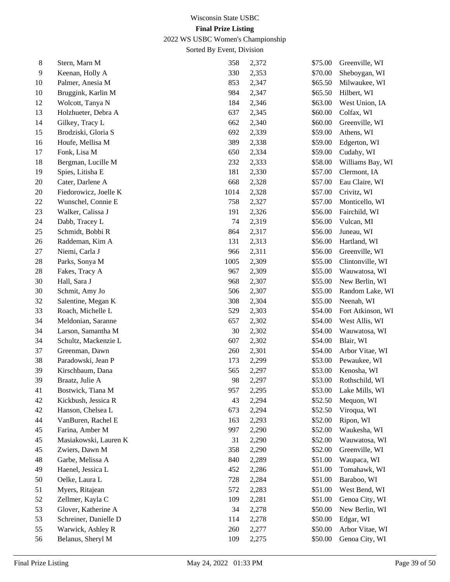2022 WS USBC Women's Championship

| 8  | Stern, Marn M         | 358  | 2,372 | \$75.00 | Greenville, WI    |
|----|-----------------------|------|-------|---------|-------------------|
| 9  | Keenan, Holly A       | 330  | 2,353 | \$70.00 | Sheboygan, WI     |
| 10 | Palmer, Anesia M      | 853  | 2,347 | \$65.50 | Milwaukee, WI     |
| 10 | Bruggink, Karlin M    | 984  | 2,347 | \$65.50 | Hilbert, WI       |
| 12 | Wolcott, Tanya N      | 184  | 2,346 | \$63.00 | West Union, IA    |
| 13 | Holzhueter, Debra A   | 637  | 2,345 | \$60.00 | Colfax, WI        |
| 14 | Gilkey, Tracy L       | 662  | 2,340 | \$60.00 | Greenville, WI    |
| 15 | Brodziski, Gloria S   | 692  | 2,339 | \$59.00 | Athens, WI        |
| 16 | Houfe, Mellisa M      | 389  | 2,338 | \$59.00 | Edgerton, WI      |
| 17 | Fonk, Lisa M          | 650  | 2,334 | \$59.00 | Cudahy, WI        |
| 18 | Bergman, Lucille M    | 232  | 2,333 | \$58.00 | Williams Bay, WI  |
| 19 | Spies, Litisha E      | 181  | 2,330 | \$57.00 | Clermont, IA      |
| 20 | Cater, Darlene A      | 668  | 2,328 | \$57.00 | Eau Claire, WI    |
| 20 | Fiedorowicz, Joelle K | 1014 | 2,328 | \$57.00 | Crivitz, WI       |
| 22 | Wunschel, Connie E    | 758  | 2,327 | \$57.00 | Monticello, WI    |
| 23 | Walker, Calissa J     | 191  | 2,326 | \$56.00 | Fairchild, WI     |
| 24 | Dabb, Tracey L        | 74   | 2,319 | \$56.00 | Vulcan, MI        |
| 25 | Schmidt, Bobbi R      | 864  | 2,317 | \$56.00 | Juneau, WI        |
| 26 | Raddeman, Kim A       | 131  | 2,313 | \$56.00 | Hartland, WI      |
| 27 | Niemi, Carla J        | 966  | 2,311 | \$56.00 | Greenville, WI    |
| 28 | Parks, Sonya M        | 1005 | 2,309 | \$55.00 | Clintonville, WI  |
| 28 | Fakes, Tracy A        | 967  | 2,309 | \$55.00 | Wauwatosa, WI     |
| 30 | Hall, Sara J          | 968  | 2,307 | \$55.00 | New Berlin, WI    |
| 30 | Schmit, Amy Jo        | 506  | 2,307 | \$55.00 | Random Lake, WI   |
| 32 | Salentine, Megan K    | 308  | 2,304 | \$55.00 | Neenah, WI        |
| 33 | Roach, Michelle L     | 529  | 2,303 | \$54.00 | Fort Atkinson, WI |
| 34 | Meldonian, Saranne    | 657  | 2,302 | \$54.00 | West Allis, WI    |
| 34 | Larson, Samantha M    | 30   | 2,302 | \$54.00 | Wauwatosa, WI     |
| 34 | Schultz, Mackenzie L  | 607  | 2,302 | \$54.00 | Blair, WI         |
| 37 | Greenman, Dawn        | 260  | 2,301 | \$54.00 | Arbor Vitae, WI   |
| 38 | Paradowski, Jean P    | 173  | 2,299 | \$53.00 | Pewaukee, WI      |
| 39 | Kirschbaum, Dana      | 565  | 2,297 | \$53.00 | Kenosha, WI       |
| 39 | Braatz, Julie A       | 98   | 2,297 | \$53.00 | Rothschild, WI    |
| 41 | Bostwick, Tiana M     | 957  | 2,295 | \$53.00 | Lake Mills, WI    |
| 42 | Kickbush, Jessica R   | 43   | 2,294 | \$52.50 | Mequon, WI        |
| 42 | Hanson, Chelsea L     | 673  | 2,294 | \$52.50 | Viroqua, WI       |
| 44 | VanBuren, Rachel E    | 163  | 2,293 | \$52.00 | Ripon, WI         |
| 45 | Farina, Amber M       | 997  | 2,290 | \$52.00 | Waukesha, WI      |
| 45 | Masiakowski, Lauren K | 31   | 2,290 | \$52.00 | Wauwatosa, WI     |
| 45 | Zwiers, Dawn M        | 358  | 2,290 | \$52.00 | Greenville, WI    |
| 48 | Garbe, Melissa A      | 840  | 2,289 | \$51.00 | Waupaca, WI       |
| 49 | Haenel, Jessica L     | 452  | 2,286 | \$51.00 | Tomahawk, WI      |
| 50 | Oelke, Laura L        | 728  | 2,284 | \$51.00 | Baraboo, WI       |
| 51 | Myers, Ritajean       | 572  | 2,283 | \$51.00 | West Bend, WI     |
| 52 | Zellmer, Kayla C      | 109  | 2,281 | \$51.00 | Genoa City, WI    |
| 53 | Glover, Katherine A   | 34   | 2,278 | \$50.00 | New Berlin, WI    |
| 53 | Schreiner, Danielle D | 114  | 2,278 | \$50.00 | Edgar, WI         |
| 55 | Warwick, Ashley R     | 260  | 2,277 | \$50.00 | Arbor Vitae, WI   |
| 56 | Belanus, Sheryl M     | 109  | 2,275 | \$50.00 | Genoa City, WI    |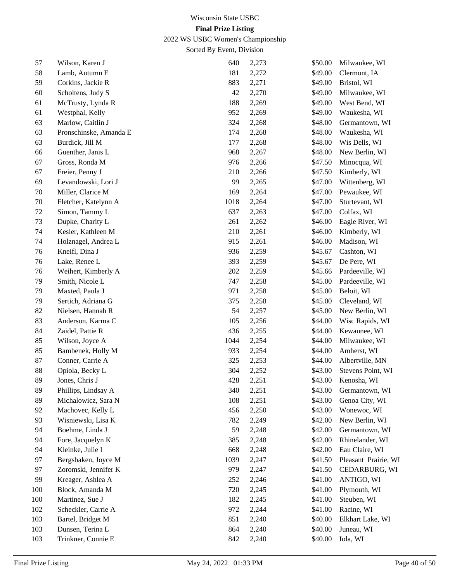2022 WS USBC Women's Championship

| 57  | Wilson, Karen J        | 640  | 2,273 | \$50.00 | Milwaukee, WI        |
|-----|------------------------|------|-------|---------|----------------------|
| 58  | Lamb, Autumn E         | 181  | 2,272 | \$49.00 | Clermont, IA         |
| 59  | Corkins, Jackie R      | 883  | 2,271 | \$49.00 | Bristol, WI          |
| 60  | Scholtens, Judy S      | 42   | 2,270 | \$49.00 | Milwaukee, WI        |
| 61  | McTrusty, Lynda R      | 188  | 2,269 | \$49.00 | West Bend, WI        |
| 61  | Westphal, Kelly        | 952  | 2,269 | \$49.00 | Waukesha, WI         |
| 63  | Marlow, Caitlin J      | 324  | 2,268 | \$48.00 | Germantown, WI       |
| 63  | Pronschinske, Amanda E | 174  | 2,268 | \$48.00 | Waukesha, WI         |
| 63  | Burdick, Jill M        | 177  | 2,268 | \$48.00 | Wis Dells, WI        |
| 66  | Guenther, Janis L      | 968  | 2,267 | \$48.00 | New Berlin, WI       |
| 67  | Gross, Ronda M         | 976  | 2,266 | \$47.50 | Minocqua, WI         |
| 67  | Freier, Penny J        | 210  | 2,266 | \$47.50 | Kimberly, WI         |
| 69  | Levandowski, Lori J    | 99   | 2,265 | \$47.00 | Wittenberg, WI       |
| 70  | Miller, Clarice M      | 169  | 2,264 | \$47.00 | Pewaukee, WI         |
| 70  | Fletcher, Katelynn A   | 1018 | 2,264 | \$47.00 | Sturtevant, WI       |
| 72  | Simon, Tammy L         | 637  | 2,263 | \$47.00 | Colfax, WI           |
| 73  | Dupke, Charity L       | 261  | 2,262 | \$46.00 | Eagle River, WI      |
| 74  | Kesler, Kathleen M     | 210  | 2,261 | \$46.00 | Kimberly, WI         |
| 74  | Holznagel, Andrea L    | 915  | 2,261 | \$46.00 | Madison, WI          |
| 76  | Kneifl, Dina J         | 936  | 2,259 | \$45.67 | Cashton, WI          |
| 76  | Lake, Renee L          | 393  | 2,259 | \$45.67 | De Pere, WI          |
| 76  | Weihert, Kimberly A    | 202  | 2,259 | \$45.66 | Pardeeville, WI      |
| 79  | Smith, Nicole L        | 747  | 2,258 | \$45.00 | Pardeeville, WI      |
| 79  | Maxted, Paula J        | 971  | 2,258 | \$45.00 | Beloit, WI           |
| 79  | Sertich, Adriana G     | 375  | 2,258 | \$45.00 | Cleveland, WI        |
| 82  | Nielsen, Hannah R      | 54   | 2,257 | \$45.00 | New Berlin, WI       |
| 83  | Anderson, Karma C      | 105  | 2,256 | \$44.00 | Wisc Rapids, WI      |
| 84  | Zaidel, Pattie R       | 436  | 2,255 | \$44.00 | Kewaunee, WI         |
| 85  | Wilson, Joyce A        | 1044 | 2,254 | \$44.00 | Milwaukee, WI        |
| 85  | Bambenek, Holly M      | 933  | 2,254 | \$44.00 | Amherst, WI          |
| 87  | Conner, Carrie A       | 325  | 2,253 | \$44.00 | Albertville, MN      |
| 88  | Opiola, Becky L        | 304  | 2,252 | \$43.00 | Stevens Point, WI    |
| 89  | Jones, Chris J         | 428  | 2,251 | \$43.00 | Kenosha, WI          |
| 89  | Phillips, Lindsay A    | 340  | 2,251 | \$43.00 | Germantown, WI       |
| 89  | Michalowicz, Sara N    | 108  | 2,251 | \$43.00 | Genoa City, WI       |
| 92  | Machovec, Kelly L      | 456  | 2,250 | \$43.00 | Wonewoc, WI          |
| 93  | Wisniewski, Lisa K     | 782  | 2,249 | \$42.00 | New Berlin, WI       |
| 94  | Boehme, Linda J        | 59   | 2,248 | \$42.00 | Germantown, WI       |
| 94  | Fore, Jacquelyn K      | 385  | 2,248 | \$42.00 | Rhinelander, WI      |
| 94  | Kleinke, Julie I       | 668  | 2,248 | \$42.00 | Eau Claire, WI       |
| 97  | Bergsbaken, Joyce M    | 1039 | 2,247 | \$41.50 | Pleasant Prairie, WI |
| 97  | Zoromski, Jennifer K   | 979  | 2,247 | \$41.50 | CEDARBURG, WI        |
| 99  | Kreager, Ashlea A      | 252  | 2,246 | \$41.00 | ANTIGO, WI           |
| 100 | Block, Amanda M        | 720  | 2,245 | \$41.00 | Plymouth, WI         |
| 100 | Martinez, Sue J        | 182  | 2,245 | \$41.00 | Steuben, WI          |
| 102 | Scheckler, Carrie A    | 972  | 2,244 | \$41.00 | Racine, WI           |
| 103 | Bartel, Bridget M      | 851  | 2,240 | \$40.00 | Elkhart Lake, WI     |
| 103 | Dunsen, Terina L       | 864  | 2,240 | \$40.00 | Juneau, WI           |
| 103 | Trinkner, Connie E     | 842  | 2,240 | \$40.00 | Iola, WI             |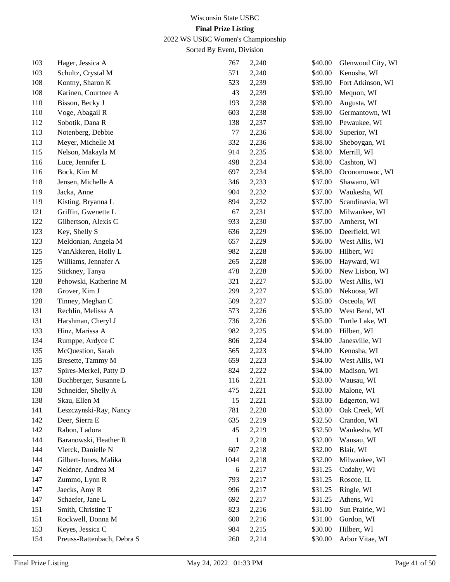2022 WS USBC Women's Championship

| 103 | Hager, Jessica A           | 767     | 2,240 | \$40.00 | Glenwood City, WI |
|-----|----------------------------|---------|-------|---------|-------------------|
| 103 | Schultz, Crystal M         | 571     | 2,240 | \$40.00 | Kenosha, WI       |
| 108 | Kontny, Sharon K           | 523     | 2,239 | \$39.00 | Fort Atkinson, WI |
| 108 | Karinen, Courtnee A        | 43      | 2,239 | \$39.00 | Mequon, WI        |
| 110 | Bisson, Becky J            | 193     | 2,238 | \$39.00 | Augusta, WI       |
| 110 | Voge, Abagail R            | 603     | 2,238 | \$39.00 | Germantown, WI    |
| 112 | Sobotik, Dana R            | 138     | 2,237 | \$39.00 | Pewaukee, WI      |
| 113 | Notenberg, Debbie          | $77 \,$ | 2,236 | \$38.00 | Superior, WI      |
| 113 | Meyer, Michelle M          | 332     | 2,236 | \$38.00 | Sheboygan, WI     |
| 115 | Nelson, Makayla M          | 914     | 2,235 | \$38.00 | Merrill, WI       |
| 116 | Luce, Jennifer L           | 498     | 2,234 | \$38.00 | Cashton, WI       |
| 116 | Bock, Kim M                | 697     | 2,234 | \$38.00 | Oconomowoc, WI    |
| 118 | Jensen, Michelle A         | 346     | 2,233 | \$37.00 | Shawano, WI       |
| 119 | Jacka, Anne                | 904     | 2,232 | \$37.00 | Waukesha, WI      |
| 119 | Kisting, Bryanna L         | 894     | 2,232 | \$37.00 | Scandinavia, WI   |
| 121 | Griffin, Gwenette L        | 67      | 2,231 | \$37.00 | Milwaukee, WI     |
| 122 | Gilbertson, Alexis C       | 933     | 2,230 | \$37.00 | Amherst, WI       |
| 123 | Key, Shelly S              | 636     | 2,229 | \$36.00 | Deerfield, WI     |
| 123 | Meldonian, Angela M        | 657     | 2,229 | \$36.00 | West Allis, WI    |
| 125 | VanAkkeren, Holly L        | 982     | 2,228 | \$36.00 | Hilbert, WI       |
| 125 | Williams, Jennafer A       | 265     | 2,228 | \$36.00 | Hayward, WI       |
| 125 | Stickney, Tanya            | 478     | 2,228 | \$36.00 | New Lisbon, WI    |
| 128 | Pehowski, Katherine M      | 321     | 2,227 | \$35.00 | West Allis, WI    |
| 128 | Grover, Kim J              | 299     | 2,227 | \$35.00 | Nekoosa, WI       |
| 128 | Tinney, Meghan C           | 509     | 2,227 | \$35.00 | Osceola, WI       |
| 131 | Rechlin, Melissa A         | 573     | 2,226 | \$35.00 | West Bend, WI     |
| 131 | Harshman, Cheryl J         | 736     | 2,226 | \$35.00 | Turtle Lake, WI   |
| 133 | Hinz, Marissa A            | 982     | 2,225 | \$34.00 | Hilbert, WI       |
| 134 | Rumppe, Ardyce C           | 806     | 2,224 | \$34.00 | Janesville, WI    |
| 135 | McQuestion, Sarah          | 565     | 2,223 | \$34.00 | Kenosha, WI       |
| 135 | Bresette, Tammy M          | 659     | 2,223 | \$34.00 | West Allis, WI    |
| 137 | Spires-Merkel, Patty D     | 824     | 2,222 | \$34.00 | Madison, WI       |
| 138 | Buchberger, Susanne L      | 116     | 2,221 | \$33.00 | Wausau, WI        |
| 138 | Schneider, Shelly A        | 475     | 2,221 | \$33.00 | Malone, WI        |
| 138 | Skau, Ellen M              | 15      | 2,221 | \$33.00 | Edgerton, WI      |
| 141 | Leszczynski-Ray, Nancy     | 781     | 2,220 | \$33.00 | Oak Creek, WI     |
| 142 | Deer, Sierra E             | 635     | 2,219 | \$32.50 | Crandon, WI       |
| 142 | Rabon, Ladora              | 45      | 2,219 | \$32.50 | Waukesha, WI      |
| 144 | Baranowski, Heather R      | 1       | 2,218 | \$32.00 | Wausau, WI        |
| 144 | Vierck, Danielle N         | 607     | 2,218 | \$32.00 | Blair, WI         |
| 144 | Gilbert-Jones, Malika      | 1044    | 2,218 | \$32.00 | Milwaukee, WI     |
| 147 | Neldner, Andrea M          | 6       | 2,217 | \$31.25 | Cudahy, WI        |
| 147 | Zummo, Lynn R              | 793     | 2,217 | \$31.25 | Roscoe, IL        |
| 147 | Jaecks, Amy R              | 996     | 2,217 | \$31.25 | Ringle, WI        |
| 147 | Schaefer, Jane L           | 692     | 2,217 | \$31.25 | Athens, WI        |
| 151 | Smith, Christine T         | 823     | 2,216 | \$31.00 | Sun Prairie, WI   |
| 151 | Rockwell, Donna M          | 600     | 2,216 | \$31.00 | Gordon, WI        |
| 153 | Keyes, Jessica C           | 984     | 2,215 | \$30.00 | Hilbert, WI       |
| 154 | Preuss-Rattenbach, Debra S | 260     | 2,214 | \$30.00 | Arbor Vitae, WI   |
|     |                            |         |       |         |                   |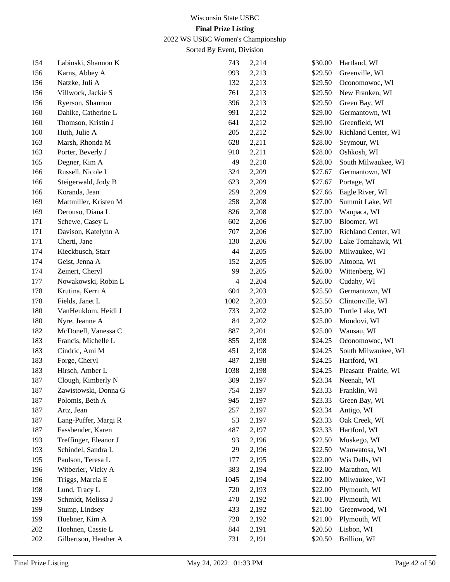2022 WS USBC Women's Championship

| 154 | Labinski, Shannon K   | 743  | 2,214 | \$30.00 | Hartland, WI         |
|-----|-----------------------|------|-------|---------|----------------------|
| 156 | Karns, Abbey A        | 993  | 2,213 | \$29.50 | Greenville, WI       |
| 156 | Natzke, Juli A        | 132  | 2,213 | \$29.50 | Oconomowoc, WI       |
| 156 | Villwock, Jackie S    | 761  | 2,213 | \$29.50 | New Franken, WI      |
| 156 | Ryerson, Shannon      | 396  | 2,213 | \$29.50 | Green Bay, WI        |
| 160 | Dahlke, Catherine L   | 991  | 2,212 | \$29.00 | Germantown, WI       |
| 160 | Thomson, Kristin J    | 641  | 2,212 | \$29.00 | Greenfield, WI       |
| 160 | Huth, Julie A         | 205  | 2,212 | \$29.00 | Richland Center, WI  |
| 163 | Marsh, Rhonda M       | 628  | 2,211 | \$28.00 | Seymour, WI          |
| 163 | Porter, Beverly J     | 910  | 2,211 | \$28.00 | Oshkosh, WI          |
| 165 | Degner, Kim A         | 49   | 2,210 | \$28.00 | South Milwaukee, WI  |
| 166 | Russell, Nicole I     | 324  | 2,209 | \$27.67 | Germantown, WI       |
| 166 | Steigerwald, Jody B   | 623  | 2,209 | \$27.67 | Portage, WI          |
| 166 | Koranda, Jean         | 259  | 2,209 | \$27.66 | Eagle River, WI      |
| 169 | Mattmiller, Kristen M | 258  | 2,208 | \$27.00 | Summit Lake, WI      |
| 169 | Derouso, Diana L      | 826  | 2,208 | \$27.00 | Waupaca, WI          |
| 171 | Schewe, Casey L       | 602  | 2,206 | \$27.00 | Bloomer, WI          |
| 171 | Davison, Katelynn A   | 707  | 2,206 | \$27.00 | Richland Center, WI  |
| 171 | Cherti, Jane          | 130  | 2,206 | \$27.00 | Lake Tomahawk, WI    |
| 174 | Kieckbusch, Starr     | 44   | 2,205 | \$26.00 | Milwaukee, WI        |
| 174 | Geist, Jenna A        | 152  | 2,205 | \$26.00 | Altoona, WI          |
| 174 | Zeinert, Cheryl       | 99   | 2,205 | \$26.00 | Wittenberg, WI       |
| 177 | Nowakowski, Robin L   | 4    | 2,204 | \$26.00 | Cudahy, WI           |
| 178 | Krutina, Kerri A      | 604  | 2,203 | \$25.50 | Germantown, WI       |
| 178 | Fields, Janet L       | 1002 | 2,203 | \$25.50 | Clintonville, WI     |
| 180 | VanHeuklom, Heidi J   | 733  | 2,202 | \$25.00 | Turtle Lake, WI      |
| 180 | Nyre, Jeanne A        | 84   | 2,202 | \$25.00 | Mondovi, WI          |
| 182 | McDonell, Vanessa C   | 887  | 2,201 | \$25.00 | Wausau, WI           |
| 183 | Francis, Michelle L   | 855  | 2,198 | \$24.25 | Oconomowoc, WI       |
| 183 | Cindric, Ami M        | 451  | 2,198 | \$24.25 | South Milwaukee, WI  |
| 183 | Forge, Cheryl         | 487  | 2,198 | \$24.25 | Hartford, WI         |
| 183 | Hirsch, Amber L       | 1038 | 2,198 | \$24.25 | Pleasant Prairie, WI |
| 187 | Clough, Kimberly N    | 309  | 2,197 | \$23.34 | Neenah, WI           |
| 187 | Zawistowski, Donna G  | 754  | 2,197 | \$23.33 | Franklin, WI         |
| 187 | Polomis, Beth A       | 945  | 2,197 | \$23.33 | Green Bay, WI        |
| 187 | Artz, Jean            | 257  | 2,197 | \$23.34 | Antigo, WI           |
| 187 | Lang-Puffer, Margi R  | 53   | 2,197 | \$23.33 | Oak Creek, WI        |
| 187 | Fassbender, Karen     | 487  | 2,197 | \$23.33 | Hartford, WI         |
| 193 | Treffinger, Eleanor J | 93   | 2,196 | \$22.50 | Muskego, WI          |
| 193 | Schindel, Sandra L    | 29   | 2,196 | \$22.50 | Wauwatosa, WI        |
| 195 | Paulson, Teresa L     | 177  | 2,195 | \$22.00 | Wis Dells, WI        |
| 196 | Witberler, Vicky A    | 383  | 2,194 | \$22.00 | Marathon, WI         |
| 196 | Triggs, Marcia E      | 1045 | 2,194 | \$22.00 | Milwaukee, WI        |
| 198 | Lund, Tracy L         | 720  | 2,193 | \$22.00 | Plymouth, WI         |
| 199 | Schmidt, Melissa J    | 470  | 2,192 | \$21.00 | Plymouth, WI         |
| 199 | Stump, Lindsey        | 433  | 2,192 | \$21.00 | Greenwood, WI        |
| 199 | Huebner, Kim A        | 720  | 2,192 | \$21.00 | Plymouth, WI         |
| 202 | Hoehnen, Cassie L     | 844  | 2,191 | \$20.50 | Lisbon, WI           |
| 202 | Gilbertson, Heather A | 731  | 2,191 | \$20.50 | Brillion, WI         |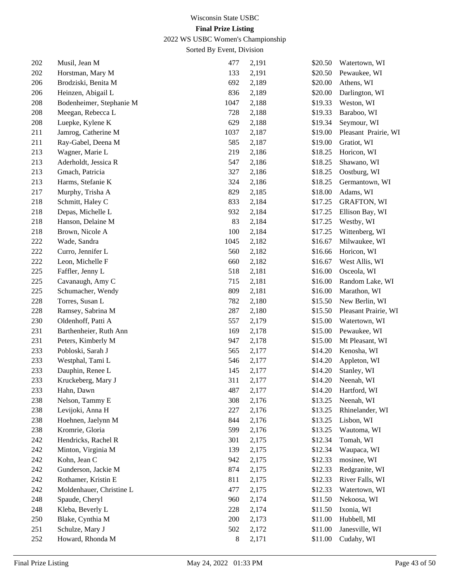2022 WS USBC Women's Championship

| 202 | Musil, Jean M                                   | 477  | 2,191          | \$20.50 | Watertown, WI        |
|-----|-------------------------------------------------|------|----------------|---------|----------------------|
| 202 | Horstman, Mary M                                | 133  | 2,191          | \$20.50 | Pewaukee, WI         |
| 206 | Brodziski, Benita M                             | 692  | 2,189          | \$20.00 | Athens, WI           |
| 206 | Heinzen, Abigail L                              | 836  | 2,189          | \$20.00 | Darlington, WI       |
| 208 | Bodenheimer, Stephanie M                        | 1047 | 2,188          | \$19.33 | Weston, WI           |
| 208 | Meegan, Rebecca L                               | 728  | 2,188          | \$19.33 | Baraboo, WI          |
| 208 | Luepke, Kylene K                                | 629  | 2,188          | \$19.34 | Seymour, WI          |
| 211 | Jamrog, Catherine M                             | 1037 | 2,187          | \$19.00 | Pleasant Prairie, WI |
| 211 | Ray-Gabel, Deena M                              | 585  | 2,187          | \$19.00 | Gratiot, WI          |
| 213 | Wagner, Marie L                                 | 219  | 2,186          | \$18.25 | Horicon, WI          |
| 213 | Aderholdt, Jessica R                            | 547  | 2,186          | \$18.25 | Shawano, WI          |
| 213 | Gmach, Patricia                                 | 327  | 2,186          | \$18.25 | Oostburg, WI         |
| 213 | Harms, Stefanie K                               | 324  | 2,186          | \$18.25 | Germantown, WI       |
| 217 | Murphy, Trisha A                                | 829  | 2,185          | \$18.00 | Adams, WI            |
| 218 | Schmitt, Haley C                                | 833  | 2,184          | \$17.25 | <b>GRAFTON, WI</b>   |
| 218 | Depas, Michelle L                               | 932  | 2,184          | \$17.25 | Ellison Bay, WI      |
| 218 | Hanson, Delaine M                               | 83   | 2,184          | \$17.25 | Westby, WI           |
| 218 | Brown, Nicole A                                 | 100  | 2,184          | \$17.25 | Wittenberg, WI       |
| 222 | Wade, Sandra                                    | 1045 | 2,182          | \$16.67 | Milwaukee, WI        |
| 222 | Curro, Jennifer L                               | 560  | 2,182          | \$16.66 | Horicon, WI          |
| 222 | Leon, Michelle F                                | 660  | 2,182          | \$16.67 | West Allis, WI       |
| 225 | Faffler, Jenny L                                | 518  | 2,181          | \$16.00 | Osceola, WI          |
| 225 | Cavanaugh, Amy C                                | 715  | 2,181          | \$16.00 | Random Lake, WI      |
| 225 | Schumacher, Wendy                               | 809  | 2,181          | \$16.00 | Marathon, WI         |
| 228 | Torres, Susan L                                 | 782  | 2,180          | \$15.50 | New Berlin, WI       |
| 228 | Ramsey, Sabrina M                               | 287  | 2,180          | \$15.50 | Pleasant Prairie, WI |
| 230 | Oldenhoff, Patti A                              | 557  | 2,179          | \$15.00 | Watertown, WI        |
| 231 | Barthenheier, Ruth Ann                          | 169  | 2,178          | \$15.00 | Pewaukee, WI         |
| 231 | Peters, Kimberly M                              | 947  | 2,178          | \$15.00 | Mt Pleasant, WI      |
| 233 | Pobloski, Sarah J                               | 565  | 2,177          | \$14.20 | Kenosha, WI          |
| 233 | Westphal, Tami L                                | 546  | 2,177          | \$14.20 | Appleton, WI         |
| 233 | Dauphin, Renee L                                | 145  | 2,177          | \$14.20 | Stanley, WI          |
| 233 | Kruckeberg, Mary J                              | 311  | 2,177          | \$14.20 | Neenah, WI           |
| 233 | Hahn, Dawn                                      | 487  | 2,177          | \$14.20 | Hartford, WI         |
| 238 | Nelson, Tammy E                                 | 308  | 2,176          | \$13.25 | Neenah, WI           |
| 238 | Levijoki, Anna H                                | 227  | 2,176          | \$13.25 | Rhinelander, WI      |
| 238 | Hoehnen, Jaelynn M                              | 844  | 2,176          | \$13.25 | Lisbon, WI           |
| 238 | Kromrie, Gloria                                 | 599  | 2,176          | \$13.25 | Wautoma, WI          |
| 242 | Hendricks, Rachel R                             | 301  | 2,175          | \$12.34 | Tomah, WI            |
| 242 | Minton, Virginia M                              | 139  | 2,175          | \$12.34 | Waupaca, WI          |
| 242 | Kohn, Jean C                                    | 942  | 2,175          | \$12.33 | mosinee, WI          |
|     |                                                 |      |                |         |                      |
| 242 | Gunderson, Jackie M                             | 874  | 2,175<br>2,175 | \$12.33 | Redgranite, WI       |
| 242 | Rothamer, Kristin E<br>Moldenhauer, Christine L | 811  |                | \$12.33 | River Falls, WI      |
| 242 |                                                 | 477  | 2,175          | \$12.33 | Watertown, WI        |
| 248 | Spaude, Cheryl                                  | 960  | 2,174          | \$11.50 | Nekoosa, WI          |
| 248 | Kleba, Beverly L                                | 228  | 2,174          | \$11.50 | Ixonia, WI           |
| 250 | Blake, Cynthia M                                | 200  | 2,173          | \$11.00 | Hubbell, MI          |
| 251 | Schulze, Mary J                                 | 502  | 2,172          | \$11.00 | Janesville, WI       |
| 252 | Howard, Rhonda M                                | 8    | 2,171          | \$11.00 | Cudahy, WI           |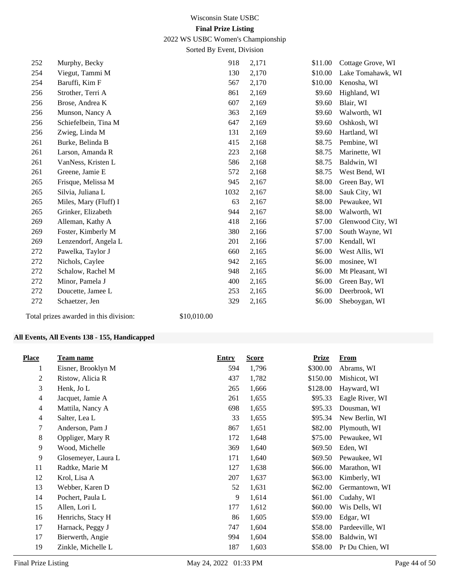2022 WS USBC Women's Championship

Sorted By Event, Division

| 252 | Murphy, Becky         | 918  | 2,171 | \$11.00 | Cottage Grove, WI |
|-----|-----------------------|------|-------|---------|-------------------|
| 254 | Viegut, Tammi M       | 130  | 2,170 | \$10.00 | Lake Tomahawk, WI |
| 254 | Baruffi, Kim F        | 567  | 2,170 | \$10.00 | Kenosha, WI       |
| 256 | Strother, Terri A     | 861  | 2,169 | \$9.60  | Highland, WI      |
| 256 | Brose, Andrea K       | 607  | 2,169 | \$9.60  | Blair, WI         |
| 256 | Munson, Nancy A       | 363  | 2,169 | \$9.60  | Walworth, WI      |
| 256 | Schiefelbein, Tina M  | 647  | 2,169 | \$9.60  | Oshkosh, WI       |
| 256 | Zwieg, Linda M        | 131  | 2,169 | \$9.60  | Hartland, WI      |
| 261 | Burke, Belinda B      | 415  | 2,168 | \$8.75  | Pembine, WI       |
| 261 | Larson, Amanda R      | 223  | 2,168 | \$8.75  | Marinette, WI     |
| 261 | VanNess, Kristen L    | 586  | 2,168 | \$8.75  | Baldwin, WI       |
| 261 | Greene, Jamie E       | 572  | 2,168 | \$8.75  | West Bend, WI     |
| 265 | Frisque, Melissa M    | 945  | 2,167 | \$8.00  | Green Bay, WI     |
| 265 | Silvia, Juliana L     | 1032 | 2,167 | \$8.00  | Sauk City, WI     |
| 265 | Miles, Mary (Fluff) I | 63   | 2,167 | \$8.00  | Pewaukee, WI      |
| 265 | Grinker, Elizabeth    | 944  | 2,167 | \$8.00  | Walworth, WI      |
| 269 | Alleman, Kathy A      | 418  | 2,166 | \$7.00  | Glenwood City, WI |
| 269 | Foster, Kimberly M    | 380  | 2,166 | \$7.00  | South Wayne, WI   |
| 269 | Lenzendorf, Angela L  | 201  | 2,166 | \$7.00  | Kendall, WI       |
| 272 | Pawelka, Taylor J     | 660  | 2,165 | \$6.00  | West Allis, WI    |
| 272 | Nichols, Caylee       | 942  | 2,165 | \$6.00  | mosinee, WI       |
| 272 | Schalow, Rachel M     | 948  | 2,165 | \$6.00  | Mt Pleasant, WI   |
| 272 | Minor, Pamela J       | 400  | 2,165 | \$6.00  | Green Bay, WI     |
| 272 | Doucette, Jamee L     | 253  | 2,165 | \$6.00  | Deerbrook, WI     |
| 272 | Schaetzer, Jen        | 329  | 2,165 | \$6.00  | Sheboygan, WI     |
|     |                       |      |       |         |                   |

# **All Events, All Events 138 - 155, Handicapped**

Total prizes awarded in this division: \$10,010.00

| <b>Place</b>   | <b>Team name</b>    | <b>Entry</b> | <b>Score</b> | <b>Prize</b> | From            |
|----------------|---------------------|--------------|--------------|--------------|-----------------|
| 1              | Eisner, Brooklyn M  | 594          | 1,796        | \$300.00     | Abrams, WI      |
| 2              | Ristow, Alicia R    | 437          | 1,782        | \$150.00     | Mishicot, WI    |
| 3              | Henk, Jo L          | 265          | 1,666        | \$128.00     | Hayward, WI     |
| 4              | Jacquet, Jamie A    | 261          | 1,655        | \$95.33      | Eagle River, WI |
| $\overline{4}$ | Mattila, Nancy A    | 698          | 1,655        | \$95.33      | Dousman, WI     |
| 4              | Salter, Lea L       | 33           | 1,655        | \$95.34      | New Berlin, WI  |
| 7              | Anderson, Pam J     | 867          | 1,651        | \$82.00      | Plymouth, WI    |
| 8              | Oppliger, Mary R    | 172          | 1,648        | \$75.00      | Pewaukee, WI    |
| 9              | Wood, Michelle      | 369          | 1,640        | \$69.50      | Eden, WI        |
| 9              | Glosemeyer, Laura L | 171          | 1,640        | \$69.50      | Pewaukee, WI    |
| 11             | Radtke, Marie M     | 127          | 1,638        | \$66.00      | Marathon, WI    |
| 12             | Krol, Lisa A        | 207          | 1,637        | \$63.00      | Kimberly, WI    |
| 13             | Webber, Karen D     | 52           | 1,631        | \$62.00      | Germantown, WI  |
| 14             | Pochert, Paula L    | 9            | 1,614        | \$61.00      | Cudahy, WI      |
| 15             | Allen, Lori L       | 177          | 1,612        | \$60.00      | Wis Dells, WI   |
| 16             | Henrichs, Stacy H   | 86           | 1,605        | \$59.00      | Edgar, WI       |
| 17             | Harnack, Peggy J    | 747          | 1,604        | \$58.00      | Pardeeville, WI |
| 17             | Bierwerth, Angie    | 994          | 1,604        | \$58.00      | Baldwin, WI     |
| 19             | Zinkle, Michelle L  | 187          | 1,603        | \$58.00      | Pr Du Chien, WI |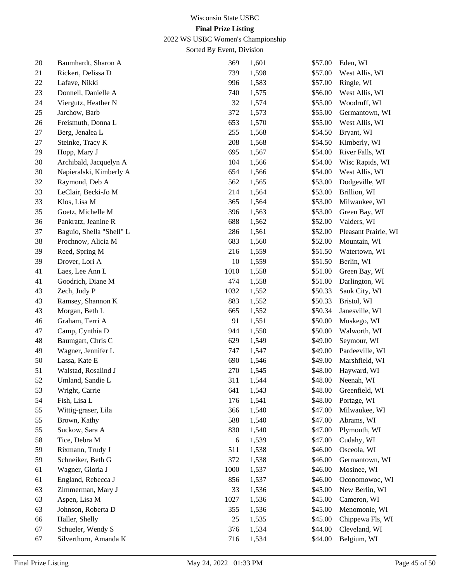2022 WS USBC Women's Championship

| $20\,$ | Baumhardt, Sharon A      | 369  | 1,601 | \$57.00 | Eden, WI             |
|--------|--------------------------|------|-------|---------|----------------------|
| 21     | Rickert, Delissa D       | 739  | 1,598 | \$57.00 | West Allis, WI       |
| 22     | Lafave, Nikki            | 996  | 1,583 | \$57.00 | Ringle, WI           |
| 23     | Donnell, Danielle A      | 740  | 1,575 | \$56.00 | West Allis, WI       |
| 24     | Viergutz, Heather N      | 32   | 1,574 | \$55.00 | Woodruff, WI         |
| 25     | Jarchow, Barb            | 372  | 1,573 | \$55.00 | Germantown, WI       |
| 26     | Freismuth, Donna L       | 653  | 1,570 | \$55.00 | West Allis, WI       |
| 27     | Berg, Jenalea L          | 255  | 1,568 | \$54.50 | Bryant, WI           |
| 27     | Steinke, Tracy K         | 208  | 1,568 | \$54.50 | Kimberly, WI         |
| 29     | Hopp, Mary J             | 695  | 1,567 | \$54.00 | River Falls, WI      |
| 30     | Archibald, Jacquelyn A   | 104  | 1,566 | \$54.00 | Wisc Rapids, WI      |
| 30     | Napieralski, Kimberly A  | 654  | 1,566 | \$54.00 | West Allis, WI       |
| 32     | Raymond, Deb A           | 562  | 1,565 | \$53.00 | Dodgeville, WI       |
| 33     | LeClair, Becki-Jo M      | 214  | 1,564 | \$53.00 | Brillion, WI         |
| 33     | Klos, Lisa M             | 365  | 1,564 | \$53.00 | Milwaukee, WI        |
| 35     | Goetz, Michelle M        | 396  | 1,563 | \$53.00 | Green Bay, WI        |
| 36     | Pankratz, Jeanine R      | 688  | 1,562 | \$52.00 | Valders, WI          |
| 37     | Baguio, Shella "Shell" L | 286  | 1,561 | \$52.00 | Pleasant Prairie, WI |
| 38     | Prochnow, Alicia M       | 683  | 1,560 | \$52.00 | Mountain, WI         |
| 39     | Reed, Spring M           | 216  | 1,559 | \$51.50 | Watertown, WI        |
| 39     | Drover, Lori A           | 10   | 1,559 | \$51.50 | Berlin, WI           |
| 41     | Laes, Lee Ann L          | 1010 | 1,558 | \$51.00 | Green Bay, WI        |
| 41     | Goodrich, Diane M        | 474  | 1,558 | \$51.00 | Darlington, WI       |
| 43     | Zech, Judy P             | 1032 | 1,552 | \$50.33 | Sauk City, WI        |
| 43     | Ramsey, Shannon K        | 883  | 1,552 | \$50.33 | Bristol, WI          |
| 43     | Morgan, Beth L           | 665  | 1,552 | \$50.34 | Janesville, WI       |
| 46     | Graham, Terri A          | 91   | 1,551 | \$50.00 | Muskego, WI          |
| 47     | Camp, Cynthia D          | 944  | 1,550 | \$50.00 | Walworth, WI         |
| 48     | Baumgart, Chris C        | 629  | 1,549 | \$49.00 | Seymour, WI          |
| 49     | Wagner, Jennifer L       | 747  | 1,547 | \$49.00 | Pardeeville, WI      |
| 50     | Lassa, Kate E            | 690  | 1,546 | \$49.00 | Marshfield, WI       |
| 51     | Walstad, Rosalind J      | 270  | 1,545 | \$48.00 | Hayward, WI          |
| 52     | Umland, Sandie L         | 311  | 1,544 | \$48.00 | Neenah, WI           |
| 53     | Wright, Carrie           | 641  | 1,543 | \$48.00 | Greenfield, WI       |
| 54     | Fish, Lisa L             | 176  | 1,541 | \$48.00 | Portage, WI          |
| 55     | Wittig-graser, Lila      | 366  | 1,540 | \$47.00 | Milwaukee, WI        |
| 55     | Brown, Kathy             | 588  | 1,540 | \$47.00 | Abrams, WI           |
| 55     | Suckow, Sara A           | 830  | 1,540 | \$47.00 | Plymouth, WI         |
| 58     | Tice, Debra M            | 6    | 1,539 | \$47.00 | Cudahy, WI           |
| 59     | Rixmann, Trudy J         | 511  | 1,538 | \$46.00 | Osceola, WI          |
| 59     | Schneiker, Beth G        | 372  | 1,538 | \$46.00 | Germantown, WI       |
| 61     | Wagner, Gloria J         | 1000 | 1,537 | \$46.00 | Mosinee, WI          |
| 61     | England, Rebecca J       | 856  | 1,537 | \$46.00 | Oconomowoc, WI       |
| 63     | Zimmerman, Mary J        | 33   | 1,536 | \$45.00 | New Berlin, WI       |
| 63     | Aspen, Lisa M            | 1027 | 1,536 | \$45.00 | Cameron, WI          |
| 63     | Johnson, Roberta D       | 355  | 1,536 | \$45.00 | Menomonie, WI        |
| 66     | Haller, Shelly           | 25   | 1,535 | \$45.00 | Chippewa Fls, WI     |
| 67     | Schueler, Wendy S        | 376  | 1,534 | \$44.00 | Cleveland, WI        |
| 67     | Silverthorn, Amanda K    | 716  | 1,534 | \$44.00 | Belgium, WI          |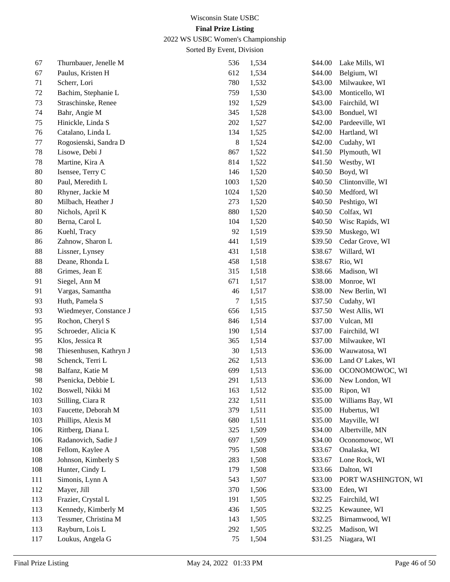2022 WS USBC Women's Championship

| 67  | Thurnbauer, Jenelle M   | 536            | 1,534 | \$44.00 | Lake Mills, WI      |
|-----|-------------------------|----------------|-------|---------|---------------------|
| 67  | Paulus, Kristen H       | 612            | 1,534 | \$44.00 | Belgium, WI         |
| 71  | Scherr, Lori            | 780            | 1,532 | \$43.00 | Milwaukee, WI       |
| 72  | Bachim, Stephanie L     | 759            | 1,530 | \$43.00 | Monticello, WI      |
| 73  | Straschinske, Renee     | 192            | 1,529 | \$43.00 | Fairchild, WI       |
| 74  | Bahr, Angie M           | 345            | 1,528 | \$43.00 | Bonduel, WI         |
| 75  | Hinickle, Linda S       | 202            | 1,527 | \$42.00 | Pardeeville, WI     |
| 76  | Catalano, Linda L       | 134            | 1,525 | \$42.00 | Hartland, WI        |
| 77  | Rogosienski, Sandra D   | $8\phantom{1}$ | 1,524 | \$42.00 | Cudahy, WI          |
| 78  | Lisowe, Debi J          | 867            | 1,522 | \$41.50 | Plymouth, WI        |
| 78  | Martine, Kira A         | 814            | 1,522 | \$41.50 | Westby, WI          |
| 80  | Isensee, Terry C        | 146            | 1,520 | \$40.50 | Boyd, WI            |
| 80  | Paul, Meredith L        | 1003           | 1,520 | \$40.50 | Clintonville, WI    |
| 80  | Rhyner, Jackie M        | 1024           | 1,520 | \$40.50 | Medford, WI         |
| 80  | Milbach, Heather J      | 273            | 1,520 | \$40.50 | Peshtigo, WI        |
| 80  | Nichols, April K        | 880            | 1,520 | \$40.50 | Colfax, WI          |
| 80  | Berna, Carol L          | 104            | 1,520 | \$40.50 | Wisc Rapids, WI     |
| 86  | Kuehl, Tracy            | 92             | 1,519 | \$39.50 | Muskego, WI         |
| 86  | Zahnow, Sharon L        | 441            | 1,519 | \$39.50 | Cedar Grove, WI     |
| 88  | Lissner, Lynsey         | 431            | 1,518 | \$38.67 | Willard, WI         |
| 88  | Deane, Rhonda L         | 458            | 1,518 | \$38.67 | Rio, WI             |
| 88  | Grimes, Jean E          | 315            | 1,518 | \$38.66 | Madison, WI         |
| 91  | Siegel, Ann M           | 671            | 1,517 | \$38.00 | Monroe, WI          |
| 91  | Vargas, Samantha        | 46             | 1,517 | \$38.00 | New Berlin, WI      |
| 93  | Huth, Pamela S          | $\tau$         | 1,515 | \$37.50 | Cudahy, WI          |
| 93  | Wiedmeyer, Constance J  | 656            | 1,515 | \$37.50 | West Allis, WI      |
| 95  | Rochon, Cheryl S        | 846            | 1,514 | \$37.00 | Vulcan, MI          |
| 95  | Schroeder, Alicia K     | 190            | 1,514 | \$37.00 | Fairchild, WI       |
| 95  | Klos, Jessica R         | 365            | 1,514 | \$37.00 | Milwaukee, WI       |
| 98  | Thiesenhusen, Kathryn J | 30             | 1,513 | \$36.00 | Wauwatosa, WI       |
| 98  | Schenck, Terri L        | 262            | 1,513 | \$36.00 | Land O' Lakes, WI   |
| 98  | Balfanz, Katie M        | 699            | 1,513 | \$36.00 | OCONOMOWOC, WI      |
| 98  | Psenicka, Debbie L      | 291            | 1,513 | \$36.00 | New London, WI      |
| 102 | Boswell, Nikki M        | 163            | 1,512 | \$35.00 | Ripon, WI           |
| 103 | Stilling, Ciara R       | 232            | 1,511 | \$35.00 | Williams Bay, WI    |
| 103 | Faucette, Deborah M     | 379            | 1,511 | \$35.00 | Hubertus, WI        |
| 103 | Phillips, Alexis M      | 680            | 1,511 | \$35.00 | Mayville, WI        |
| 106 | Rittberg, Diana L       | 325            | 1,509 | \$34.00 | Albertville, MN     |
| 106 | Radanovich, Sadie J     | 697            | 1,509 | \$34.00 | Oconomowoc, WI      |
| 108 | Fellom, Kaylee A        | 795            | 1,508 | \$33.67 | Onalaska, WI        |
| 108 | Johnson, Kimberly S     | 283            | 1,508 | \$33.67 | Lone Rock, WI       |
| 108 | Hunter, Cindy L         | 179            | 1,508 | \$33.66 | Dalton, WI          |
| 111 | Simonis, Lynn A         | 543            | 1,507 | \$33.00 | PORT WASHINGTON, WI |
| 112 | Mayer, Jill             | 370            | 1,506 | \$33.00 | Eden, WI            |
| 113 | Frazier, Crystal L      | 191            | 1,505 | \$32.25 | Fairchild, WI       |
| 113 | Kennedy, Kimberly M     | 436            | 1,505 | \$32.25 | Kewaunee, WI        |
| 113 | Tessmer, Christina M    | 143            | 1,505 | \$32.25 | Birnamwood, WI      |
| 113 | Rayburn, Lois L         | 292            | 1,505 | \$32.25 | Madison, WI         |
| 117 | Loukus, Angela G        | 75             | 1,504 | \$31.25 | Niagara, WI         |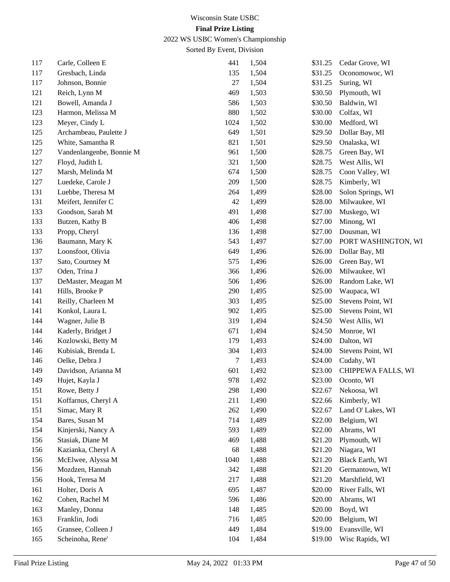2022 WS USBC Women's Championship

| 117 | Carle, Colleen E         | 441    | 1,504 | \$31.25 | Cedar Grove, WI     |
|-----|--------------------------|--------|-------|---------|---------------------|
| 117 | Gresbach, Linda          | 135    | 1,504 | \$31.25 | Oconomowoc, WI      |
| 117 | Johnson, Bonnie          | $27\,$ | 1,504 | \$31.25 | Suring, WI          |
| 121 | Reich, Lynn M            | 469    | 1,503 | \$30.50 | Plymouth, WI        |
| 121 | Bowell, Amanda J         | 586    | 1,503 | \$30.50 | Baldwin, WI         |
| 123 | Harmon, Melissa M        | 880    | 1,502 | \$30.00 | Colfax, WI          |
| 123 | Meyer, Cindy L           | 1024   | 1,502 | \$30.00 | Medford, WI         |
| 125 | Archambeau, Paulette J   | 649    | 1,501 | \$29.50 | Dollar Bay, MI      |
| 125 | White, Samantha R        | 821    | 1,501 | \$29.50 | Onalaska, WI        |
| 127 | Vandenlangenbe, Bonnie M | 961    | 1,500 | \$28.75 | Green Bay, WI       |
| 127 | Floyd, Judith L          | 321    | 1,500 | \$28.75 | West Allis, WI      |
| 127 | Marsh, Melinda M         | 674    | 1,500 | \$28.75 | Coon Valley, WI     |
| 127 | Luedeke, Carole J        | 209    | 1,500 | \$28.75 | Kimberly, WI        |
| 131 | Luebbe, Theresa M        | 264    | 1,499 | \$28.00 | Solon Springs, WI   |
| 131 | Meifert, Jennifer C      | 42     | 1,499 | \$28.00 | Milwaukee, WI       |
| 133 | Goodson, Sarah M         | 491    | 1,498 | \$27.00 | Muskego, WI         |
| 133 | Butzen, Kathy B          | 406    | 1,498 | \$27.00 | Minong, WI          |
| 133 | Propp, Cheryl            | 136    | 1,498 | \$27.00 | Dousman, WI         |
| 136 | Baumann, Mary K          | 543    | 1,497 | \$27.00 | PORT WASHINGTON, WI |
| 137 | Loonsfoot, Olivia        | 649    | 1,496 | \$26.00 | Dollar Bay, MI      |
| 137 | Sato, Courtney M         | 575    | 1,496 | \$26.00 | Green Bay, WI       |
| 137 | Oden, Trina J            | 366    | 1,496 | \$26.00 | Milwaukee, WI       |
| 137 | DeMaster, Meagan M       | 506    | 1,496 | \$26.00 | Random Lake, WI     |
| 141 | Hills, Brooke P          | 290    | 1,495 | \$25.00 | Waupaca, WI         |
| 141 | Reilly, Charleen M       | 303    | 1,495 | \$25.00 | Stevens Point, WI   |
| 141 | Konkol, Laura L          | 902    | 1,495 | \$25.00 | Stevens Point, WI   |
| 144 | Wagner, Julie B          | 319    | 1,494 | \$24.50 | West Allis, WI      |
| 144 | Kaderly, Bridget J       | 671    | 1,494 | \$24.50 | Monroe, WI          |
| 146 | Kozlowski, Betty M       | 179    | 1,493 | \$24.00 | Dalton, WI          |
| 146 | Kubisiak, Brenda L       | 304    | 1,493 | \$24.00 | Stevens Point, WI   |
| 146 | Oelke, Debra J           | 7      | 1,493 | \$24.00 | Cudahy, WI          |
| 149 | Davidson, Arianna M      | 601    | 1,492 | \$23.00 | CHIPPEWA FALLS, WI  |
| 149 | Hujet, Kayla J           | 978    | 1,492 | \$23.00 | Oconto, WI          |
| 151 | Rowe, Betty J            | 298    | 1,490 | \$22.67 | Nekoosa, WI         |
| 151 | Koffarnus, Cheryl A      | 211    | 1,490 | \$22.66 | Kimberly, WI        |
| 151 | Simac, Mary R            | 262    | 1,490 | \$22.67 | Land O' Lakes, WI   |
| 154 | Bares, Susan M           | 714    | 1,489 | \$22.00 | Belgium, WI         |
| 154 | Kinjerski, Nancy A       | 593    | 1,489 | \$22.00 | Abrams, WI          |
| 156 | Stasiak, Diane M         | 469    | 1,488 | \$21.20 | Plymouth, WI        |
| 156 | Kazianka, Cheryl A       | 68     | 1,488 | \$21.20 | Niagara, WI         |
| 156 | McElwee, Alyssa M        | 1040   | 1,488 | \$21.20 | Black Earth, WI     |
| 156 | Mozdzen, Hannah          | 342    | 1,488 | \$21.20 | Germantown, WI      |
| 156 | Hook, Teresa M           | 217    | 1,488 | \$21.20 | Marshfield, WI      |
| 161 | Holter, Doris A          | 695    | 1,487 | \$20.00 | River Falls, WI     |
| 162 | Cohen, Rachel M          | 596    | 1,486 | \$20.00 | Abrams, WI          |
| 163 | Manley, Donna            | 148    | 1,485 | \$20.00 | Boyd, WI            |
| 163 | Franklin, Jodi           | 716    | 1,485 | \$20.00 | Belgium, WI         |
| 165 | Gransee, Colleen J       | 449    | 1,484 | \$19.00 | Evansville, WI      |
| 165 | Scheinoha, Rene'         | 104    | 1,484 | \$19.00 | Wisc Rapids, WI     |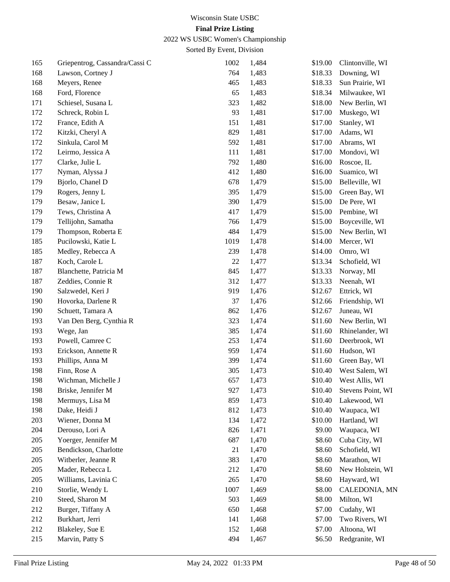2022 WS USBC Women's Championship

| 165 | Griepentrog, Cassandra/Cassi C | 1002 | 1,484 | \$19.00 | Clintonville, WI  |
|-----|--------------------------------|------|-------|---------|-------------------|
| 168 | Lawson, Cortney J              | 764  | 1,483 | \$18.33 | Downing, WI       |
| 168 | Meyers, Renee                  | 465  | 1,483 | \$18.33 | Sun Prairie, WI   |
| 168 | Ford, Florence                 | 65   | 1,483 | \$18.34 | Milwaukee, WI     |
| 171 | Schiesel, Susana L             | 323  | 1,482 | \$18.00 | New Berlin, WI    |
| 172 | Schreck, Robin L               | 93   | 1,481 | \$17.00 | Muskego, WI       |
| 172 | France, Edith A                | 151  | 1,481 | \$17.00 | Stanley, WI       |
| 172 | Kitzki, Cheryl A               | 829  | 1,481 | \$17.00 | Adams, WI         |
| 172 | Sinkula, Carol M               | 592  | 1,481 | \$17.00 | Abrams, WI        |
| 172 | Leirmo, Jessica A              | 111  | 1,481 | \$17.00 | Mondovi, WI       |
| 177 | Clarke, Julie L                | 792  | 1,480 | \$16.00 | Roscoe, IL        |
| 177 | Nyman, Alyssa J                | 412  | 1,480 | \$16.00 | Suamico, WI       |
| 179 | Bjorlo, Chanel D               | 678  | 1,479 | \$15.00 | Belleville, WI    |
| 179 | Rogers, Jenny L                | 395  | 1,479 | \$15.00 | Green Bay, WI     |
| 179 | Besaw, Janice L                | 390  | 1,479 | \$15.00 | De Pere, WI       |
| 179 | Tews, Christina A              | 417  | 1,479 | \$15.00 | Pembine, WI       |
| 179 | Tellijohn, Samatha             | 766  | 1,479 | \$15.00 | Boyceville, WI    |
| 179 | Thompson, Roberta E            | 484  | 1,479 | \$15.00 | New Berlin, WI    |
| 185 | Pucilowski, Katie L            | 1019 | 1,478 | \$14.00 | Mercer, WI        |
| 185 | Medley, Rebecca A              | 239  | 1,478 | \$14.00 | Omro, WI          |
| 187 | Koch, Carole L                 | 22   | 1,477 | \$13.34 | Schofield, WI     |
| 187 | Blanchette, Patricia M         | 845  | 1,477 | \$13.33 | Norway, MI        |
| 187 | Zeddies, Connie R              | 312  | 1,477 | \$13.33 | Neenah, WI        |
| 190 | Salzwedel, Keri J              | 919  | 1,476 | \$12.67 | Ettrick, WI       |
| 190 | Hovorka, Darlene R             | 37   | 1,476 | \$12.66 | Friendship, WI    |
| 190 | Schuett, Tamara A              | 862  | 1,476 | \$12.67 | Juneau, WI        |
| 193 | Van Den Berg, Cynthia R        | 323  | 1,474 | \$11.60 | New Berlin, WI    |
| 193 | Wege, Jan                      | 385  | 1,474 | \$11.60 | Rhinelander, WI   |
| 193 | Powell, Camree C               | 253  | 1,474 | \$11.60 | Deerbrook, WI     |
| 193 | Erickson, Annette R            | 959  | 1,474 | \$11.60 | Hudson, WI        |
| 193 | Phillips, Anna M               | 399  | 1,474 | \$11.60 | Green Bay, WI     |
| 198 | Finn, Rose A                   | 305  | 1,473 | \$10.40 | West Salem, WI    |
| 198 | Wichman, Michelle J            | 657  | 1,473 | \$10.40 | West Allis, WI    |
| 198 | Briske, Jennifer M             | 927  | 1,473 | \$10.40 | Stevens Point, WI |
| 198 | Mermuys, Lisa M                | 859  | 1,473 | \$10.40 | Lakewood, WI      |
| 198 | Dake, Heidi J                  | 812  | 1,473 | \$10.40 | Waupaca, WI       |
| 203 | Wiener, Donna M                | 134  | 1,472 | \$10.00 | Hartland, WI      |
| 204 | Derouso, Lori A                | 826  | 1,471 | \$9.00  | Waupaca, WI       |
| 205 | Yoerger, Jennifer M            | 687  | 1,470 | \$8.60  | Cuba City, WI     |
| 205 | Bendickson, Charlotte          | 21   | 1,470 | \$8.60  | Schofield, WI     |
| 205 | Witberler, Jeanne R            | 383  | 1,470 | \$8.60  | Marathon, WI      |
| 205 | Mader, Rebecca L               | 212  | 1,470 | \$8.60  | New Holstein, WI  |
| 205 | Williams, Lavinia C            | 265  | 1,470 | \$8.60  | Hayward, WI       |
| 210 | Storlie, Wendy L               | 1007 | 1,469 | \$8.00  | CALEDONIA, MN     |
| 210 | Steed, Sharon M                | 503  | 1,469 | \$8.00  | Milton, WI        |
| 212 | Burger, Tiffany A              | 650  | 1,468 | \$7.00  | Cudahy, WI        |
| 212 | Burkhart, Jerri                | 141  | 1,468 | \$7.00  | Two Rivers, WI    |
| 212 | Blakeley, Sue E                | 152  | 1,468 | \$7.00  | Altoona, WI       |
| 215 | Marvin, Patty S                | 494  | 1,467 | \$6.50  | Redgranite, WI    |
|     |                                |      |       |         |                   |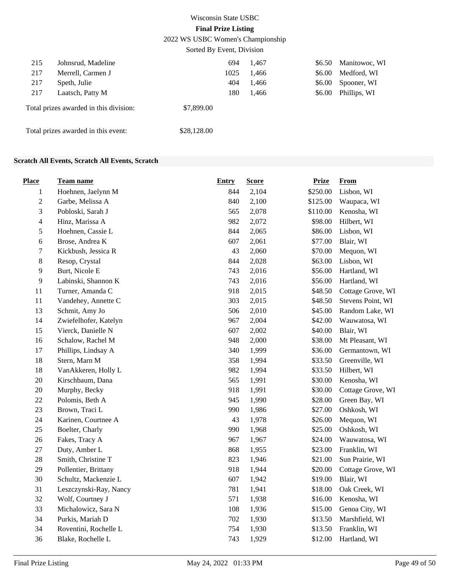2022 WS USBC Women's Championship

|     |                                        | Sorted By Event, Division |       |        |               |
|-----|----------------------------------------|---------------------------|-------|--------|---------------|
| 215 | Johnsrud, Madeline                     | 694                       | 1,467 | \$6.50 | Manitowoc, WI |
| 217 | Merrell, Carmen J                      | 1025                      | 1,466 | \$6.00 | Medford, WI   |
| 217 | Speth, Julie                           | 404                       | 1,466 | \$6.00 | Spooner, WI   |
| 217 | Laatsch, Patty M                       | 180                       | 1,466 | \$6.00 | Phillips, WI  |
|     | Total prizes awarded in this division: | \$7,899.00                |       |        |               |
|     | Total prizes awarded in this event:    | \$28,128.00               |       |        |               |

## **Scratch All Events, Scratch All Events, Scratch**

| <b>Place</b>   | <b>Team name</b>       | <b>Entry</b> | <b>Score</b> | <b>Prize</b> | <b>From</b>       |
|----------------|------------------------|--------------|--------------|--------------|-------------------|
| $\mathbf{1}$   | Hoehnen, Jaelynn M     | 844          | 2,104        | \$250.00     | Lisbon, WI        |
| $\sqrt{2}$     | Garbe, Melissa A       | 840          | 2,100        | \$125.00     | Waupaca, WI       |
| 3              | Pobloski, Sarah J      | 565          | 2,078        | \$110.00     | Kenosha, WI       |
| $\overline{4}$ | Hinz, Marissa A        | 982          | 2,072        | \$98.00      | Hilbert, WI       |
| 5              | Hoehnen, Cassie L      | 844          | 2,065        | \$86.00      | Lisbon, WI        |
| 6              | Brose, Andrea K        | 607          | 2,061        | \$77.00      | Blair, WI         |
| $\tau$         | Kickbush, Jessica R    | 43           | 2,060        | \$70.00      | Mequon, WI        |
| 8              | Resop, Crystal         | 844          | 2,028        | \$63.00      | Lisbon, WI        |
| 9              | Burt, Nicole E         | 743          | 2,016        | \$56.00      | Hartland, WI      |
| 9              | Labinski, Shannon K    | 743          | 2,016        | \$56.00      | Hartland, WI      |
| $11\,$         | Turner, Amanda C       | 918          | 2,015        | \$48.50      | Cottage Grove, WI |
| 11             | Vandehey, Annette C    | 303          | 2,015        | \$48.50      | Stevens Point, WI |
| 13             | Schmit, Amy Jo         | 506          | 2,010        | \$45.00      | Random Lake, WI   |
| 14             | Zwiefelhofer, Katelyn  | 967          | 2,004        | \$42.00      | Wauwatosa, WI     |
| 15             | Vierck, Danielle N     | 607          | 2,002        | \$40.00      | Blair, WI         |
| 16             | Schalow, Rachel M      | 948          | 2,000        | \$38.00      | Mt Pleasant, WI   |
| 17             | Phillips, Lindsay A    | 340          | 1,999        | \$36.00      | Germantown, WI    |
| 18             | Stern, Marn M          | 358          | 1,994        | \$33.50      | Greenville, WI    |
| 18             | VanAkkeren, Holly L    | 982          | 1,994        | \$33.50      | Hilbert, WI       |
| 20             | Kirschbaum, Dana       | 565          | 1,991        | \$30.00      | Kenosha, WI       |
| $20\,$         | Murphy, Becky          | 918          | 1,991        | \$30.00      | Cottage Grove, WI |
| 22             | Polomis, Beth A        | 945          | 1,990        | \$28.00      | Green Bay, WI     |
| 23             | Brown, Traci L         | 990          | 1,986        | \$27.00      | Oshkosh, WI       |
| 24             | Karinen, Courtnee A    | 43           | 1,978        | \$26.00      | Mequon, WI        |
| 25             | Boelter, Charly        | 990          | 1,968        | \$25.00      | Oshkosh, WI       |
| 26             | Fakes, Tracy A         | 967          | 1,967        | \$24.00      | Wauwatosa, WI     |
| 27             | Duty, Amber L          | 868          | 1,955        | \$23.00      | Franklin, WI      |
| 28             | Smith, Christine T     | 823          | 1,946        | \$21.00      | Sun Prairie, WI   |
| 29             | Pollentier, Brittany   | 918          | 1,944        | \$20.00      | Cottage Grove, WI |
| 30             | Schultz, Mackenzie L   | 607          | 1,942        | \$19.00      | Blair, WI         |
| 31             | Leszczynski-Ray, Nancy | 781          | 1,941        | \$18.00      | Oak Creek, WI     |
| 32             | Wolf, Courtney J       | 571          | 1,938        | \$16.00      | Kenosha, WI       |
| 33             | Michalowicz, Sara N    | 108          | 1,936        | \$15.00      | Genoa City, WI    |
| 34             | Purkis, Mariah D       | 702          | 1,930        | \$13.50      | Marshfield, WI    |
| 34             | Roventini, Rochelle L  | 754          | 1,930        | \$13.50      | Franklin, WI      |
| 36             | Blake, Rochelle L      | 743          | 1,929        | \$12.00      | Hartland, WI      |